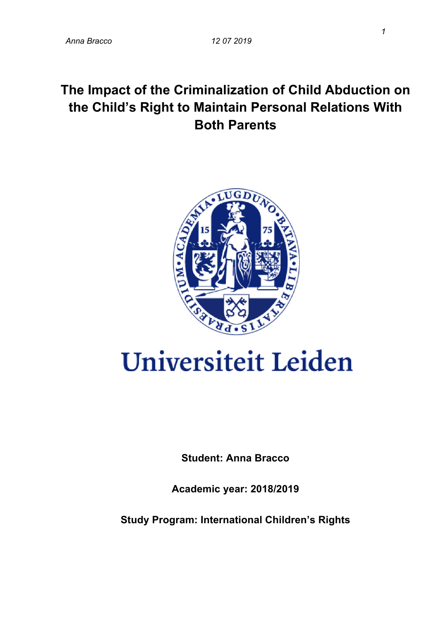## **The Impact of the Criminalization of Child Abduction on the Child's Right to Maintain Personal Relations With Both Parents**



# Universiteit Leiden

**Student: Anna Bracco**

**Academic year: 2018/2019**

**Study Program: International Children's Rights**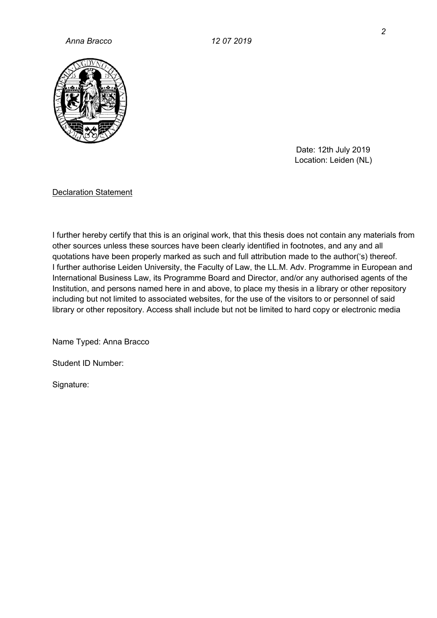

 Date: 12th July 2019 Location: Leiden (NL)

Declaration Statement

I further hereby certify that this is an original work, that this thesis does not contain any materials from other sources unless these sources have been clearly identified in footnotes, and any and all quotations have been properly marked as such and full attribution made to the author('s) thereof. I further authorise Leiden University, the Faculty of Law, the LL.M. Adv. Programme in European and International Business Law, its Programme Board and Director, and/or any authorised agents of the Institution, and persons named here in and above, to place my thesis in a library or other repository including but not limited to associated websites, for the use of the visitors to or personnel of said library or other repository. Access shall include but not be limited to hard copy or electronic media

Name Typed: Anna Bracco

Student ID Number:

Signature: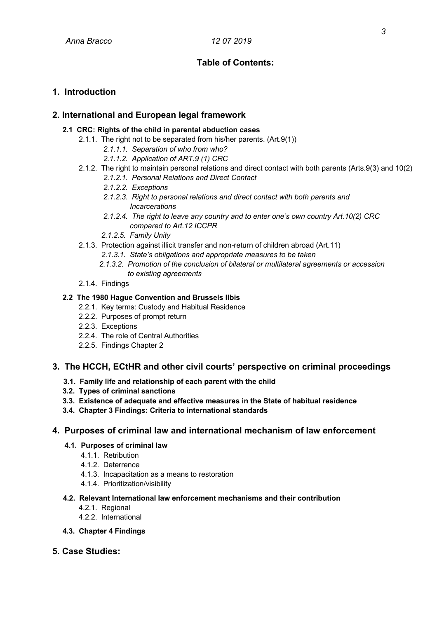### **Table of Contents:**

### **1. Introduction**

### **2. International and European legal framework**

### **2.1 CRC: Rights of the child in parental abduction cases**

- 2.1.1. The right not to be separated from his/her parents. (Art.9(1))
	- *2.1.1.1. Separation of who from who?*
	- *2.1.1.2. Application of ART.9 (1) CRC*
- 2.1.2. The right to maintain personal relations and direct contact with both parents (Arts.9(3) and 10(2)
	- *2.1.2.1. Personal Relations and Direct Contact*
	- *2.1.2.2. Exceptions*
	- *2.1.2.3. Right to personal relations and direct contact with both parents and Incarcerations*
	- *2.1.2.4. The right to leave any country and to enter one's own country Art.10(2) CRC compared to Art.12 ICCPR*
	- *2.1.2.5. Family Unity*
- 2.1.3. Protection against illicit transfer and non-return of children abroad (Art.11)
	- *2.1.3.1. State's obligations and appropriate measures to be taken*
	- *2.1.3.2. Promotion of the conclusion of bilateral or multilateral agreements or accession to existing agreements*
- 2.1.4. Findings

### **2.2 The 1980 Hague Convention and Brussels IIbis**

- 2.2.1. Key terms: Custody and Habitual Residence
- 2.2.2. Purposes of prompt return
- 2.2.3. Exceptions
- 2.2.4. The role of Central Authorities
- 2.2.5. Findings Chapter 2

### **3. The HCCH, ECtHR and other civil courts' perspective on criminal proceedings**

- **3.1. Family life and relationship of each parent with the child**
- **3.2. Types of criminal sanctions**
- **3.3. Existence of adequate and effective measures in the State of habitual residence**
- **3.4. Chapter 3 Findings: Criteria to international standards**

### **4. Purposes of criminal law and international mechanism of law enforcement**

### **4.1. Purposes of criminal law**

- 4.1.1. Retribution
- 4.1.2. Deterrence
- 4.1.3. Incapacitation as a means to restoration
- 4.1.4. Prioritization/visibility

### **4.2. Relevant International law enforcement mechanisms and their contribution**

- 4.2.1. Regional
- 4.2.2. International
- **4.3. Chapter 4 Findings**
- **5. Case Studies:**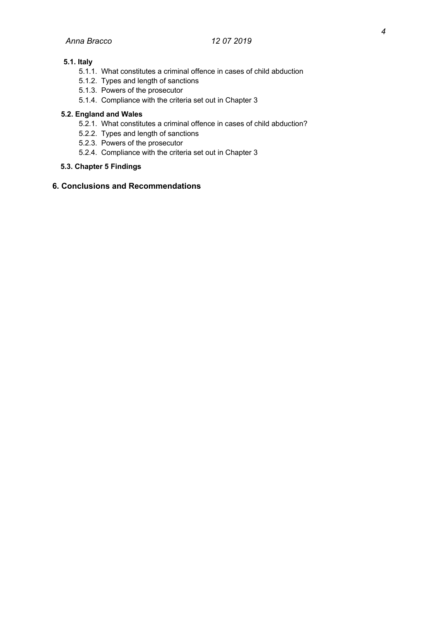### **5.1. Italy**

- 5.1.1. What constitutes a criminal offence in cases of child abduction
- 5.1.2. Types and length of sanctions
- 5.1.3. Powers of the prosecutor
- 5.1.4. Compliance with the criteria set out in Chapter 3

### **5.2. England and Wales**

- 5.2.1. What constitutes a criminal offence in cases of child abduction?
- 5.2.2. Types and length of sanctions
- 5.2.3. Powers of the prosecutor
- 5.2.4. Compliance with the criteria set out in Chapter 3

### **5.3. Chapter 5 Findings**

### **6. Conclusions and Recommendations**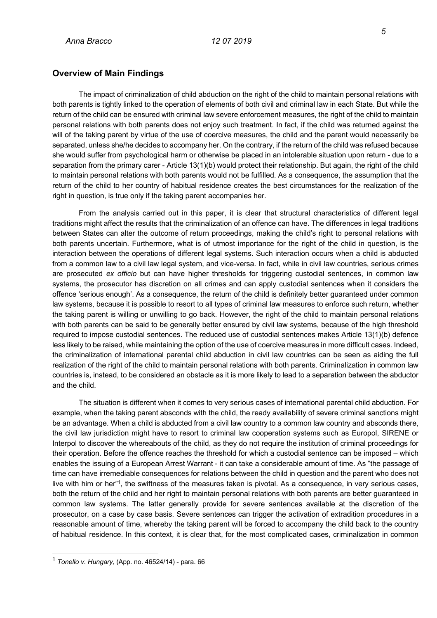### **Overview of Main Findings**

The impact of criminalization of child abduction on the right of the child to maintain personal relations with both parents is tightly linked to the operation of elements of both civil and criminal law in each State. But while the return of the child can be ensured with criminal law severe enforcement measures, the right of the child to maintain personal relations with both parents does not enjoy such treatment. In fact, if the child was returned against the will of the taking parent by virtue of the use of coercive measures, the child and the parent would necessarily be separated, unless she/he decides to accompany her. On the contrary, if the return of the child was refused because she would suffer from psychological harm or otherwise be placed in an intolerable situation upon return - due to a separation from the primary carer - Article 13(1)(b) would protect their relationship. But again, the right of the child to maintain personal relations with both parents would not be fulfilled. As a consequence, the assumption that the return of the child to her country of habitual residence creates the best circumstances for the realization of the right in question, is true only if the taking parent accompanies her.

From the analysis carried out in this paper, it is clear that structural characteristics of different legal traditions might affect the results that the criminalization of an offence can have. The differences in legal traditions between States can alter the outcome of return proceedings, making the child's right to personal relations with both parents uncertain. Furthermore, what is of utmost importance for the right of the child in question, is the interaction between the operations of different legal systems. Such interaction occurs when a child is abducted from a common law to a civil law legal system, and vice-versa. In fact, while in civil law countries, serious crimes are prosecuted *ex officio* but can have higher thresholds for triggering custodial sentences, in common law systems, the prosecutor has discretion on all crimes and can apply custodial sentences when it considers the offence 'serious enough'. As a consequence, the return of the child is definitely better guaranteed under common law systems, because it is possible to resort to all types of criminal law measures to enforce such return, whether the taking parent is willing or unwilling to go back. However, the right of the child to maintain personal relations with both parents can be said to be generally better ensured by civil law systems, because of the high threshold required to impose custodial sentences. The reduced use of custodial sentences makes Article 13(1)(b) defence less likely to be raised, while maintaining the option of the use of coercive measures in more difficult cases. Indeed, the criminalization of international parental child abduction in civil law countries can be seen as aiding the full realization of the right of the child to maintain personal relations with both parents. Criminalization in common law countries is, instead, to be considered an obstacle as it is more likely to lead to a separation between the abductor and the child.

The situation is different when it comes to very serious cases of international parental child abduction. For example, when the taking parent absconds with the child, the ready availability of severe criminal sanctions might be an advantage. When a child is abducted from a civil law country to a common law country and absconds there, the civil law jurisdiction might have to resort to criminal law cooperation systems such as Europol, SIRENE or Interpol to discover the whereabouts of the child, as they do not require the institution of criminal proceedings for their operation. Before the offence reaches the threshold for which a custodial sentence can be imposed – which enables the issuing of a European Arrest Warrant - it can take a considerable amount of time. As "the passage of time can have irremediable consequences for relations between the child in question and the parent who does not live with him or her"<sup>1</sup>, the swiftness of the measures taken is pivotal. As a consequence, in very serious cases, both the return of the child and her right to maintain personal relations with both parents are better guaranteed in common law systems. The latter generally provide for severe sentences available at the discretion of the prosecutor, on a case by case basis. Severe sentences can trigger the activation of extradition procedures in a reasonable amount of time, whereby the taking parent will be forced to accompany the child back to the country of habitual residence. In this context, it is clear that, for the most complicated cases, criminalization in common

<sup>1</sup> *Tonello v. Hungary,* (App. no. 46524/14) - para. 66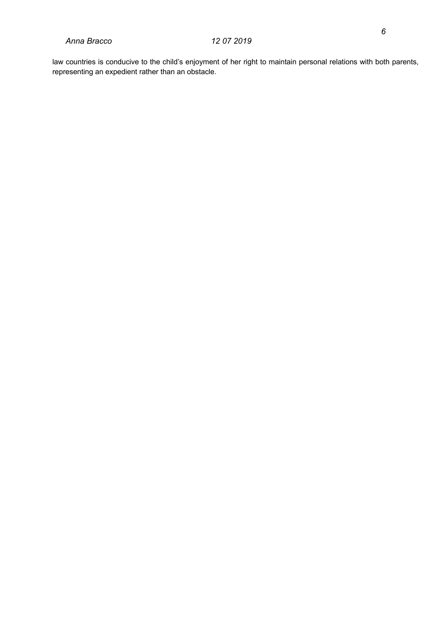law countries is conducive to the child's enjoyment of her right to maintain personal relations with both parents, representing an expedient rather than an obstacle.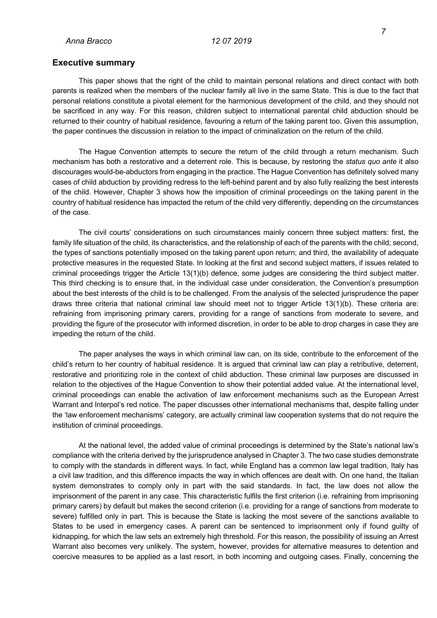### **Executive summary**

This paper shows that the right of the child to maintain personal relations and direct contact with both parents is realized when the members of the nuclear family all live in the same State. This is due to the fact that personal relations constitute a pivotal element for the harmonious development of the child, and they should not be sacrificed in any way. For this reason, children subject to international parental child abduction should be returned to their country of habitual residence, favouring a return of the taking parent too. Given this assumption, the paper continues the discussion in relation to the impact of criminalization on the return of the child.

The Hague Convention attempts to secure the return of the child through a return mechanism. Such mechanism has both a restorative and a deterrent role. This is because, by restoring the *status quo ante* it also discourages would-be-abductors from engaging in the practice. The Hague Convention has definitely solved many cases of child abduction by providing redress to the left-behind parent and by also fully realizing the best interests of the child. However, Chapter 3 shows how the imposition of criminal proceedings on the taking parent in the country of habitual residence has impacted the return of the child very differently, depending on the circumstances of the case.

The civil courts' considerations on such circumstances mainly concern three subject matters: first, the family life situation of the child, its characteristics, and the relationship of each of the parents with the child; second, the types of sanctions potentially imposed on the taking parent upon return; and third, the availability of adequate protective measures in the requested State. In looking at the first and second subject matters, if issues related to criminal proceedings trigger the Article 13(1)(b) defence, some judges are considering the third subject matter. This third checking is to ensure that, in the individual case under consideration, the Convention's presumption about the best interests of the child is to be challenged. From the analysis of the selected jurisprudence the paper draws three criteria that national criminal law should meet not to trigger Article 13(1)(b). These criteria are: refraining from imprisoning primary carers, providing for a range of sanctions from moderate to severe, and providing the figure of the prosecutor with informed discretion, in order to be able to drop charges in case they are impeding the return of the child.

The paper analyses the ways in which criminal law can, on its side, contribute to the enforcement of the child's return to her country of habitual residence. It is argued that criminal law can play a retributive, deterrent, restorative and prioritizing role in the context of child abduction. These criminal law purposes are discussed in relation to the objectives of the Hague Convention to show their potential added value. At the international level, criminal proceedings can enable the activation of law enforcement mechanisms such as the European Arrest Warrant and Interpol's red notice. The paper discusses other international mechanisms that, despite falling under the 'law enforcement mechanisms' category, are actually criminal law cooperation systems that do not require the institution of criminal proceedings.

At the national level, the added value of criminal proceedings is determined by the State's national law's compliance with the criteria derived by the jurisprudence analysed in Chapter 3. The two case studies demonstrate to comply with the standards in different ways. In fact, while England has a common law legal tradition, Italy has a civil law tradition, and this difference impacts the way in which offences are dealt with. On one hand, the Italian system demonstrates to comply only in part with the said standards. In fact, the law does not allow the imprisonment of the parent in any case. This characteristic fulfils the first criterion (i.e. refraining from imprisoning primary carers) by default but makes the second criterion (i.e. providing for a range of sanctions from moderate to severe) fulfilled only in part. This is because the State is lacking the most severe of the sanctions available to States to be used in emergency cases. A parent can be sentenced to imprisonment only if found guilty of kidnapping, for which the law sets an extremely high threshold. For this reason, the possibility of issuing an Arrest Warrant also becomes very unlikely. The system, however, provides for alternative measures to detention and coercive measures to be applied as a last resort, in both incoming and outgoing cases. Finally, concerning the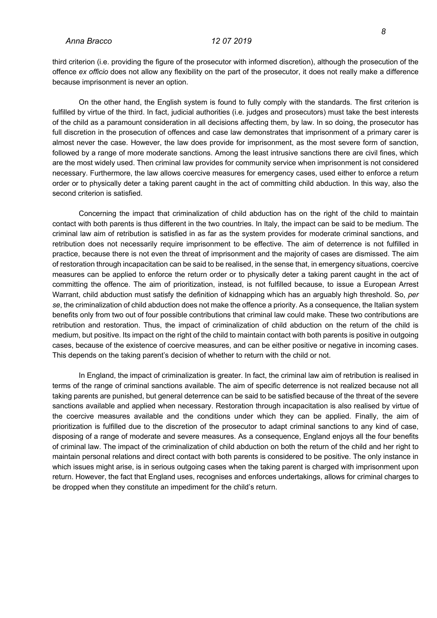third criterion (i.e. providing the figure of the prosecutor with informed discretion), although the prosecution of the offence *ex officio* does not allow any flexibility on the part of the prosecutor, it does not really make a difference because imprisonment is never an option.

On the other hand, the English system is found to fully comply with the standards. The first criterion is fulfilled by virtue of the third. In fact, judicial authorities (i.e. judges and prosecutors) must take the best interests of the child as a paramount consideration in all decisions affecting them, by law. In so doing, the prosecutor has full discretion in the prosecution of offences and case law demonstrates that imprisonment of a primary carer is almost never the case. However, the law does provide for imprisonment, as the most severe form of sanction, followed by a range of more moderate sanctions. Among the least intrusive sanctions there are civil fines, which are the most widely used. Then criminal law provides for community service when imprisonment is not considered necessary. Furthermore, the law allows coercive measures for emergency cases, used either to enforce a return order or to physically deter a taking parent caught in the act of committing child abduction. In this way, also the second criterion is satisfied.

Concerning the impact that criminalization of child abduction has on the right of the child to maintain contact with both parents is thus different in the two countries. In Italy, the impact can be said to be medium. The criminal law aim of retribution is satisfied in as far as the system provides for moderate criminal sanctions, and retribution does not necessarily require imprisonment to be effective. The aim of deterrence is not fulfilled in practice, because there is not even the threat of imprisonment and the majority of cases are dismissed. The aim of restoration through incapacitation can be said to be realised, in the sense that, in emergency situations, coercive measures can be applied to enforce the return order or to physically deter a taking parent caught in the act of committing the offence. The aim of prioritization, instead, is not fulfilled because, to issue a European Arrest Warrant, child abduction must satisfy the definition of kidnapping which has an arguably high threshold. So, *per se*, the criminalization of child abduction does not make the offence a priority. As a consequence, the Italian system benefits only from two out of four possible contributions that criminal law could make. These two contributions are retribution and restoration. Thus, the impact of criminalization of child abduction on the return of the child is medium, but positive. Its impact on the right of the child to maintain contact with both parents is positive in outgoing cases, because of the existence of coercive measures, and can be either positive or negative in incoming cases. This depends on the taking parent's decision of whether to return with the child or not.

In England, the impact of criminalization is greater. In fact, the criminal law aim of retribution is realised in terms of the range of criminal sanctions available. The aim of specific deterrence is not realized because not all taking parents are punished, but general deterrence can be said to be satisfied because of the threat of the severe sanctions available and applied when necessary. Restoration through incapacitation is also realised by virtue of the coercive measures available and the conditions under which they can be applied. Finally, the aim of prioritization is fulfilled due to the discretion of the prosecutor to adapt criminal sanctions to any kind of case, disposing of a range of moderate and severe measures. As a consequence, England enjoys all the four benefits of criminal law. The impact of the criminalization of child abduction on both the return of the child and her right to maintain personal relations and direct contact with both parents is considered to be positive. The only instance in which issues might arise, is in serious outgoing cases when the taking parent is charged with imprisonment upon return. However, the fact that England uses, recognises and enforces undertakings, allows for criminal charges to be dropped when they constitute an impediment for the child's return.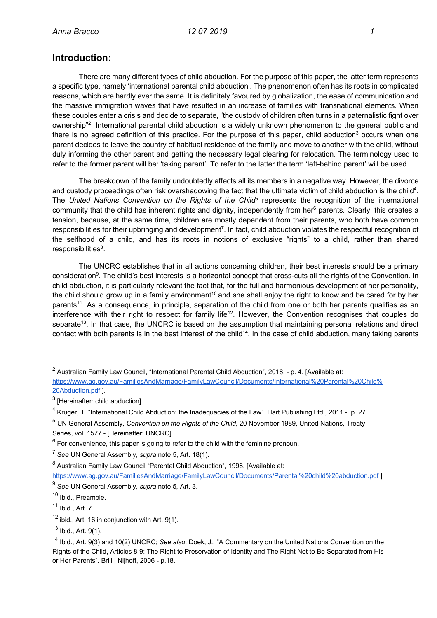There are many different types of child abduction. For the purpose of this paper, the latter term represents a specific type, namely 'international parental child abduction'. The phenomenon often has its roots in complicated reasons, which are hardly ever the same. It is definitely favoured by globalization, the ease of communication and the massive immigration waves that have resulted in an increase of families with transnational elements. When these couples enter a crisis and decide to separate, "the custody of children often turns in a paternalistic fight over ownership"<sup>2</sup>. International parental child abduction is a widely unknown phenomenon to the general public and there is no agreed definition of this practice. For the purpose of this paper, child abduction<sup>3</sup> occurs when one parent decides to leave the country of habitual residence of the family and move to another with the child, without duly informing the other parent and getting the necessary legal clearing for relocation. The terminology used to refer to the former parent will be: 'taking parent'. To refer to the latter the term 'left-behind parent' will be used.

The breakdown of the family undoubtedly affects all its members in a negative way. However, the divorce and custody proceedings often risk overshadowing the fact that the ultimate victim of child abduction is the child<sup>4</sup>. The *United Nations Convention on the Rights of the Child<sup>5</sup> represents the recognition of the international* community that the child has inherent rights and dignity, independently from her<sup>6</sup> parents. Clearly, this creates a tension, because, at the same time, children are mostly dependent from their parents, who both have common responsibilities for their upbringing and development<sup>7</sup>. In fact, child abduction violates the respectful recognition of the selfhood of a child, and has its roots in notions of exclusive "rights" to a child, rather than shared responsibilities<sup>8</sup>.

The UNCRC establishes that in all actions concerning children, their best interests should be a primary consideration<sup>9</sup>. The child's best interests is a horizontal concept that cross-cuts all the rights of the Convention. In child abduction, it is particularly relevant the fact that, for the full and harmonious development of her personality, the child should grow up in a family environment<sup>10</sup> and she shall enjoy the right to know and be cared for by her parents<sup>11</sup>. As a consequence, in principle, separation of the child from one or both her parents qualifies as an interference with their right to respect for family life<sup>12</sup>. However, the Convention recognises that couples do separate<sup>13</sup>. In that case, the UNCRC is based on the assumption that maintaining personal relations and direct contact with both parents is in the best interest of the child<sup>14</sup>. In the case of child abduction, many taking parents

<sup>&</sup>lt;sup>2</sup> Australian Family Law Council, "International Parental Child Abduction", 2018. - p. 4. [Available at: https://www.ag.gov.au/FamiliesAndMarriage/FamilyLawCouncil/Documents/International%20Parental%20Child% 20Abduction.pdf ].

<sup>3</sup> [Hereinafter: child abduction].

<sup>4</sup> Kruger, T. "International Child Abduction: the Inadequacies of the Law". Hart Publishing Ltd., 2011 - p. 27.

<sup>5</sup> UN General Assembly, *Convention on the Rights of the Child*, 20 November 1989, United Nations, Treaty Series, vol. 1577 - [Hereinafter: UNCRC].

 $6$  For convenience, this paper is going to refer to the child with the feminine pronoun.

<sup>7</sup> *See* UN General Assembly, *supra* note 5, Art. 18(1).

<sup>8</sup> Australian Family Law Council "Parental Child Abduction", 1998. [Available at:

https://www.ag.gov.au/FamiliesAndMarriage/FamilyLawCouncil/Documents/Parental%20child%20abduction.pdf ] <sup>9</sup> *See* UN General Assembly, *supra* note 5*,* Art. 3.

<sup>10</sup> Ibid., Preamble.

 $11$  Ibid., Art. 7.

 $12$  ibid., Art. 16 in conjunction with Art. 9(1).

<sup>13</sup> Ibid., Art. 9(1).

<sup>14</sup> Ibid., Art. 9(3) and 10(2) UNCRC; *See also*: Doek, J., "A Commentary on the United Nations Convention on the Rights of the Child, Articles 8-9: The Right to Preservation of Identity and The Right Not to Be Separated from His or Her Parents". Brill | Nijhoff, 2006 - p.18.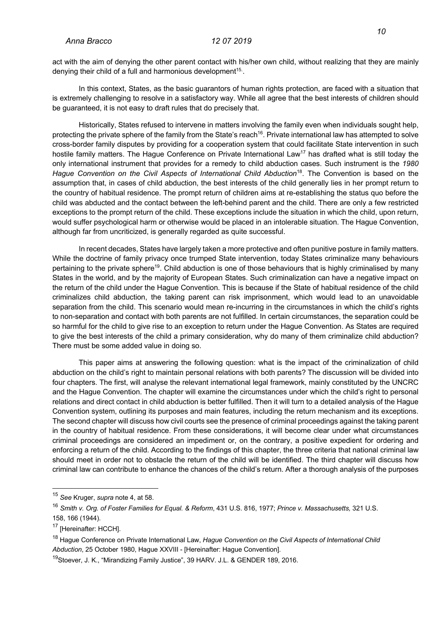act with the aim of denying the other parent contact with his/her own child, without realizing that they are mainly denying their child of a full and harmonious development<sup>15</sup>.

In this context, States, as the basic guarantors of human rights protection, are faced with a situation that is extremely challenging to resolve in a satisfactory way. While all agree that the best interests of children should be guaranteed, it is not easy to draft rules that do precisely that.

Historically, States refused to intervene in matters involving the family even when individuals sought help, protecting the private sphere of the family from the State's reach<sup>16</sup>. Private international law has attempted to solve cross-border family disputes by providing for a cooperation system that could facilitate State intervention in such hostile family matters. The Hague Conference on Private International Law<sup>17</sup> has drafted what is still today the only international instrument that provides for a remedy to child abduction cases. Such instrument is the *1980 Hague Convention on the Civil Aspects of International Child Abduction*18. The Convention is based on the assumption that, in cases of child abduction, the best interests of the child generally lies in her prompt return to the country of habitual residence. The prompt return of children aims at re-establishing the status quo before the child was abducted and the contact between the left-behind parent and the child. There are only a few restricted exceptions to the prompt return of the child. These exceptions include the situation in which the child, upon return, would suffer psychological harm or otherwise would be placed in an intolerable situation. The Hague Convention, although far from uncriticized, is generally regarded as quite successful.

In recent decades, States have largely taken a more protective and often punitive posture in family matters. While the doctrine of family privacy once trumped State intervention, today States criminalize many behaviours pertaining to the private sphere<sup>19</sup>. Child abduction is one of those behaviours that is highly criminalised by many States in the world, and by the majority of European States. Such criminalization can have a negative impact on the return of the child under the Hague Convention. This is because if the State of habitual residence of the child criminalizes child abduction, the taking parent can risk imprisonment, which would lead to an unavoidable separation from the child. This scenario would mean re-incurring in the circumstances in which the child's rights to non-separation and contact with both parents are not fulfilled. In certain circumstances, the separation could be so harmful for the child to give rise to an exception to return under the Hague Convention. As States are required to give the best interests of the child a primary consideration, why do many of them criminalize child abduction? There must be some added value in doing so.

This paper aims at answering the following question: what is the impact of the criminalization of child abduction on the child's right to maintain personal relations with both parents? The discussion will be divided into four chapters. The first, will analyse the relevant international legal framework, mainly constituted by the UNCRC and the Hague Convention. The chapter will examine the circumstances under which the child's right to personal relations and direct contact in child abduction is better fulfilled. Then it will turn to a detailed analysis of the Hague Convention system, outlining its purposes and main features, including the return mechanism and its exceptions. The second chapter will discuss how civil courts see the presence of criminal proceedings against the taking parent in the country of habitual residence. From these considerations, it will become clear under what circumstances criminal proceedings are considered an impediment or, on the contrary, a positive expedient for ordering and enforcing a return of the child. According to the findings of this chapter, the three criteria that national criminal law should meet in order not to obstacle the return of the child will be identified. The third chapter will discuss how criminal law can contribute to enhance the chances of the child's return. After a thorough analysis of the purposes

<sup>15</sup> *See* Kruger, *supra* note 4, at 58.

<sup>16</sup> *Smith v. Org. of Foster Families for Equal. & Reform*, 431 U.S. 816, 1977; *Prince v. Massachusetts,* 321 U.S. 158, 166 (1944).

<sup>&</sup>lt;sup>17</sup> [Hereinafter: HCCH].

<sup>18</sup> Hague Conference on Private International Law, *Hague Convention on the Civil Aspects of International Child Abduction*, 25 October 1980, Hague XXVIII - [Hereinafter: Hague Convention].

<sup>&</sup>lt;sup>19</sup>Stoever, J. K., "Mirandizing Family Justice", 39 HARV, J.L. & GENDER 189, 2016.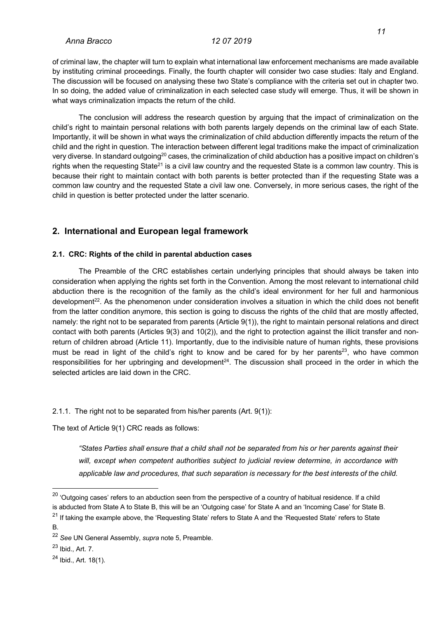of criminal law, the chapter will turn to explain what international law enforcement mechanisms are made available by instituting criminal proceedings. Finally, the fourth chapter will consider two case studies: Italy and England. The discussion will be focused on analysing these two State's compliance with the criteria set out in chapter two. In so doing, the added value of criminalization in each selected case study will emerge. Thus, it will be shown in what ways criminalization impacts the return of the child.

The conclusion will address the research question by arguing that the impact of criminalization on the child's right to maintain personal relations with both parents largely depends on the criminal law of each State. Importantly, it will be shown in what ways the criminalization of child abduction differently impacts the return of the child and the right in question. The interaction between different legal traditions make the impact of criminalization very diverse. In standard outgoing<sup>20</sup> cases, the criminalization of child abduction has a positive impact on children's rights when the requesting State<sup>21</sup> is a civil law country and the requested State is a common law country. This is because their right to maintain contact with both parents is better protected than if the requesting State was a common law country and the requested State a civil law one. Conversely, in more serious cases, the right of the child in question is better protected under the latter scenario.

### **2. International and European legal framework**

### **2.1. CRC: Rights of the child in parental abduction cases**

The Preamble of the CRC establishes certain underlying principles that should always be taken into consideration when applying the rights set forth in the Convention. Among the most relevant to international child abduction there is the recognition of the family as the child's ideal environment for her full and harmonious development<sup>22</sup>. As the phenomenon under consideration involves a situation in which the child does not benefit from the latter condition anymore, this section is going to discuss the rights of the child that are mostly affected, namely: the right not to be separated from parents (Article 9(1)), the right to maintain personal relations and direct contact with both parents (Articles 9(3) and 10(2)), and the right to protection against the illicit transfer and nonreturn of children abroad (Article 11). Importantly, due to the indivisible nature of human rights, these provisions must be read in light of the child's right to know and be cared for by her parents<sup>23</sup>, who have common responsibilities for her upbringing and development<sup>24</sup>. The discussion shall proceed in the order in which the selected articles are laid down in the CRC.

### 2.1.1. The right not to be separated from his/her parents (Art. 9(1)):

The text of Article 9(1) CRC reads as follows:

*"States Parties shall ensure that a child shall not be separated from his or her parents against their will, except when competent authorities subject to judicial review determine, in accordance with applicable law and procedures, that such separation is necessary for the best interests of the child.* 

 $20$  'Outgoing cases' refers to an abduction seen from the perspective of a country of habitual residence. If a child is abducted from State A to State B, this will be an 'Outgoing case' for State A and an 'Incoming Case' for State B.

<sup>&</sup>lt;sup>21</sup> If taking the example above, the 'Requesting State' refers to State A and the 'Requested State' refers to State B.

<sup>22</sup> *See* UN General Assembly, *supra* note 5, Preamble.

<sup>23</sup> Ibid., Art. 7.

<sup>24</sup> Ibid., Art. 18(1).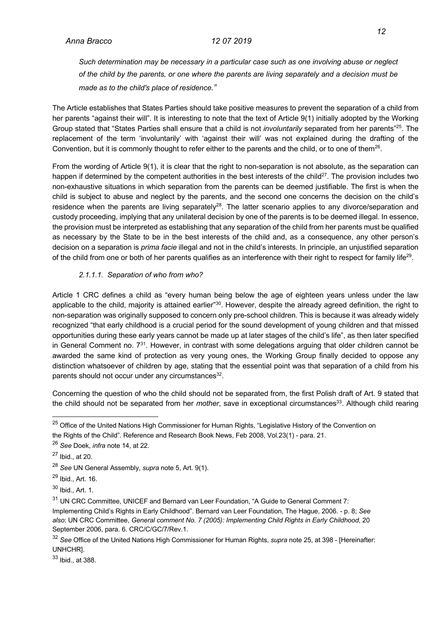*Such determination may be necessary in a particular case such as one involving abuse or neglect of the child by the parents, or one where the parents are living separately and a decision must be made as to the child's place of residence."*

The Article establishes that States Parties should take positive measures to prevent the separation of a child from her parents "against their will". It is interesting to note that the text of Article 9(1) initially adopted by the Working Group stated that "States Parties shall ensure that a child is not *involuntarily* separated from her parents"25. The replacement of the term 'involuntarily' with 'against their will' was not explained during the drafting of the Convention, but it is commonly thought to refer either to the parents and the child, or to one of them<sup>26</sup>.

From the wording of Article 9(1), it is clear that the right to non-separation is not absolute, as the separation can happen if determined by the competent authorities in the best interests of the child<sup>27</sup>. The provision includes two non-exhaustive situations in which separation from the parents can be deemed justifiable. The first is when the child is subject to abuse and neglect by the parents, and the second one concerns the decision on the child's residence when the parents are living separately<sup>28</sup>. The latter scenario applies to any divorce/separation and custody proceeding, implying that any unilateral decision by one of the parents is to be deemed illegal. In essence, the provision must be interpreted as establishing that any separation of the child from her parents must be qualified as necessary by the State to be in the best interests of the child and, as a consequence, any other person's decision on a separation is *prima facie* illegal and not in the child's interests. In principle, an unjustified separation of the child from one or both of her parents qualifies as an interference with their right to respect for family life29.

### *2.1.1.1. Separation of who from who?*

Article 1 CRC defines a child as "every human being below the age of eighteen years unless under the law applicable to the child, majority is attained earlier<sup>"30</sup>. However, despite the already agreed definition, the right to non-separation was originally supposed to concern only pre-school children. This is because it was already widely recognized "that early childhood is a crucial period for the sound development of young children and that missed opportunities during these early years cannot be made up at later stages of the child's life", as then later specified in General Comment no.  $7<sup>31</sup>$ . However, in contrast with some delegations arguing that older children cannot be awarded the same kind of protection as very young ones, the Working Group finally decided to oppose any distinction whatsoever of children by age, stating that the essential point was that separation of a child from his parents should not occur under any circumstances<sup>32</sup>.

Concerning the question of who the child should not be separated from, the first Polish draft of Art. 9 stated that the child should not be separated from her *mother*, save in exceptional circumstances33. Although child rearing

<sup>33</sup> Ibid., at 388.

<sup>&</sup>lt;sup>25</sup> Office of the United Nations High Commissioner for Human Rights, "Legislative History of the Convention on the Rights of the Child". Reference and Research Book News, Feb 2008, Vol.23(1) - para. 21.

<sup>26</sup> *See* Doek, *infra* note 14, at 22.

<sup>27</sup> Ibid., at 20.

<sup>28</sup> *See* UN General Assembly, *supra* note 5, Art. 9(1).

<sup>29</sup> Ibid., Art. 16.

 $30$  Ibid., Art. 1.

 $31$  UN CRC Committee, UNICEF and Bernard van Leer Foundation, "A Guide to General Comment 7: Implementing Child's Rights in Early Childhood". Bernard van Leer Foundation, The Hague, 2006. - p. 8; *See also*: UN CRC Committee, *General comment No. 7 (2005): Implementing Child Rights in Early Childhood*, 20 September 2006, para. 6. CRC/C/GC/7/Rev.1.

<sup>32</sup> *See* Office of the United Nations High Commissioner for Human Rights, *supra* note 25, at 398 - [Hereinafter: UNHCHR].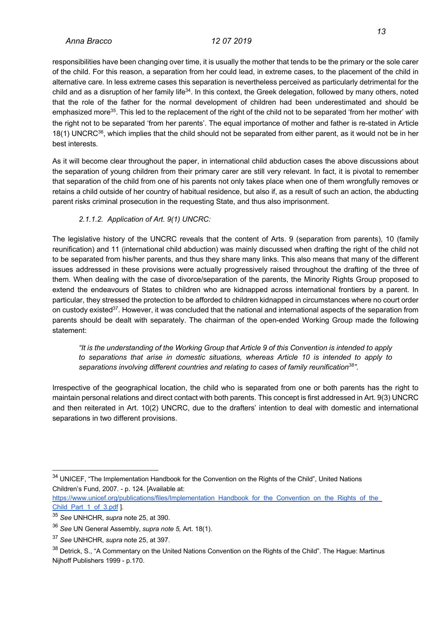responsibilities have been changing over time, it is usually the mother that tends to be the primary or the sole carer of the child. For this reason, a separation from her could lead, in extreme cases, to the placement of the child in alternative care. In less extreme cases this separation is nevertheless perceived as particularly detrimental for the child and as a disruption of her family life<sup>34</sup>. In this context, the Greek delegation, followed by many others, noted that the role of the father for the normal development of children had been underestimated and should be emphasized more<sup>35</sup>. This led to the replacement of the right of the child not to be separated 'from her mother' with the right not to be separated 'from her parents'. The equal importance of mother and father is re-stated in Article 18(1) UNCRC<sup>36</sup>, which implies that the child should not be separated from either parent, as it would not be in her best interests.

As it will become clear throughout the paper, in international child abduction cases the above discussions about the separation of young children from their primary carer are still very relevant. In fact, it is pivotal to remember that separation of the child from one of his parents not only takes place when one of them wrongfully removes or retains a child outside of her country of habitual residence, but also if, as a result of such an action, the abducting parent risks criminal prosecution in the requesting State, and thus also imprisonment.

### *2.1.1.2. Application of Art. 9(1) UNCRC:*

The legislative history of the UNCRC reveals that the content of Arts. 9 (separation from parents), 10 (family reunification) and 11 (international child abduction) was mainly discussed when drafting the right of the child not to be separated from his/her parents, and thus they share many links. This also means that many of the different issues addressed in these provisions were actually progressively raised throughout the drafting of the three of them. When dealing with the case of divorce/separation of the parents, the Minority Rights Group proposed to extend the endeavours of States to children who are kidnapped across international frontiers by a parent. In particular, they stressed the protection to be afforded to children kidnapped in circumstances where no court order on custody existed<sup>37</sup>. However, it was concluded that the national and international aspects of the separation from parents should be dealt with separately. The chairman of the open-ended Working Group made the following statement:

*"It is the understanding of the Working Group that Article 9 of this Convention is intended to apply to separations that arise in domestic situations, whereas Article 10 is intended to apply to separations involving different countries and relating to cases of family reunification38"*.

Irrespective of the geographical location, the child who is separated from one or both parents has the right to maintain personal relations and direct contact with both parents. This concept is first addressed in Art. 9(3) UNCRC and then reiterated in Art. 10(2) UNCRC, due to the drafters' intention to deal with domestic and international separations in two different provisions.

<sup>&</sup>lt;sup>34</sup> UNICEF, "The Implementation Handbook for the Convention on the Rights of the Child", United Nations Children's Fund, 2007. - p. 124. [Available at:

https://www.unicef.org/publications/files/Implementation\_Handbook\_for\_the\_Convention\_on\_the\_Rights\_of\_the Child Part 1 of 3.pdf ].

<sup>35</sup> *See* UNHCHR, *supra* note 25, at 390.

<sup>36</sup> *See* UN General Assembly, *supra note 5,* Art. 18(1).

<sup>37</sup> *See* UNHCHR, *supra* note 25, at 397.

<sup>&</sup>lt;sup>38</sup> Detrick, S., "A Commentary on the United Nations Convention on the Rights of the Child". The Hague: Martinus Nijhoff Publishers 1999 - p.170.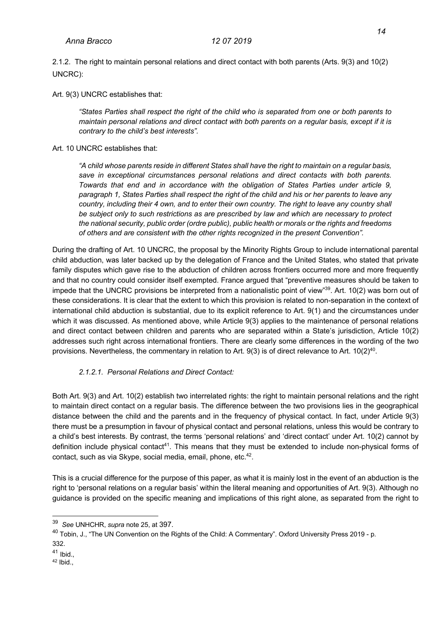2.1.2. The right to maintain personal relations and direct contact with both parents (Arts. 9(3) and 10(2) UNCRC):

Art. 9(3) UNCRC establishes that:

*"States Parties shall respect the right of the child who is separated from one or both parents to maintain personal relations and direct contact with both parents on a regular basis, except if it is contrary to the child's best interests".*

### Art. 10 UNCRC establishes that:

*"A child whose parents reside in different States shall have the right to maintain on a regular basis, save in exceptional circumstances personal relations and direct contacts with both parents. Towards that end and in accordance with the obligation of States Parties under article 9, paragraph 1, States Parties shall respect the right of the child and his or her parents to leave any country, including their 4 own, and to enter their own country. The right to leave any country shall be subject only to such restrictions as are prescribed by law and which are necessary to protect the national security, public order (ordre public), public health or morals or the rights and freedoms of others and are consistent with the other rights recognized in the present Convention".* 

During the drafting of Art. 10 UNCRC, the proposal by the Minority Rights Group to include international parental child abduction, was later backed up by the delegation of France and the United States, who stated that private family disputes which gave rise to the abduction of children across frontiers occurred more and more frequently and that no country could consider itself exempted. France argued that "preventive measures should be taken to impede that the UNCRC provisions be interpreted from a nationalistic point of view"<sup>39</sup>. Art. 10(2) was born out of these considerations. It is clear that the extent to which this provision is related to non-separation in the context of international child abduction is substantial, due to its explicit reference to Art. 9(1) and the circumstances under which it was discussed. As mentioned above, while Article 9(3) applies to the maintenance of personal relations and direct contact between children and parents who are separated within a State's jurisdiction, Article 10(2) addresses such right across international frontiers. There are clearly some differences in the wording of the two provisions. Nevertheless, the commentary in relation to Art.  $9(3)$  is of direct relevance to Art.  $10(2)^{40}$ .

### *2.1.2.1. Personal Relations and Direct Contact:*

Both Art. 9(3) and Art. 10(2) establish two interrelated rights: the right to maintain personal relations and the right to maintain direct contact on a regular basis. The difference between the two provisions lies in the geographical distance between the child and the parents and in the frequency of physical contact. In fact, under Article 9(3) there must be a presumption in favour of physical contact and personal relations, unless this would be contrary to a child's best interests. By contrast, the terms 'personal relations' and 'direct contact' under Art. 10(2) cannot by definition include physical contact<sup>41</sup>. This means that they must be extended to include non-physical forms of contact, such as via Skype, social media, email, phone, etc.<sup>42</sup>.

This is a crucial difference for the purpose of this paper, as what it is mainly lost in the event of an abduction is the right to 'personal relations on a regular basis' within the literal meaning and opportunities of Art. 9(3). Although no guidance is provided on the specific meaning and implications of this right alone, as separated from the right to

<sup>40</sup> Tobin, J., "The UN Convention on the Rights of the Child: A Commentary". Oxford University Press 2019 - p. 332.

 $42$  Ibid.,

<sup>39</sup> *See* UNHCHR, *supra* note 25, at 397.

<sup>41</sup> Ibid.,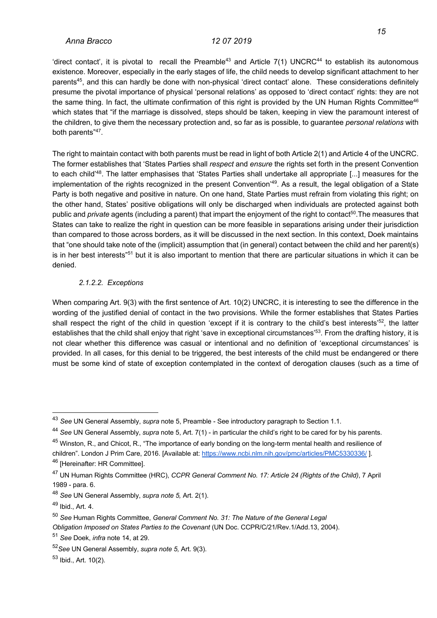'direct contact', it is pivotal to recall the Preamble<sup>43</sup> and Article  $7(1)$  UNCRC<sup>44</sup> to establish its autonomous existence. Moreover, especially in the early stages of life, the child needs to develop significant attachment to her parents<sup>45</sup>, and this can hardly be done with non-physical 'direct contact' alone. These considerations definitely presume the pivotal importance of physical 'personal relations' as opposed to 'direct contact' rights: they are not the same thing. In fact, the ultimate confirmation of this right is provided by the UN Human Rights Committee<sup>46</sup> which states that "if the marriage is dissolved, steps should be taken, keeping in view the paramount interest of the children, to give them the necessary protection and, so far as is possible, to guarantee *personal relations* with both parents"47.

The right to maintain contact with both parents must be read in light of both Article 2(1) and Article 4 of the UNCRC. The former establishes that 'States Parties shall *respect* and *ensure* the rights set forth in the present Convention to each child'48. The latter emphasises that 'States Parties shall undertake all appropriate [...] measures for the implementation of the rights recognized in the present Convention<sup>149</sup>. As a result, the legal obligation of a State Party is both negative and positive in nature. On one hand, State Parties must refrain from violating this right; on the other hand, States' positive obligations will only be discharged when individuals are protected against both public and *private* agents (including a parent) that impart the enjoyment of the right to contact<sup>50</sup>. The measures that States can take to realize the right in question can be more feasible in separations arising under their jurisdiction than compared to those across borders, as it will be discussed in the next section. In this context, Doek maintains that "one should take note of the (implicit) assumption that (in general) contact between the child and her parent(s) is in her best interests<sup>"51</sup> but it is also important to mention that there are particular situations in which it can be denied.

### *2.1.2.2. Exceptions*

When comparing Art. 9(3) with the first sentence of Art. 10(2) UNCRC, it is interesting to see the difference in the wording of the justified denial of contact in the two provisions. While the former establishes that States Parties shall respect the right of the child in question 'except if it is contrary to the child's best interests<sup>'52</sup>, the latter establishes that the child shall enjoy that right 'save in exceptional circumstances'<sup>53</sup>. From the drafting history, it is not clear whether this difference was casual or intentional and no definition of 'exceptional circumstances' is provided. In all cases, for this denial to be triggered, the best interests of the child must be endangered or there must be some kind of state of exception contemplated in the context of derogation clauses (such as a time of

<sup>43</sup> *See* UN General Assembly, *supra* note 5, Preamble - See introductory paragraph to Section 1.1.

<sup>44</sup> *See* UN General Assembly, *supra* note 5, Art. 7(1) - in particular the child's right to be cared for by his parents.

<sup>&</sup>lt;sup>45</sup> Winston, R., and Chicot, R., "The importance of early bonding on the long-term mental health and resilience of children". London J Prim Care, 2016. [Available at: https://www.ncbi.nlm.nih.gov/pmc/articles/PMC5330336/ ]. <sup>46</sup> [Hereinafter: HR Committee].

<sup>47</sup> UN Human Rights Committee (HRC), *CCPR General Comment No. 17: Article 24 (Rights of the Child)*, 7 April 1989 - para. 6.

<sup>48</sup> *See* UN General Assembly, *supra note 5,* Art. 2(1).

 $49$  Ibid., Art. 4.

<sup>50</sup> *See* Human Rights Committee, *General Comment No. 31: The Nature of the General Legal*

*Obligation Imposed on States Parties to the Covenant* (UN Doc. CCPR/C/21/Rev.1/Add.13, 2004).

<sup>51</sup> *See* Doek, *infra* note 14, at 29.

<sup>52</sup>*See* UN General Assembly, *supra note 5,* Art. 9(3).

<sup>53</sup> Ibid., Art. 10(2).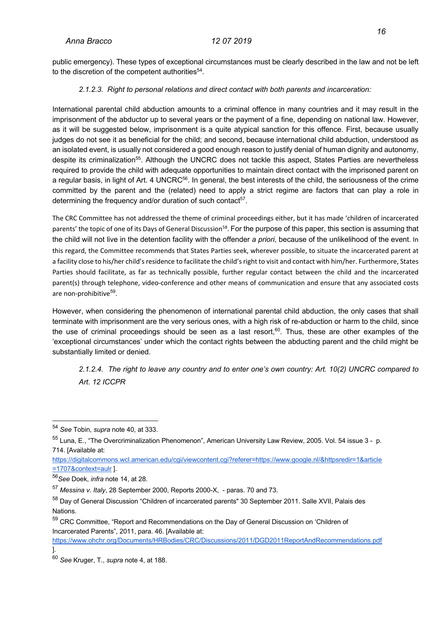public emergency). These types of exceptional circumstances must be clearly described in the law and not be left to the discretion of the competent authorities $54$ .

### *2.1.2.3. Right to personal relations and direct contact with both parents and incarceration:*

International parental child abduction amounts to a criminal offence in many countries and it may result in the imprisonment of the abductor up to several years or the payment of a fine, depending on national law. However, as it will be suggested below, imprisonment is a quite atypical sanction for this offence. First, because usually judges do not see it as beneficial for the child; and second, because international child abduction, understood as an isolated event, is usually not considered a good enough reason to justify denial of human dignity and autonomy, despite its criminalization<sup>55</sup>. Although the UNCRC does not tackle this aspect, States Parties are nevertheless required to provide the child with adequate opportunities to maintain direct contact with the imprisoned parent on a regular basis, in light of Art. 4 UNCRC<sup>56</sup>. In general, the best interests of the child, the seriousness of the crime committed by the parent and the (related) need to apply a strict regime are factors that can play a role in determining the frequency and/or duration of such contact<sup>57</sup>.

The CRC Committee has not addressed the theme of criminal proceedings either, but it has made 'children of incarcerated parents' the topic of one of its Days of General Discussion<sup>58</sup>. For the purpose of this paper, this section is assuming that the child will not live in the detention facility with the offender *a priori*, because of the unlikelihood of the event. In this regard, the Committee recommends that States Parties seek, wherever possible, to situate the incarcerated parent at a facility close to his/her child's residence to facilitate the child's right to visit and contact with him/her. Furthermore, States Parties should facilitate, as far as technically possible, further regular contact between the child and the incarcerated parent(s) through telephone, video-conference and other means of communication and ensure that any associated costs are non-prohibitive<sup>59</sup>.

However, when considering the phenomenon of international parental child abduction, the only cases that shall terminate with imprisonment are the very serious ones, with a high risk of re-abduction or harm to the child, since the use of criminal proceedings should be seen as a last resort, $60$ . Thus, these are other examples of the 'exceptional circumstances' under which the contact rights between the abducting parent and the child might be substantially limited or denied.

*2.1.2.4. The right to leave any country and to enter one's own country: Art. 10(2) UNCRC compared to Art. 12 ICCPR*

https://digitalcommons.wcl.american.edu/cgi/viewcontent.cgi?referer=https://www.google.nl/&httpsredir=1&article =1707&context=aulr ].

<sup>54</sup> *See* Tobin, *supra* note 40, at 333.

<sup>55</sup> Luna, E., "The Overcriminalization Phenomenon", American University Law Review, 2005. Vol. 54 issue 3 - p. 714. [Available at:

<sup>56</sup>*See* Doek, *infra* note 14, at 28.

<sup>57</sup> *Messina v. Italy*, 28 September 2000, Reports 2000-X, - paras. 70 and 73.

<sup>&</sup>lt;sup>58</sup> Day of General Discussion "Children of incarcerated parents" 30 September 2011. Salle XVII. Palais des Nations.

<sup>59</sup> CRC Committee, "Report and Recommendations on the Day of General Discussion on 'Children of Incarcerated Parents", 2011, para. 46. [Available at:

https://www.ohchr.org/Documents/HRBodies/CRC/Discussions/2011/DGD2011ReportAndRecommendations.pdf ].

<sup>60</sup> *See* Kruger, T., *supra* note 4, at 188.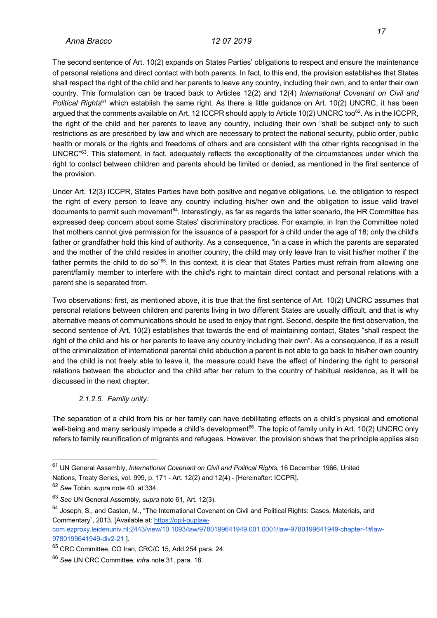The second sentence of Art. 10(2) expands on States Parties' obligations to respect and ensure the maintenance of personal relations and direct contact with both parents. In fact, to this end, the provision establishes that States shall respect the right of the child and her parents to leave any country, including their own, and to enter their own country. This formulation can be traced back to Articles 12(2) and 12(4) *International Covenant on Civil and Political Rights*<sup>61</sup> which establish the same right. As there is little guidance on Art. 10(2) UNCRC, it has been argued that the comments available on Art. 12 ICCPR should apply to Article 10(2) UNCRC too $62$ . As in the ICCPR, the right of the child and her parents to leave any country, including their own "shall be subject only to such restrictions as are prescribed by law and which are necessary to protect the national security, public order, public health or morals or the rights and freedoms of others and are consistent with the other rights recognised in the UNCRC"63. This statement, in fact, adequately reflects the exceptionality of the circumstances under which the right to contact between children and parents should be limited or denied, as mentioned in the first sentence of the provision.

Under Art. 12(3) ICCPR, States Parties have both positive and negative obligations, i.e. the obligation to respect the right of every person to leave any country including his/her own and the obligation to issue valid travel documents to permit such movement<sup>64</sup>. Interestingly, as far as regards the latter scenario, the HR Committee has expressed deep concern about some States' discriminatory practices. For example, in Iran the Committee noted that mothers cannot give permission for the issuance of a passport for a child under the age of 18; only the child's father or grandfather hold this kind of authority. As a consequence, "in a case in which the parents are separated and the mother of the child resides in another country, the child may only leave Iran to visit his/her mother if the father permits the child to do so<sup>"65</sup>. In this context, it is clear that States Parties must refrain from allowing one parent/family member to interfere with the child's right to maintain direct contact and personal relations with a parent she is separated from.

Two observations: first, as mentioned above, it is true that the first sentence of Art. 10(2) UNCRC assumes that personal relations between children and parents living in two different States are usually difficult, and that is why alternative means of communications should be used to enjoy that right. Second, despite the first observation, the second sentence of Art. 10(2) establishes that towards the end of maintaining contact, States "shall respect the right of the child and his or her parents to leave any country including their own". As a consequence, if as a result of the criminalization of international parental child abduction a parent is not able to go back to his/her own country and the child is not freely able to leave it, the measure could have the effect of hindering the right to personal relations between the abductor and the child after her return to the country of habitual residence, as it will be discussed in the next chapter.

*2.1.2.5. Family unity:*

The separation of a child from his or her family can have debilitating effects on a child's physical and emotional well-being and many seriously impede a child's development<sup>66</sup>. The topic of family unity in Art. 10(2) UNCRC only refers to family reunification of migrants and refugees. However, the provision shows that the principle applies also

<sup>61</sup> UN General Assembly, *International Covenant on Civil and Political Rights*, 16 December 1966, United Nations, Treaty Series, vol. 999, p. 171 - Art. 12(2) and 12(4) - [Hereinafter: ICCPR].

<sup>62</sup> *See* Tobin, *supra* note 40, at 334.

<sup>63</sup> *See* UN General Assembly, *supra* note 61, Art. 12(3).

<sup>64</sup> Joseph, S., and Castan, M., "The International Covenant on Civil and Political Rights: Cases, Materials, and Commentary", 2013. [Available at: https://opil-ouplaw-

com.ezproxy.leidenuniv.nl:2443/view/10.1093/law/9780199641949.001.0001/law-9780199641949-chapter-1#law-9780199641949-div2-21 ].

<sup>&</sup>lt;sup>65</sup> CRC Committee, CO Iran, CRC/C 15, Add.254 para. 24.

<sup>66</sup> *See* UN CRC Committee, *infra* note 31, para. 18.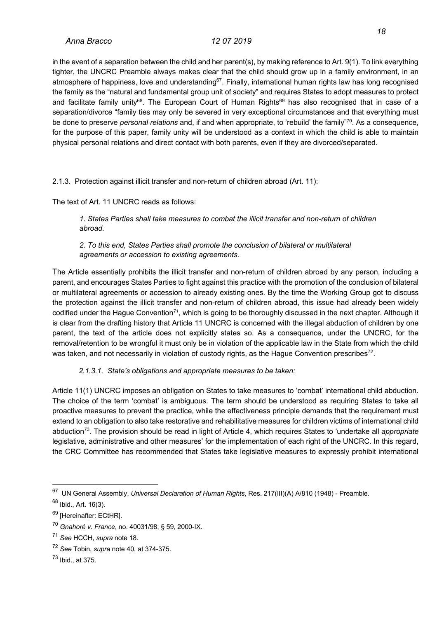in the event of a separation between the child and her parent(s), by making reference to Art. 9(1). To link everything tighter, the UNCRC Preamble always makes clear that the child should grow up in a family environment, in an atmosphere of happiness, love and understanding<sup>67</sup>. Finally, international human rights law has long recognised the family as the "natural and fundamental group unit of society" and requires States to adopt measures to protect and facilitate family unity<sup>68</sup>. The European Court of Human Rights<sup>69</sup> has also recognised that in case of a separation/divorce "family ties may only be severed in very exceptional circumstances and that everything must be done to preserve *personal relations* and, if and when appropriate, to 'rebuild' the family"70. As a consequence, for the purpose of this paper, family unity will be understood as a context in which the child is able to maintain physical personal relations and direct contact with both parents, even if they are divorced/separated.

2.1.3. Protection against illicit transfer and non-return of children abroad (Art. 11):

The text of Art. 11 UNCRC reads as follows:

*1. States Parties shall take measures to combat the illicit transfer and non-return of children abroad.* 

*2. To this end, States Parties shall promote the conclusion of bilateral or multilateral agreements or accession to existing agreements.* 

The Article essentially prohibits the illicit transfer and non-return of children abroad by any person, including a parent, and encourages States Parties to fight against this practice with the promotion of the conclusion of bilateral or multilateral agreements or accession to already existing ones. By the time the Working Group got to discuss the protection against the illicit transfer and non-return of children abroad, this issue had already been widely codified under the Hague Convention*<sup>71</sup>*, which is going to be thoroughly discussed in the next chapter. Although it is clear from the drafting history that Article 11 UNCRC is concerned with the illegal abduction of children by one parent, the text of the article does not explicitly states so. As a consequence, under the UNCRC, for the removal/retention to be wrongful it must only be in violation of the applicable law in the State from which the child was taken, and not necessarily in violation of custody rights, as the Hague Convention prescribes<sup>72</sup>.

*2.1.3.1. State's obligations and appropriate measures to be taken:*

Article 11(1) UNCRC imposes an obligation on States to take measures to 'combat' international child abduction. The choice of the term 'combat' is ambiguous. The term should be understood as requiring States to take all proactive measures to prevent the practice, while the effectiveness principle demands that the requirement must extend to an obligation to also take restorative and rehabilitative measures for children victims of international child abduction73. The provision should be read in light of Article 4, which requires States to 'undertake all *appropriate* legislative, administrative and other measures' for the implementation of each right of the UNCRC. In this regard, the CRC Committee has recommended that States take legislative measures to expressly prohibit international

<sup>67</sup> UN General Assembly, *Universal Declaration of Human Rights*, Res. 217(III)(A) A/810 (1948) - Preamble.

<sup>68</sup> Ibid., Art. 16(3).

<sup>&</sup>lt;sup>69</sup> [Hereinafter: ECtHR].

<sup>70</sup> *Gnahoré v. France*, no. 40031/98, § 59, 2000-IX.

<sup>71</sup> *See* HCCH, *supra* note 18.

<sup>72</sup> *See* Tobin, *supra* note 40, at 374-375.

<sup>73</sup> Ibid., at 375.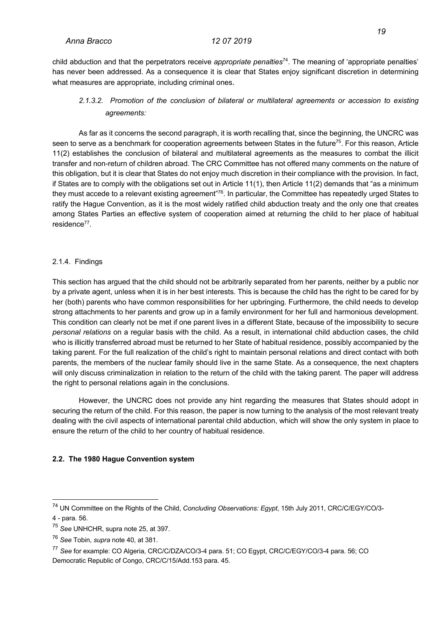child abduction and that the perpetrators receive *appropriate penalties*74. The meaning of 'appropriate penalties' has never been addressed. As a consequence it is clear that States enjoy significant discretion in determining what measures are appropriate, including criminal ones.

### *2.1.3.2. Promotion of the conclusion of bilateral or multilateral agreements or accession to existing agreements:*

As far as it concerns the second paragraph, it is worth recalling that, since the beginning, the UNCRC was seen to serve as a benchmark for cooperation agreements between States in the future<sup>75</sup>. For this reason, Article 11(2) establishes the conclusion of bilateral and multilateral agreements as the measures to combat the illicit transfer and non-return of children abroad. The CRC Committee has not offered many comments on the nature of this obligation, but it is clear that States do not enjoy much discretion in their compliance with the provision. In fact, if States are to comply with the obligations set out in Article 11(1), then Article 11(2) demands that "as a minimum they must accede to a relevant existing agreement"<sup>76</sup>. In particular, the Committee has repeatedly urged States to ratify the Hague Convention, as it is the most widely ratified child abduction treaty and the only one that creates among States Parties an effective system of cooperation aimed at returning the child to her place of habitual residence77.

### 2.1.4. Findings

This section has argued that the child should not be arbitrarily separated from her parents, neither by a public nor by a private agent, unless when it is in her best interests. This is because the child has the right to be cared for by her (both) parents who have common responsibilities for her upbringing. Furthermore, the child needs to develop strong attachments to her parents and grow up in a family environment for her full and harmonious development. This condition can clearly not be met if one parent lives in a different State, because of the impossibility to secure *personal relations* on a regular basis with the child. As a result, in international child abduction cases, the child who is illicitly transferred abroad must be returned to her State of habitual residence, possibly accompanied by the taking parent. For the full realization of the child's right to maintain personal relations and direct contact with both parents, the members of the nuclear family should live in the same State. As a consequence, the next chapters will only discuss criminalization in relation to the return of the child with the taking parent. The paper will address the right to personal relations again in the conclusions.

However, the UNCRC does not provide any hint regarding the measures that States should adopt in securing the return of the child. For this reason, the paper is now turning to the analysis of the most relevant treaty dealing with the civil aspects of international parental child abduction, which will show the only system in place to ensure the return of the child to her country of habitual residence.

### **2.2. The 1980 Hague Convention system**

<sup>74</sup> UN Committee on the Rights of the Child, *Concluding Observations: Egypt*, 15th July 2011, CRC/C/EGY/CO/3- 4 - para. 56.

<sup>75</sup> *See* UNHCHR, supra note 25, at 397.

<sup>76</sup> *See* Tobin, *supra* note 40, at 381.

<sup>77</sup> *See* for example: CO Algeria, CRC/C/DZA/CO/3-4 para. 51; CO Egypt, CRC/C/EGY/CO/3-4 para. 56; CO Democratic Republic of Congo, CRC/C/15/Add.153 para. 45.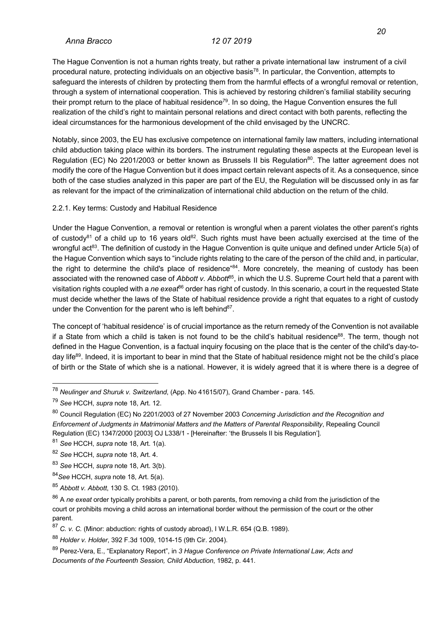The Hague Convention is not a human rights treaty, but rather a private international law instrument of a civil procedural nature, protecting individuals on an objective basis<sup>78</sup>. In particular, the Convention, attempts to safeguard the interests of children by protecting them from the harmful effects of a wrongful removal or retention, through a system of international cooperation. This is achieved by restoring children's familial stability securing their prompt return to the place of habitual residence<sup>79</sup>. In so doing, the Hague Convention ensures the full realization of the child's right to maintain personal relations and direct contact with both parents, reflecting the ideal circumstances for the harmonious development of the child envisaged by the UNCRC.

Notably, since 2003, the EU has exclusive competence on international family law matters, including international child abduction taking place within its borders. The instrument regulating these aspects at the European level is Regulation (EC) No 2201/2003 or better known as Brussels II bis Regulation<sup>80</sup>. The latter agreement does not modify the core of the Hague Convention but it does impact certain relevant aspects of it. As a consequence, since both of the case studies analyzed in this paper are part of the EU, the Regulation will be discussed only in as far as relevant for the impact of the criminalization of international child abduction on the return of the child.

### 2.2.1. Key terms: Custody and Habitual Residence

Under the Hague Convention, a removal or retention is wrongful when a parent violates the other parent's rights of custody<sup>81</sup> of a child up to 16 years old<sup>82</sup>. Such rights must have been actually exercised at the time of the wrongful act<sup>83</sup>. The definition of custody in the Hague Convention is quite unique and defined under Article 5(a) of the Hague Convention which says to "include rights relating to the care of the person of the child and, in particular, the right to determine the child's place of residence"<sup>84</sup>. More concretely, the meaning of custody has been associated with the renowned case of *Abbott v. Abbott*85, in which the U.S. Supreme Court held that a parent with visitation rights coupled with a *ne exeat*<sup>86</sup> order has right of custody. In this scenario, a court in the requested State must decide whether the laws of the State of habitual residence provide a right that equates to a right of custody under the Convention for the parent who is left behind $87$ .

The concept of 'habitual residence' is of crucial importance as the return remedy of the Convention is not available if a State from which a child is taken is not found to be the child's habitual residence<sup>88</sup>. The term, though not defined in the Hague Convention, is a factual inquiry focusing on the place that is the center of the child's day-today life<sup>89</sup>. Indeed, it is important to bear in mind that the State of habitual residence might not be the child's place of birth or the State of which she is a national. However, it is widely agreed that it is where there is a degree of

<sup>78</sup> *Neulinger and Shuruk v. Switzerland*, (App. No 41615/07), Grand Chamber - para. 145.

<sup>79</sup> *See* HCCH, *supra* note 18, Art. 12.

<sup>80</sup> Council Regulation (EC) No 2201/2003 of 27 November 2003 *Concerning Jurisdiction and the Recognition and Enforcement of Judgments in Matrimonial Matters and the Matters of Parental Responsibility*, Repealing Council Regulation (EC) 1347/2000 [2003] OJ L338/1 - [Hereinafter: 'the Brussels II bis Regulation'].

<sup>81</sup> *See* HCCH, *supra* note 18, Art. 1(a).

<sup>82</sup> *See* HCCH, *supra* note 18, Art. 4.

<sup>83</sup> *See* HCCH, *supra* note 18, Art. 3(b).

<sup>84</sup>*See* HCCH, *supra* note 18, Art. 5(a).

<sup>85</sup> *Abbott v. Abbott*, 130 S. Ct. 1983 (2010).

<sup>86</sup> A *ne exeat* order typically prohibits a parent, or both parents, from removing a child from the jurisdiction of the court or prohibits moving a child across an international border without the permission of the court or the other parent.

<sup>87</sup> *C. v. C.* (Minor: abduction: rights of custody abroad), I W.L.R. 654 (Q.B. 1989).

<sup>88</sup> *Holder v. Holder*, 392 F.3d 1009, 1014-15 (9th Cir. 2004).

<sup>89</sup> Perez-Vera, E., "Explanatory Report", in *3 Hague Conference on Private International Law, Acts and Documents of the Fourteenth Session, Child Abduction*, 1982, p. 441.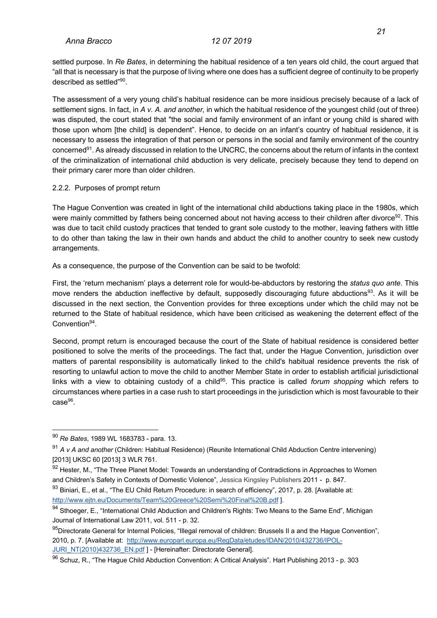settled purpose. In *Re Bates*, in determining the habitual residence of a ten years old child, the court argued that "all that is necessary is that the purpose of living where one does has a sufficient degree of continuity to be properly described as settled"90.

The assessment of a very young child's habitual residence can be more insidious precisely because of a lack of settlement signs. In fact, in *A v. A. and another,* in which the habitual residence of the youngest child (out of three) was disputed, the court stated that "the social and family environment of an infant or young child is shared with those upon whom [the child] is dependent". Hence, to decide on an infant's country of habitual residence, it is necessary to assess the integration of that person or persons in the social and family environment of the country concerned91. As already discussed in relation to the UNCRC, the concerns about the return of infants in the context of the criminalization of international child abduction is very delicate, precisely because they tend to depend on their primary carer more than older children.

### 2.2.2. Purposes of prompt return

The Hague Convention was created in light of the international child abductions taking place in the 1980s, which were mainly committed by fathers being concerned about not having access to their children after divorce<sup>92</sup>. This was due to tacit child custody practices that tended to grant sole custody to the mother, leaving fathers with little to do other than taking the law in their own hands and abduct the child to another country to seek new custody arrangements.

As a consequence, the purpose of the Convention can be said to be twofold:

First, the 'return mechanism' plays a deterrent role for would-be-abductors by restoring the *status quo ante*. This move renders the abduction ineffective by default, supposedly discouraging future abductions<sup>93</sup>. As it will be discussed in the next section, the Convention provides for three exceptions under which the child may not be returned to the State of habitual residence, which have been criticised as weakening the deterrent effect of the Convention<sup>94</sup>.

Second, prompt return is encouraged because the court of the State of habitual residence is considered better positioned to solve the merits of the proceedings. The fact that, under the Hague Convention, jurisdiction over matters of parental responsibility is automatically linked to the child's habitual residence prevents the risk of resorting to unlawful action to move the child to another Member State in order to establish artificial jurisdictional links with a view to obtaining custody of a child<sup>95</sup>. This practice is called *forum shopping* which refers to circumstances where parties in a case rush to start proceedings in the jurisdiction which is most favourable to their  $case<sup>96</sup>$ .

<sup>90</sup> *Re Bates*, 1989 WL 1683783 - para. 13.

<sup>91</sup> *A v A and another* (Children: Habitual Residence) (Reunite International Child Abduction Centre intervening) [2013] UKSC 60 [2013] 3 WLR 761.

<sup>92</sup> Hester, M., "The Three Planet Model: Towards an understanding of Contradictions in Approaches to Women and Children's Safety in Contexts of Domestic Violence", Jessica Kingsley Publishers 2011 - p. 847.

<sup>93</sup> Biniari, E., et al., "The EU Child Return Procedure: in search of efficiency", 2017, p. 28. [Available at: http://www.ejtn.eu/Documents/Team%20Greece%20Semi%20Final%20B.pdf ].

<sup>94</sup> Sthoeger, E., "International Child Abduction and Children's Rights: Two Means to the Same End", Michigan Journal of International Law 2011, vol. 511 - p. 32.

<sup>95</sup> Directorate General for Internal Policies, "Illegal removal of children: Brussels II a and the Hague Convention", 2010, p. 7. [Available at: http://www.europarl.europa.eu/RegData/etudes/IDAN/2010/432736/IPOL-JURI\_NT(2010)432736\_EN.pdf ] - [Hereinafter: Directorate General].

<sup>96</sup> Schuz, R., "The Hague Child Abduction Convention: A Critical Analysis". Hart Publishing 2013 - p. 303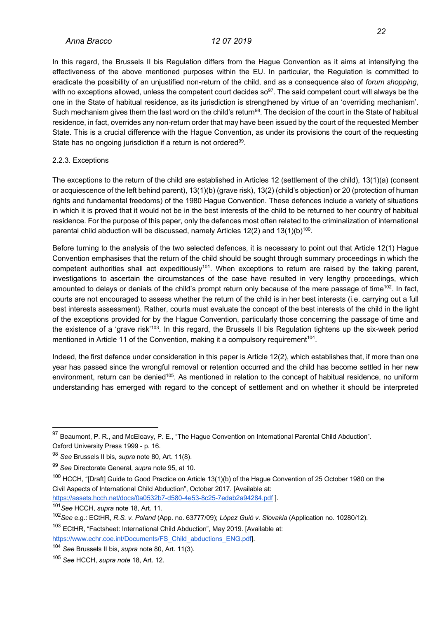In this regard, the Brussels II bis Regulation differs from the Hague Convention as it aims at intensifying the effectiveness of the above mentioned purposes within the EU. In particular, the Regulation is committed to eradicate the possibility of an unjustified non-return of the child, and as a consequence also of *forum shopping*, with no exceptions allowed, unless the competent court decides so<sup>97</sup>. The said competent court will always be the one in the State of habitual residence, as its jurisdiction is strengthened by virtue of an 'overriding mechanism'. Such mechanism gives them the last word on the child's return<sup>98</sup>. The decision of the court in the State of habitual residence, in fact, overrides any non-return order that may have been issued by the court of the requested Member State. This is a crucial difference with the Hague Convention, as under its provisions the court of the requesting State has no ongoing jurisdiction if a return is not ordered<sup>99</sup>.

### 2.2.3. Exceptions

The exceptions to the return of the child are established in Articles 12 (settlement of the child), 13(1)(a) (consent or acquiescence of the left behind parent), 13(1)(b) (grave risk), 13(2) (child's objection) or 20 (protection of human rights and fundamental freedoms) of the 1980 Hague Convention. These defences include a variety of situations in which it is proved that it would not be in the best interests of the child to be returned to her country of habitual residence. For the purpose of this paper, only the defences most often related to the criminalization of international parental child abduction will be discussed, namely Articles 12(2) and  $13(1)(b)^{100}$ .

Before turning to the analysis of the two selected defences, it is necessary to point out that Article 12(1) Hague Convention emphasises that the return of the child should be sought through summary proceedings in which the competent authorities shall act expeditiously<sup>101</sup>. When exceptions to return are raised by the taking parent, investigations to ascertain the circumstances of the case have resulted in very lengthy proceedings, which amounted to delays or denials of the child's prompt return only because of the mere passage of time<sup>102</sup>. In fact, courts are not encouraged to assess whether the return of the child is in her best interests (i.e. carrying out a full best interests assessment). Rather, courts must evaluate the concept of the best interests of the child in the light of the exceptions provided for by the Hague Convention, particularly those concerning the passage of time and the existence of a 'grave risk'103. In this regard, the Brussels II bis Regulation tightens up the six-week period mentioned in Article 11 of the Convention, making it a compulsory requirement<sup>104</sup>.

Indeed, the first defence under consideration in this paper is Article 12(2), which establishes that, if more than one year has passed since the wrongful removal or retention occurred and the child has become settled in her new environment, return can be denied<sup>105</sup>. As mentioned in relation to the concept of habitual residence, no uniform understanding has emerged with regard to the concept of settlement and on whether it should be interpreted

<sup>97</sup> Beaumont, P. R., and McEleavy, P. E., "The Hague Convention on International Parental Child Abduction". Oxford University Press 1999 - p. 16.

<sup>98</sup> *See* Brussels II bis, *supra* note 80, Art. 11(8).

<sup>99</sup> *See* Directorate General, *supra* note 95, at 10.

<sup>&</sup>lt;sup>100</sup> HCCH, "[Draft] Guide to Good Practice on Article 13(1)(b) of the Hague Convention of 25 October 1980 on the Civil Aspects of International Child Abduction", October 2017. [Available at:

https://assets.hcch.net/docs/0a0532b7-d580-4e53-8c25-7edab2a94284.pdf ].

<sup>101</sup>*See* HCCH, *supra* note 18, Art. 11.

<sup>102</sup>*See* e.g.: ECtHR, *R.S. v. Poland* (App. no. 63777/09); *López Guió v. Slovakia* (Application no. 10280/12).

<sup>&</sup>lt;sup>103</sup> ECtHR, "Factsheet: International Child Abduction", May 2019. [Available at:

https://www.echr.coe.int/Documents/FS\_Child\_abductions\_ENG.pdf].

<sup>104</sup> *See* Brussels II bis, *supra* note 80, Art. 11(3).

<sup>105</sup> *See* HCCH, *supra note* 18, Art. 12.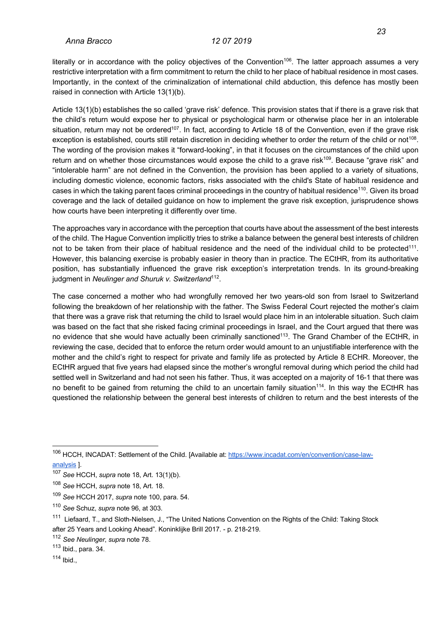literally or in accordance with the policy objectives of the Convention<sup>106</sup>. The latter approach assumes a very restrictive interpretation with a firm commitment to return the child to her place of habitual residence in most cases. Importantly, in the context of the criminalization of international child abduction, this defence has mostly been raised in connection with Article 13(1)(b).

Article 13(1)(b) establishes the so called 'grave risk' defence. This provision states that if there is a grave risk that the child's return would expose her to physical or psychological harm or otherwise place her in an intolerable situation, return may not be ordered<sup>107</sup>. In fact, according to Article 18 of the Convention, even if the grave risk exception is established, courts still retain discretion in deciding whether to order the return of the child or not<sup>108</sup>. The wording of the provision makes it "forward-looking", in that it focuses on the circumstances of the child upon return and on whether those circumstances would expose the child to a grave risk<sup>109</sup>. Because "grave risk" and "intolerable harm" are not defined in the Convention, the provision has been applied to a variety of situations, including domestic violence, economic factors, risks associated with the child's State of habitual residence and cases in which the taking parent faces criminal proceedings in the country of habitual residence110. Given its broad coverage and the lack of detailed guidance on how to implement the grave risk exception, jurisprudence shows how courts have been interpreting it differently over time.

The approaches vary in accordance with the perception that courts have about the assessment of the best interests of the child. The Hague Convention implicitly tries to strike a balance between the general best interests of children not to be taken from their place of habitual residence and the need of the individual child to be protected<sup>111</sup>. However, this balancing exercise is probably easier in theory than in practice. The ECtHR, from its authoritative position, has substantially influenced the grave risk exception's interpretation trends. In its ground-breaking judgment in *Neulinger and Shuruk v. Switzerland*<sup>112</sup>.

The case concerned a mother who had wrongfully removed her two years-old son from Israel to Switzerland following the breakdown of her relationship with the father. The Swiss Federal Court rejected the mother's claim that there was a grave risk that returning the child to Israel would place him in an intolerable situation. Such claim was based on the fact that she risked facing criminal proceedings in Israel, and the Court argued that there was no evidence that she would have actually been criminally sanctioned<sup>113</sup>. The Grand Chamber of the ECtHR, in reviewing the case, decided that to enforce the return order would amount to an unjustifiable interference with the mother and the child's right to respect for private and family life as protected by Article 8 ECHR. Moreover, the ECtHR argued that five years had elapsed since the mother's wrongful removal during which period the child had settled well in Switzerland and had not seen his father. Thus, it was accepted on a majority of 16-1 that there was no benefit to be gained from returning the child to an uncertain family situation<sup>114</sup>. In this way the ECtHR has questioned the relationship between the general best interests of children to return and the best interests of the

 $114$  Ibid.,

<sup>&</sup>lt;sup>106</sup> HCCH, INCADAT: Settlement of the Child. [Available at: https://www.incadat.com/en/convention/case-lawanalysis ].

<sup>107</sup> *See* HCCH, *supra* note 18, Art. 13(1)(b).

<sup>108</sup> *See* HCCH, *supra* note 18, Art. 18.

<sup>109</sup> *See* HCCH 2017, *supra* note 100, para. 54.

<sup>110</sup> *See* Schuz, *supra* note 96, at 303.

<sup>111</sup> Liefaard, T., and Sloth-Nielsen, J., "The United Nations Convention on the Rights of the Child: Taking Stock after 25 Years and Looking Ahead". Koninklijke Brill 2017. - p. 218-219.

<sup>112</sup> *See Neulinger*, *supra* note 78.

<sup>113</sup> Ibid., para. 34.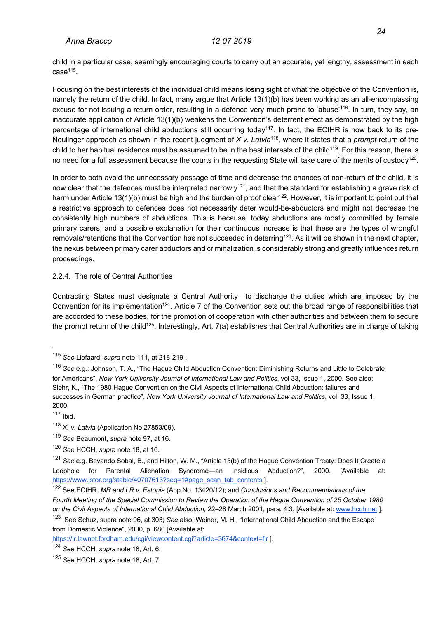child in a particular case, seemingly encouraging courts to carry out an accurate, yet lengthy, assessment in each  $case<sup>115</sup>$ .

Focusing on the best interests of the individual child means losing sight of what the objective of the Convention is, namely the return of the child. In fact, many argue that Article 13(1)(b) has been working as an all-encompassing excuse for not issuing a return order, resulting in a defence very much prone to 'abuse'<sup>116</sup>. In turn, they say, an inaccurate application of Article 13(1)(b) weakens the Convention's deterrent effect as demonstrated by the high percentage of international child abductions still occurring today<sup>117</sup>. In fact, the ECtHR is now back to its pre-Neulinger approach as shown in the recent judgment of *X v. Latvia*118, where it states that a *prompt* return of the child to her habitual residence must be assumed to be in the best interests of the child<sup>119</sup>. For this reason, there is no need for a full assessment because the courts in the requesting State will take care of the merits of custody<sup>120</sup>.

In order to both avoid the unnecessary passage of time and decrease the chances of non-return of the child, it is now clear that the defences must be interpreted narrowly<sup>121</sup>, and that the standard for establishing a grave risk of harm under Article 13(1)(b) must be high and the burden of proof clear<sup>122</sup>. However, it is important to point out that a restrictive approach to defences does not necessarily deter would-be-abductors and might not decrease the consistently high numbers of abductions. This is because, today abductions are mostly committed by female primary carers, and a possible explanation for their continuous increase is that these are the types of wrongful removals/retentions that the Convention has not succeeded in deterring<sup>123</sup>. As it will be shown in the next chapter, the nexus between primary carer abductors and criminalization is considerably strong and greatly influences return proceedings.

### 2.2.4. The role of Central Authorities

Contracting States must designate a Central Authority to discharge the duties which are imposed by the Convention for its implementation<sup>124</sup>. Article 7 of the Convention sets out the broad range of responsibilities that are accorded to these bodies, for the promotion of cooperation with other authorities and between them to secure the prompt return of the child<sup>125</sup>. Interestingly, Art. 7(a) establishes that Central Authorities are in charge of taking

123 See Schuz, supra note 96, at 303; *See* also: Weiner, M. H., "International Child Abduction and the Escape from Domestic Violence", 2000, p. 680 [Available at:

https://ir.lawnet.fordham.edu/cgi/viewcontent.cgi?article=3674&context=flr 1.

<sup>115</sup> *See* Liefaard, *supra* note 111, at 218-219 .

<sup>116</sup> *See* e.g.: Johnson, T. A., "The Hague Child Abduction Convention: Diminishing Returns and Little to Celebrate for Americans", *New York University Journal of International Law and Politics*, vol 33, Issue 1, 2000. See also: Siehr, K., "The 1980 Hague Convention on the Civil Aspects of International Child Abduction: failures and successes in German practice", *New York University Journal of International Law and Politics*, vol. 33, Issue 1, 2000.

 $117$  Ibid.

<sup>118</sup> *X. v. Latvia* (Application No 27853/09).

<sup>119</sup> *See* Beaumont, *supra* note 97, at 16.

<sup>120</sup> *See* HCCH, *supra* note 18, at 16.

<sup>121</sup> *See* e.g. Bevando Sobal, B., and Hilton, W. M., "Article 13(b) of the Hague Convention Treaty: Does It Create a Loophole for Parental Alienation Syndrome—an Insidious Abduction?", 2000. [Available at: https://www.jstor.org/stable/40707613?seq=1#page\_scan\_tab\_contents ].

<sup>122</sup> See ECtHR, *MR and LR v. Estonia* (App.No. 13420/12); and *Conclusions and Recommendations of the Fourth Meeting of the Special Commission to Review the Operation of the Hague Convention of 25 October 1980 on the Civil Aspects of International Child Abduction,* 22–28 March 2001, para. 4.3, [Available at: www.hcch.net ].

<sup>124</sup> *See* HCCH, *supra* note 18, Art. 6.

<sup>125</sup> *See* HCCH, *supra* note 18, Art. 7.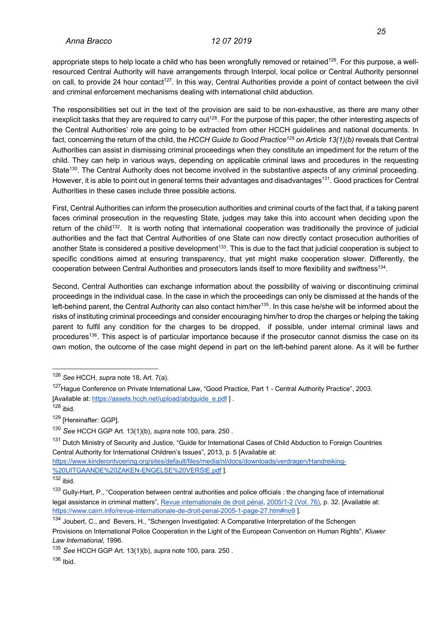appropriate steps to help locate a child who has been wrongfully removed or retained<sup>126</sup>. For this purpose, a wellresourced Central Authority will have arrangements through Interpol, local police or Central Authority personnel on call, to provide 24 hour contact<sup>127</sup>. In this way, Central Authorities provide a point of contact between the civil and criminal enforcement mechanisms dealing with international child abduction.

The responsibilities set out in the text of the provision are said to be non-exhaustive, as there are many other inexplicit tasks that they are required to carry out<sup>128</sup>. For the purpose of this paper, the other interesting aspects of the Central Authorities' role are going to be extracted from other HCCH guidelines and national documents. In fact, concerning the return of the child, the *HCCH Guide to Good Practice<sup>129</sup> on Article 13(1)(b)* reveals that Central Authorities can assist in dismissing criminal proceedings when they constitute an impediment for the return of the child. They can help in various ways, depending on applicable criminal laws and procedures in the requesting State<sup>130</sup>. The Central Authority does not become involved in the substantive aspects of any criminal proceeding. However, it is able to point out in general terms their advantages and disadvantages<sup>131</sup>. Good practices for Central Authorities in these cases include three possible actions.

First, Central Authorities can inform the prosecution authorities and criminal courts of the fact that, if a taking parent faces criminal prosecution in the requesting State, judges may take this into account when deciding upon the return of the child<sup>132</sup>. It is worth noting that international cooperation was traditionally the province of judicial authorities and the fact that Central Authorities of one State can now directly contact prosecution authorities of another State is considered a positive development<sup>133</sup>. This is due to the fact that judicial cooperation is subject to specific conditions aimed at ensuring transparency, that yet might make cooperation slower. Differently, the cooperation between Central Authorities and prosecutors lands itself to more flexibility and swiftness<sup>134</sup>.

Second, Central Authorities can exchange information about the possibility of waiving or discontinuing criminal proceedings in the individual case. In the case in which the proceedings can only be dismissed at the hands of the left-behind parent, the Central Authority can also contact him/her<sup>135</sup>. In this case he/she will be informed about the risks of instituting criminal proceedings and consider encouraging him/her to drop the charges or helping the taking parent to fulfil any condition for the charges to be dropped, if possible, under internal criminal laws and procedures<sup>136</sup>. This aspect is of particular importance because if the prosecutor cannot dismiss the case on its own motion, the outcome of the case might depend in part on the left-behind parent alone. As it will be further

<sup>126</sup> *See* HCCH, *supra* note 18, Art. 7(a).

<sup>127</sup>Hague Conference on Private International Law, "Good Practice, Part 1 - Central Authority Practice", 2003. [Available at: https://assets.hcch.net/upload/abdguide\_e.pdf].

 $128$  ibid.

<sup>129 [</sup>Hereinafter: GGP].

<sup>130</sup> *See* HCCH GGP Art. 13(1)(b), *supra* note 100, para. 250 .

<sup>&</sup>lt;sup>131</sup> Dutch Ministry of Security and Justice, "Guide for International Cases of Child Abduction to Foreign Countries Central Authority for International Children's Issues", 2013, p. 5 [Available at:

https://www.kinderontvoering.org/sites/default/files/media/nl/docs/downloads/verdragen/Handreiking- %20UITGAANDE%20ZAKEN-ENGELSE%20VERSIE.pdf ].

 $132$  ibid.

<sup>&</sup>lt;sup>133</sup> Gully-Hart, P., "Cooperation between central authorities and police officials : the changing face of international legal assistance in criminal matters", Revue internationale de droit pénal, 2005/1-2 (Vol. 76), p. 32. [Available at: https://www.cairn.info/revue-internationale-de-droit-penal-2005-1-page-27.htm#no9 ].

<sup>134</sup> Joubert, C., and Bevers, H., "Schengen Investigated: A Comparative Interpretation of the Schengen Provisions on International Police Cooperation in the Light of the European Convention on Human Rights", *Kluwer Law International*, 1996.

<sup>135</sup> *See* HCCH GGP Art. 13(1)(b), *supra* note 100, para. 250 .

<sup>136</sup> Ibid.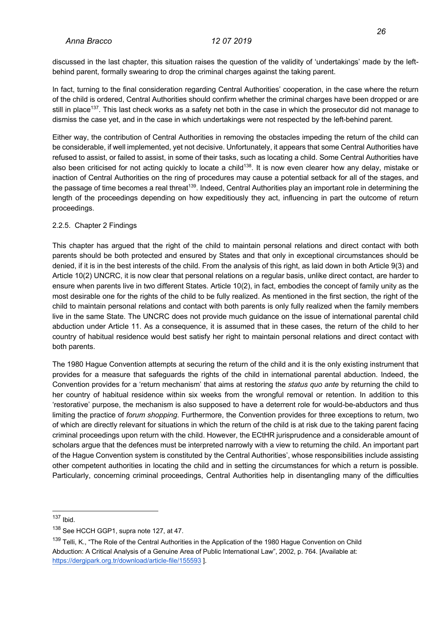discussed in the last chapter, this situation raises the question of the validity of 'undertakings' made by the leftbehind parent, formally swearing to drop the criminal charges against the taking parent.

In fact, turning to the final consideration regarding Central Authorities' cooperation, in the case where the return of the child is ordered, Central Authorities should confirm whether the criminal charges have been dropped or are still in place<sup>137</sup>. This last check works as a safety net both in the case in which the prosecutor did not manage to dismiss the case yet, and in the case in which undertakings were not respected by the left-behind parent.

Either way, the contribution of Central Authorities in removing the obstacles impeding the return of the child can be considerable, if well implemented, yet not decisive. Unfortunately, it appears that some Central Authorities have refused to assist, or failed to assist, in some of their tasks, such as locating a child. Some Central Authorities have also been criticised for not acting quickly to locate a child<sup>138</sup>. It is now even clearer how any delay, mistake or inaction of Central Authorities on the ring of procedures may cause a potential setback for all of the stages, and the passage of time becomes a real threat<sup>139</sup>. Indeed, Central Authorities play an important role in determining the length of the proceedings depending on how expeditiously they act, influencing in part the outcome of return proceedings.

### 2.2.5. Chapter 2 Findings

This chapter has argued that the right of the child to maintain personal relations and direct contact with both parents should be both protected and ensured by States and that only in exceptional circumstances should be denied, if it is in the best interests of the child. From the analysis of this right, as laid down in both Article 9(3) and Article 10(2) UNCRC, it is now clear that personal relations on a regular basis, unlike direct contact, are harder to ensure when parents live in two different States. Article 10(2), in fact, embodies the concept of family unity as the most desirable one for the rights of the child to be fully realized. As mentioned in the first section, the right of the child to maintain personal relations and contact with both parents is only fully realized when the family members live in the same State. The UNCRC does not provide much guidance on the issue of international parental child abduction under Article 11. As a consequence, it is assumed that in these cases, the return of the child to her country of habitual residence would best satisfy her right to maintain personal relations and direct contact with both parents.

The 1980 Hague Convention attempts at securing the return of the child and it is the only existing instrument that provides for a measure that safeguards the rights of the child in international parental abduction. Indeed, the Convention provides for a 'return mechanism' that aims at restoring the *status quo ante* by returning the child to her country of habitual residence within six weeks from the wrongful removal or retention. In addition to this 'restorative' purpose, the mechanism is also supposed to have a deterrent role for would-be-abductors and thus limiting the practice of *forum shopping*. Furthermore, the Convention provides for three exceptions to return, two of which are directly relevant for situations in which the return of the child is at risk due to the taking parent facing criminal proceedings upon return with the child. However, the ECtHR jurisprudence and a considerable amount of scholars argue that the defences must be interpreted narrowly with a view to returning the child. An important part of the Hague Convention system is constituted by the Central Authorities', whose responsibilities include assisting other competent authorities in locating the child and in setting the circumstances for which a return is possible. Particularly, concerning criminal proceedings, Central Authorities help in disentangling many of the difficulties

<sup>137</sup> Ibid.

<sup>138</sup> See HCCH GGP1, supra note 127, at 47.

<sup>&</sup>lt;sup>139</sup> Telli. K., "The Role of the Central Authorities in the Application of the 1980 Hague Convention on Child Abduction: A Critical Analysis of a Genuine Area of Public International Law", 2002, p. 764. [Available at: https://dergipark.org.tr/download/article-file/155593 ].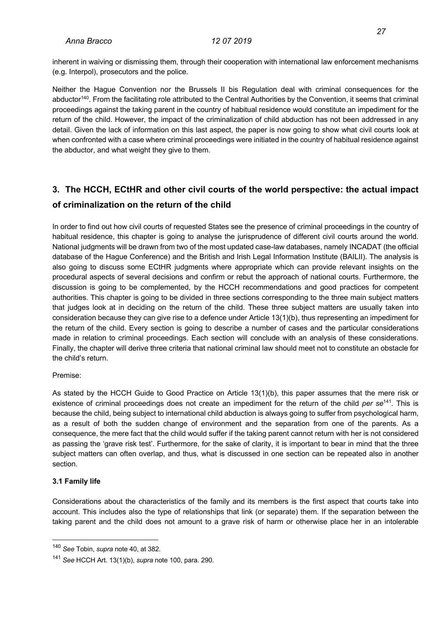inherent in waiving or dismissing them, through their cooperation with international law enforcement mechanisms (e.g. Interpol), prosecutors and the police.

Neither the Hague Convention nor the Brussels II bis Regulation deal with criminal consequences for the abductor<sup>140</sup>. From the facilitating role attributed to the Central Authorities by the Convention, it seems that criminal proceedings against the taking parent in the country of habitual residence would constitute an impediment for the return of the child. However, the impact of the criminalization of child abduction has not been addressed in any detail. Given the lack of information on this last aspect, the paper is now going to show what civil courts look at when confronted with a case where criminal proceedings were initiated in the country of habitual residence against the abductor, and what weight they give to them.

### **3. The HCCH, ECtHR and other civil courts of the world perspective: the actual impact of criminalization on the return of the child**

In order to find out how civil courts of requested States see the presence of criminal proceedings in the country of habitual residence, this chapter is going to analyse the jurisprudence of different civil courts around the world. National judgments will be drawn from two of the most updated case-law databases, namely INCADAT (the official database of the Hague Conference) and the British and Irish Legal Information Institute (BAILII). The analysis is also going to discuss some ECtHR judgments where appropriate which can provide relevant insights on the procedural aspects of several decisions and confirm or rebut the approach of national courts. Furthermore, the discussion is going to be complemented, by the HCCH recommendations and good practices for competent authorities. This chapter is going to be divided in three sections corresponding to the three main subject matters that judges look at in deciding on the return of the child. These three subject matters are usually taken into consideration because they can give rise to a defence under Article 13(1)(b), thus representing an impediment for the return of the child. Every section is going to describe a number of cases and the particular considerations made in relation to criminal proceedings. Each section will conclude with an analysis of these considerations. Finally, the chapter will derive three criteria that national criminal law should meet not to constitute an obstacle for the child's return.

### Premise:

As stated by the HCCH Guide to Good Practice on Article 13(1)(b), this paper assumes that the mere risk or existence of criminal proceedings does not create an impediment for the return of the child *per se*141. This is because the child, being subject to international child abduction is always going to suffer from psychological harm, as a result of both the sudden change of environment and the separation from one of the parents. As a consequence, the mere fact that the child would suffer if the taking parent cannot return with her is not considered as passing the 'grave risk test'. Furthermore, for the sake of clarity, it is important to bear in mind that the three subject matters can often overlap, and thus, what is discussed in one section can be repeated also in another section.

### **3.1 Family life**

Considerations about the characteristics of the family and its members is the first aspect that courts take into account. This includes also the type of relationships that link (or separate) them. If the separation between the taking parent and the child does not amount to a grave risk of harm or otherwise place her in an intolerable

<sup>140</sup> *See* Tobin, *supra* note 40, at 382.

<sup>141</sup> *See* HCCH Art. 13(1)(b), *supra* note 100, para. 290.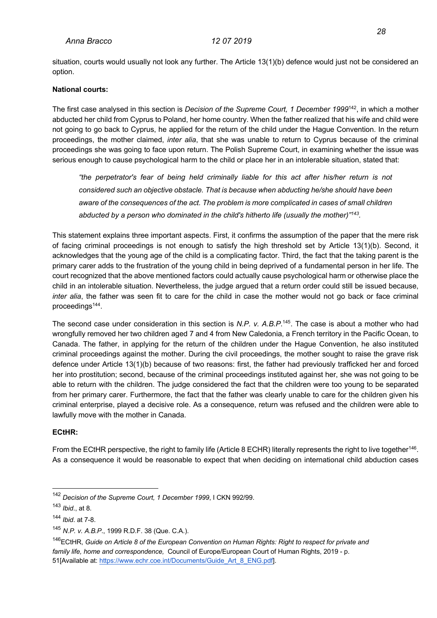situation, courts would usually not look any further. The Article 13(1)(b) defence would just not be considered an option.

### **National courts:**

The first case analysed in this section is *Decision of the Supreme Court, 1 December 1999*142, in which a mother abducted her child from Cyprus to Poland, her home country. When the father realized that his wife and child were not going to go back to Cyprus, he applied for the return of the child under the Hague Convention. In the return proceedings, the mother claimed, *inter alia*, that she was unable to return to Cyprus because of the criminal proceedings she was going to face upon return. The Polish Supreme Court, in examining whether the issue was serious enough to cause psychological harm to the child or place her in an intolerable situation, stated that:

*"the perpetrator's fear of being held criminally liable for this act after his/her return is not considered such an objective obstacle. That is because when abducting he/she should have been aware of the consequences of the act. The problem is more complicated in cases of small children abducted by a person who dominated in the child's hitherto life (usually the mother)"143.*

This statement explains three important aspects. First, it confirms the assumption of the paper that the mere risk of facing criminal proceedings is not enough to satisfy the high threshold set by Article 13(1)(b). Second, it acknowledges that the young age of the child is a complicating factor. Third, the fact that the taking parent is the primary carer adds to the frustration of the young child in being deprived of a fundamental person in her life. The court recognized that the above mentioned factors could actually cause psychological harm or otherwise place the child in an intolerable situation. Nevertheless, the judge argued that a return order could still be issued because, *inter alia*, the father was seen fit to care for the child in case the mother would not go back or face criminal proceedings144.

The second case under consideration in this section is N.P. v. A.B.P.<sup>145</sup>. The case is about a mother who had wrongfully removed her two children aged 7 and 4 from New Caledonia, a French territory in the Pacific Ocean, to Canada. The father, in applying for the return of the children under the Hague Convention, he also instituted criminal proceedings against the mother. During the civil proceedings, the mother sought to raise the grave risk defence under Article 13(1)(b) because of two reasons: first, the father had previously trafficked her and forced her into prostitution; second, because of the criminal proceedings instituted against her, she was not going to be able to return with the children. The judge considered the fact that the children were too young to be separated from her primary carer. Furthermore, the fact that the father was clearly unable to care for the children given his criminal enterprise, played a decisive role. As a consequence, return was refused and the children were able to lawfully move with the mother in Canada.

### **ECtHR:**

From the ECtHR perspective, the right to family life (Article 8 ECHR) literally represents the right to live together<sup>146</sup>. As a consequence it would be reasonable to expect that when deciding on international child abduction cases

<sup>142</sup> *Decision of the Supreme Court, 1 December 1999*, I CKN 992/99.

<sup>143</sup> *Ibid*., at 8.

<sup>144</sup> *Ibid*. at 7-8.

<sup>145</sup> *N.P. v. A.B.P*., 1999 R.D.F. 38 (Que. C.A.).

<sup>146</sup>ECtHR, *Guide on Article 8 of the European Convention on Human Rights: Right to respect for private and family life, home and correspondence,* Council of Europe/European Court of Human Rights, 2019 - p. 51 [Available at: https://www.echr.coe.int/Documents/Guide\_Art\_8\_ENG.pdf].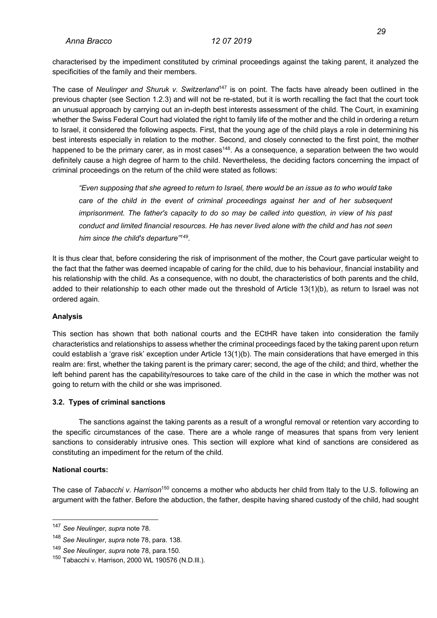characterised by the impediment constituted by criminal proceedings against the taking parent, it analyzed the specificities of the family and their members.

The case of *Neulinger and Shuruk v. Switzerland<sup>147</sup>* is on point. The facts have already been outlined in the previous chapter (see Section 1.2.3) and will not be re-stated, but it is worth recalling the fact that the court took an unusual approach by carrying out an in-depth best interests assessment of the child. The Court, in examining whether the Swiss Federal Court had violated the right to family life of the mother and the child in ordering a return to Israel, it considered the following aspects. First, that the young age of the child plays a role in determining his best interests especially in relation to the mother. Second, and closely connected to the first point, the mother happened to be the primary carer, as in most cases<sup>148</sup>. As a consequence, a separation between the two would definitely cause a high degree of harm to the child. Nevertheless, the deciding factors concerning the impact of criminal proceedings on the return of the child were stated as follows:

*"Even supposing that she agreed to return to Israel, there would be an issue as to who would take care of the child in the event of criminal proceedings against her and of her subsequent imprisonment. The father's capacity to do so may be called into question, in view of his past conduct and limited financial resources. He has never lived alone with the child and has not seen him since the child's departure"149.*

It is thus clear that, before considering the risk of imprisonment of the mother, the Court gave particular weight to the fact that the father was deemed incapable of caring for the child, due to his behaviour, financial instability and his relationship with the child. As a consequence, with no doubt, the characteristics of both parents and the child, added to their relationship to each other made out the threshold of Article 13(1)(b), as return to Israel was not ordered again.

### **Analysis**

This section has shown that both national courts and the ECtHR have taken into consideration the family characteristics and relationships to assess whether the criminal proceedings faced by the taking parent upon return could establish a 'grave risk' exception under Article 13(1)(b). The main considerations that have emerged in this realm are: first, whether the taking parent is the primary carer; second, the age of the child; and third, whether the left behind parent has the capability/resources to take care of the child in the case in which the mother was not going to return with the child or she was imprisoned.

### **3.2. Types of criminal sanctions**

The sanctions against the taking parents as a result of a wrongful removal or retention vary according to the specific circumstances of the case. There are a whole range of measures that spans from very lenient sanctions to considerably intrusive ones. This section will explore what kind of sanctions are considered as constituting an impediment for the return of the child.

### **National courts:**

The case of *Tabacchi v. Harrison*<sup>150</sup> concerns a mother who abducts her child from Italy to the U.S. following an argument with the father. Before the abduction, the father, despite having shared custody of the child, had sought

<sup>147</sup> *See Neulinger*, *supra* note 78.

<sup>148</sup> *See Neulinger*, *supra* note 78, para. 138.

<sup>149</sup> *See Neulinger*, *supra* note 78, para.150.

<sup>150</sup> Tabacchi v. Harrison, 2000 WL 190576 (N.D.Ill.).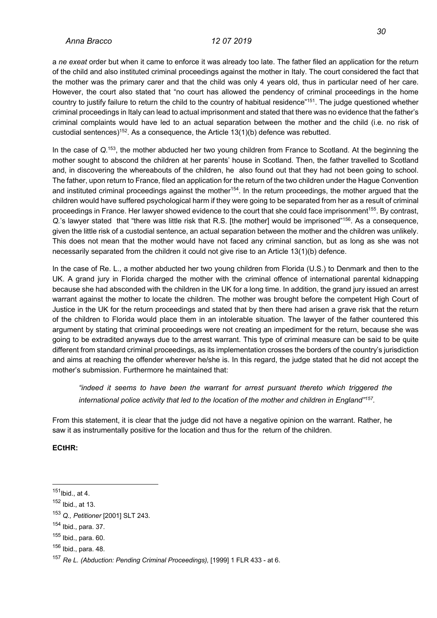a *ne exeat* order but when it came to enforce it was already too late. The father filed an application for the return of the child and also instituted criminal proceedings against the mother in Italy. The court considered the fact that the mother was the primary carer and that the child was only 4 years old, thus in particular need of her care. However, the court also stated that "no court has allowed the pendency of criminal proceedings in the home country to justify failure to return the child to the country of habitual residence"<sup>151</sup>. The judge questioned whether criminal proceedings in Italy can lead to actual imprisonment and stated that there was no evidence that the father's criminal complaints would have led to an actual separation between the mother and the child (i.e. no risk of custodial sentences)<sup>152</sup>. As a consequence, the Article  $13(1)(b)$  defence was rebutted.

In the case of *Q*. 153, the mother abducted her two young children from France to Scotland. At the beginning the mother sought to abscond the children at her parents' house in Scotland. Then, the father travelled to Scotland and, in discovering the whereabouts of the children, he also found out that they had not been going to school. The father, upon return to France, filed an application for the return of the two children under the Hague Convention and instituted criminal proceedings against the mother<sup>154</sup>. In the return proceedings, the mother argued that the children would have suffered psychological harm if they were going to be separated from her as a result of criminal proceedings in France. Her lawyer showed evidence to the court that she could face imprisonment<sup>155</sup>. By contrast, *Q.*'s lawyer stated that "there was little risk that R.S. [the mother] would be imprisoned"156. As a consequence, given the little risk of a custodial sentence, an actual separation between the mother and the children was unlikely. This does not mean that the mother would have not faced any criminal sanction, but as long as she was not necessarily separated from the children it could not give rise to an Article 13(1)(b) defence.

In the case of Re. L., a mother abducted her two young children from Florida (U.S.) to Denmark and then to the UK. A grand jury in Florida charged the mother with the criminal offence of international parental kidnapping because she had absconded with the children in the UK for a long time. In addition, the grand jury issued an arrest warrant against the mother to locate the children. The mother was brought before the competent High Court of Justice in the UK for the return proceedings and stated that by then there had arisen a grave risk that the return of the children to Florida would place them in an intolerable situation. The lawyer of the father countered this argument by stating that criminal proceedings were not creating an impediment for the return, because she was going to be extradited anyways due to the arrest warrant. This type of criminal measure can be said to be quite different from standard criminal proceedings, as its implementation crosses the borders of the country's jurisdiction and aims at reaching the offender wherever he/she is. In this regard, the judge stated that he did not accept the mother's submission. Furthermore he maintained that:

*"indeed it seems to have been the warrant for arrest pursuant thereto which triggered the international police activity that led to the location of the mother and children in England"157.*

From this statement, it is clear that the judge did not have a negative opinion on the warrant. Rather, he saw it as instrumentally positive for the location and thus for the return of the children.

**ECtHR:**

 $151$ Ibid., at 4.

<sup>152</sup> Ibid., at 13.

<sup>153</sup> *Q., Petitioner* [2001] SLT 243.

<sup>154</sup> Ibid., para. 37.

 $155$  Ibid., para. 60.

 $156$  Ibid., para. 48.

<sup>157</sup> *Re L. (Abduction: Pending Criminal Proceedings),* [1999] 1 FLR 433 - at 6.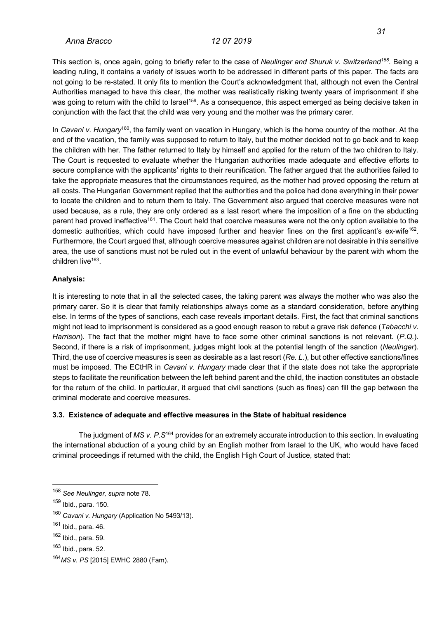This section is, once again, going to briefly refer to the case of *Neulinger and Shuruk v. Switzerland158.* Being a leading ruling, it contains a variety of issues worth to be addressed in different parts of this paper. The facts are not going to be re-stated. It only fits to mention the Court's acknowledgment that, although not even the Central Authorities managed to have this clear, the mother was realistically risking twenty years of imprisonment if she was going to return with the child to Israel<sup>159</sup>. As a consequence, this aspect emerged as being decisive taken in conjunction with the fact that the child was very young and the mother was the primary carer.

In *Cavani v. Hungary*160, the family went on vacation in Hungary, which is the home country of the mother. At the end of the vacation, the family was supposed to return to Italy, but the mother decided not to go back and to keep the children with her. The father returned to Italy by himself and applied for the return of the two children to Italy. The Court is requested to evaluate whether the Hungarian authorities made adequate and effective efforts to secure compliance with the applicants' rights to their reunification. The father argued that the authorities failed to take the appropriate measures that the circumstances required, as the mother had proved opposing the return at all costs. The Hungarian Government replied that the authorities and the police had done everything in their power to locate the children and to return them to Italy. The Government also argued that coercive measures were not used because, as a rule, they are only ordered as a last resort where the imposition of a fine on the abducting parent had proved ineffective<sup>161</sup>. The Court held that coercive measures were not the only option available to the domestic authorities, which could have imposed further and heavier fines on the first applicant's ex-wife<sup>162</sup>. Furthermore, the Court argued that, although coercive measures against children are not desirable in this sensitive area, the use of sanctions must not be ruled out in the event of unlawful behaviour by the parent with whom the children live $163$ .

### **Analysis:**

It is interesting to note that in all the selected cases, the taking parent was always the mother who was also the primary carer. So it is clear that family relationships always come as a standard consideration, before anything else. In terms of the types of sanctions, each case reveals important details. First, the fact that criminal sanctions might not lead to imprisonment is considered as a good enough reason to rebut a grave risk defence (*Tabacchi v. Harrison*). The fact that the mother might have to face some other criminal sanctions is not relevant. (*P.Q.*). Second, if there is a risk of imprisonment, judges might look at the potential length of the sanction (*Neulinger*). Third, the use of coercive measures is seen as desirable as a last resort (*Re. L.*), but other effective sanctions/fines must be imposed. The ECtHR in *Cavani v. Hungary* made clear that if the state does not take the appropriate steps to facilitate the reunification between the left behind parent and the child, the inaction constitutes an obstacle for the return of the child. In particular, it argued that civil sanctions (such as fines) can fill the gap between the criminal moderate and coercive measures.

### **3.3. Existence of adequate and effective measures in the State of habitual residence**

The judgment of *MS v. P.S*<sup>164</sup> provides for an extremely accurate introduction to this section. In evaluating the international abduction of a young child by an English mother from Israel to the UK, who would have faced criminal proceedings if returned with the child, the English High Court of Justice, stated that:

<sup>160</sup> *Cavani v. Hungary* (Application No 5493/13).

<sup>158</sup> *See Neulinger, supra* note 78.

<sup>159</sup> Ibid., para. 150.

 $161$  Ibid., para, 46.

<sup>162</sup> Ibid., para. 59.

<sup>163</sup> Ibid., para. 52.

<sup>164</sup>*MS v. PS* [2015] EWHC 2880 (Fam).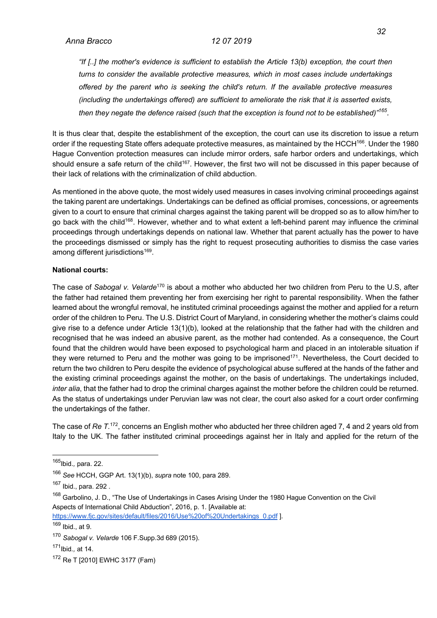*"If [..] the mother's evidence is sufficient to establish the Article 13(b) exception, the court then turns to consider the available protective measures, which in most cases include undertakings offered by the parent who is seeking the child's return. If the available protective measures (including the undertakings offered) are sufficient to ameliorate the risk that it is asserted exists, then they negate the defence raised (such that the exception is found not to be established)"165.*

It is thus clear that, despite the establishment of the exception, the court can use its discretion to issue a return order if the requesting State offers adequate protective measures, as maintained by the HCCH<sup>166</sup>. Under the 1980 Hague Convention protection measures can include mirror orders, safe harbor orders and undertakings, which should ensure a safe return of the child<sup>167</sup>. However, the first two will not be discussed in this paper because of their lack of relations with the criminalization of child abduction.

As mentioned in the above quote, the most widely used measures in cases involving criminal proceedings against the taking parent are undertakings. Undertakings can be defined as official promises, concessions, or agreements given to a court to ensure that criminal charges against the taking parent will be dropped so as to allow him/her to go back with the child<sup>168</sup>. However, whether and to what extent a left-behind parent may influence the criminal proceedings through undertakings depends on national law. Whether that parent actually has the power to have the proceedings dismissed or simply has the right to request prosecuting authorities to dismiss the case varies among different jurisdictions<sup>169</sup>.

### **National courts:**

The case of *Sabogal v. Velarde*<sup>170</sup> is about a mother who abducted her two children from Peru to the U.S, after the father had retained them preventing her from exercising her right to parental responsibility. When the father learned about the wrongful removal, he instituted criminal proceedings against the mother and applied for a return order of the children to Peru. The U.S. District Court of Maryland, in considering whether the mother's claims could give rise to a defence under Article 13(1)(b), looked at the relationship that the father had with the children and recognised that he was indeed an abusive parent, as the mother had contended. As a consequence, the Court found that the children would have been exposed to psychological harm and placed in an intolerable situation if they were returned to Peru and the mother was going to be imprisoned<sup>171</sup>. Nevertheless, the Court decided to return the two children to Peru despite the evidence of psychological abuse suffered at the hands of the father and the existing criminal proceedings against the mother, on the basis of undertakings. The undertakings included, *inter alia*, that the father had to drop the criminal charges against the mother before the children could be returned. As the status of undertakings under Peruvian law was not clear, the court also asked for a court order confirming the undertakings of the father.

The case of *Re T.<sup>172</sup>*, concerns an English mother who abducted her three children aged 7, 4 and 2 years old from Italy to the UK. The father instituted criminal proceedings against her in Italy and applied for the return of the

<sup>165</sup>Ibid.*,* para. 22.

<sup>166</sup> *See* HCCH, GGP Art. 13(1)(b), *supra* note 100, para 289.

<sup>167</sup> Ibid., para. 292 .

<sup>&</sup>lt;sup>168</sup> Garbolino, J. D., "The Use of Undertakings in Cases Arising Under the 1980 Hague Convention on the Civil Aspects of International Child Abduction", 2016, p. 1. [Available at:

https://www.fjc.gov/sites/default/files/2016/Use%20of%20Undertakings\_0.pdf ].

 $169$  Ibid., at 9.

<sup>170</sup> *Sabogal v. Velarde* 106 F.Supp.3d 689 (2015).

<sup>171</sup>Ibid*.,* at 14.

<sup>172</sup> Re T [2010] EWHC 3177 (Fam)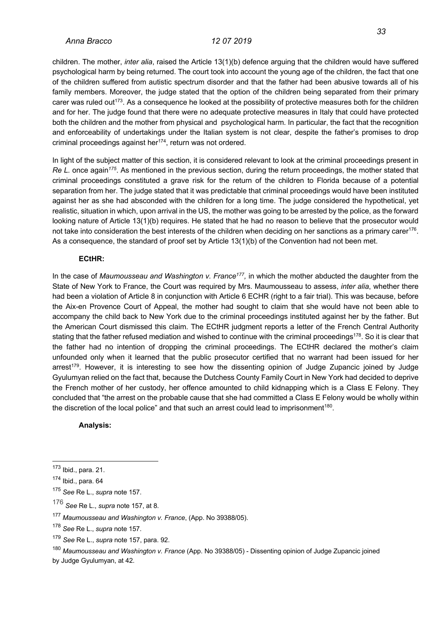children. The mother, *inter alia*, raised the Article 13(1)(b) defence arguing that the children would have suffered psychological harm by being returned. The court took into account the young age of the children, the fact that one of the children suffered from autistic spectrum disorder and that the father had been abusive towards all of his family members. Moreover, the judge stated that the option of the children being separated from their primary carer was ruled out<sup>173</sup>. As a consequence he looked at the possibility of protective measures both for the children and for her. The judge found that there were no adequate protective measures in Italy that could have protected both the children and the mother from physical and psychological harm. In particular, the fact that the recognition and enforceability of undertakings under the Italian system is not clear, despite the father's promises to drop criminal proceedings against her<sup>174</sup>, return was not ordered.

In light of the subject matter of this section, it is considered relevant to look at the criminal proceedings present in *Re L.* once again*<sup>175</sup>*. As mentioned in the previous section, during the return proceedings, the mother stated that criminal proceedings constituted a grave risk for the return of the children to Florida because of a potential separation from her. The judge stated that it was predictable that criminal proceedings would have been instituted against her as she had absconded with the children for a long time. The judge considered the hypothetical, yet realistic, situation in which, upon arrival in the US, the mother was going to be arrested by the police, as the forward looking nature of Article 13(1)(b) requires. He stated that he had no reason to believe that the prosecutor would not take into consideration the best interests of the children when deciding on her sanctions as a primary carer<sup>176</sup>. As a consequence, the standard of proof set by Article 13(1)(b) of the Convention had not been met.

### **ECtHR:**

In the case of *Maumousseau and Washington v. France<sup>177</sup>*, in which the mother abducted the daughter from the State of New York to France, the Court was required by Mrs. Maumousseau to assess, *inter alia*, whether there had been a violation of Article 8 in conjunction with Article 6 ECHR (right to a fair trial). This was because, before the Aix-en Provence Court of Appeal, the mother had sought to claim that she would have not been able to accompany the child back to New York due to the criminal proceedings instituted against her by the father. But the American Court dismissed this claim. The ECtHR judgment reports a letter of the French Central Authority stating that the father refused mediation and wished to continue with the criminal proceedings<sup>178</sup>. So it is clear that the father had no intention of dropping the criminal proceedings. The ECtHR declared the mother's claim unfounded only when it learned that the public prosecutor certified that no warrant had been issued for her arrest<sup>179</sup>. However, it is interesting to see how the dissenting opinion of Judge Zupancic joined by Judge Gyulumyan relied on the fact that, because the Dutchess County Family Court in New York had decided to deprive the French mother of her custody, her offence amounted to child kidnapping which is a Class E Felony. They concluded that "the arrest on the probable cause that she had committed a Class E Felony would be wholly within the discretion of the local police" and that such an arrest could lead to imprisonment<sup>180</sup>.

### **Analysis:**

<sup>173</sup> Ibid., para. 21.

 $174$  Ibid., para. 64

<sup>175</sup> *See* Re L., *supra* note 157.

<sup>176</sup> *See* Re L., *supra* note 157, at 8.

<sup>177</sup> *Maumousseau and Washington v. France*, (App. No 39388/05).

<sup>178</sup> *See* Re L., *supra* note 157.

<sup>179</sup> *See* Re L., *supra* note 157, para. 92.

<sup>180</sup> *Maumousseau and Washington v. France* (App. No 39388/05) - Dissenting opinion of Judge Zupancic joined by Judge Gyulumyan, at 42.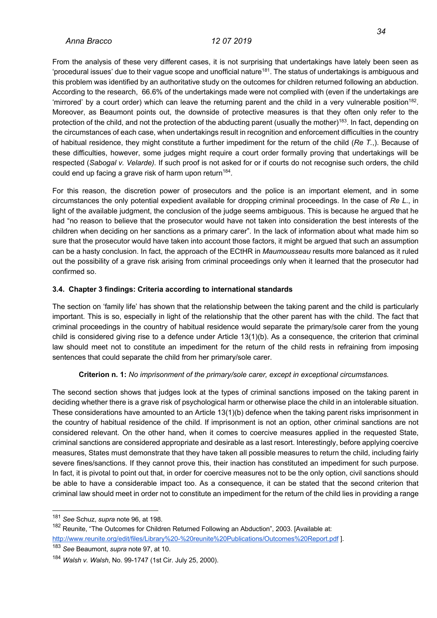From the analysis of these very different cases, it is not surprising that undertakings have lately been seen as 'procedural issues' due to their vague scope and unofficial nature<sup>181</sup>. The status of undertakings is ambiguous and this problem was identified by an authoritative study on the outcomes for children returned following an abduction. According to the research, 66.6% of the undertakings made were not complied with (even if the undertakings are 'mirrored' by a court order) which can leave the returning parent and the child in a very vulnerable position<sup>182</sup>. Moreover, as Beaumont points out, the downside of protective measures is that they often only refer to the protection of the child, and not the protection of the abducting parent (usually the mother)<sup>183</sup>. In fact, depending on the circumstances of each case, when undertakings result in recognition and enforcement difficulties in the country of habitual residence, they might constitute a further impediment for the return of the child (*Re T.*,). Because of these difficulties, however, some judges might require a court order formally proving that undertakings will be respected (*Sabogal v. Velarde).* If such proof is not asked for or if courts do not recognise such orders, the child could end up facing a grave risk of harm upon return $184$ .

For this reason, the discretion power of prosecutors and the police is an important element, and in some circumstances the only potential expedient available for dropping criminal proceedings. In the case of *Re L*., in light of the available judgment, the conclusion of the judge seems ambiguous. This is because he argued that he had "no reason to believe that the prosecutor would have not taken into consideration the best interests of the children when deciding on her sanctions as a primary carer". In the lack of information about what made him so sure that the prosecutor would have taken into account those factors, it might be argued that such an assumption can be a hasty conclusion. In fact, the approach of the ECtHR in *Maumousseau* results more balanced as it ruled out the possibility of a grave risk arising from criminal proceedings only when it learned that the prosecutor had confirmed so.

### **3.4. Chapter 3 findings: Criteria according to international standards**

The section on 'family life' has shown that the relationship between the taking parent and the child is particularly important. This is so, especially in light of the relationship that the other parent has with the child. The fact that criminal proceedings in the country of habitual residence would separate the primary/sole carer from the young child is considered giving rise to a defence under Article 13(1)(b). As a consequence, the criterion that criminal law should meet not to constitute an impediment for the return of the child rests in refraining from imposing sentences that could separate the child from her primary/sole carer.

### **Criterion n. 1:** *No imprisonment of the primary/sole carer, except in exceptional circumstances.*

The second section shows that judges look at the types of criminal sanctions imposed on the taking parent in deciding whether there is a grave risk of psychological harm or otherwise place the child in an intolerable situation. These considerations have amounted to an Article 13(1)(b) defence when the taking parent risks imprisonment in the country of habitual residence of the child. If imprisonment is not an option, other criminal sanctions are not considered relevant. On the other hand, when it comes to coercive measures applied in the requested State, criminal sanctions are considered appropriate and desirable as a last resort. Interestingly, before applying coercive measures, States must demonstrate that they have taken all possible measures to return the child, including fairly severe fines/sanctions. If they cannot prove this, their inaction has constituted an impediment for such purpose. In fact, it is pivotal to point out that, in order for coercive measures not to be the only option, civil sanctions should be able to have a considerable impact too. As a consequence, it can be stated that the second criterion that criminal law should meet in order not to constitute an impediment for the return of the child lies in providing a range

<sup>181</sup> *See* Schuz, *supra* note 96, at 198.

<sup>&</sup>lt;sup>182</sup> Reunite, "The Outcomes for Children Returned Following an Abduction", 2003. [Available at: http://www.reunite.org/edit/files/Library%20-%20reunite%20Publications/Outcomes%20Report.pdf ].

<sup>183</sup> *See* Beaumont, *supra* note 97, at 10.

<sup>184</sup> *Walsh v. Walsh*, No. 99-1747 (1st Cir. July 25, 2000).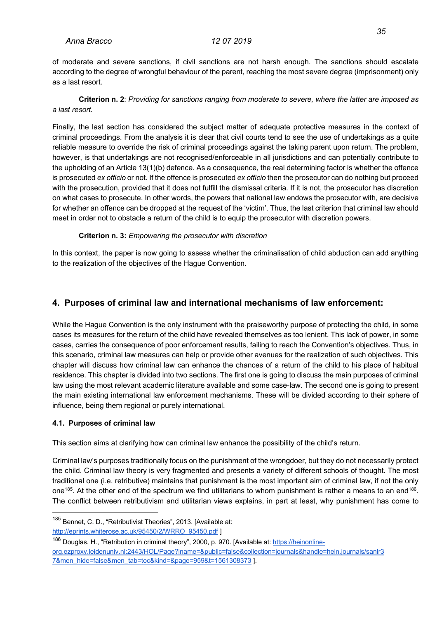of moderate and severe sanctions, if civil sanctions are not harsh enough. The sanctions should escalate according to the degree of wrongful behaviour of the parent, reaching the most severe degree (imprisonment) only as a last resort.

**Criterion n. 2**: *Providing for sanctions ranging from moderate to severe, where the latter are imposed as a last resort.*

Finally, the last section has considered the subject matter of adequate protective measures in the context of criminal proceedings. From the analysis it is clear that civil courts tend to see the use of undertakings as a quite reliable measure to override the risk of criminal proceedings against the taking parent upon return. The problem, however, is that undertakings are not recognised/enforceable in all jurisdictions and can potentially contribute to the upholding of an Article 13(1)(b) defence. As a consequence, the real determining factor is whether the offence is prosecuted *ex officio* or not. If the offence is prosecuted *ex officio* then the prosecutor can do nothing but proceed with the prosecution, provided that it does not fulfill the dismissal criteria. If it is not, the prosecutor has discretion on what cases to prosecute. In other words, the powers that national law endows the prosecutor with, are decisive for whether an offence can be dropped at the request of the 'victim'. Thus, the last criterion that criminal law should meet in order not to obstacle a return of the child is to equip the prosecutor with discretion powers.

### **Criterion n. 3:** *Empowering the prosecutor with discretion*

In this context, the paper is now going to assess whether the criminalisation of child abduction can add anything to the realization of the objectives of the Hague Convention.

### **4. Purposes of criminal law and international mechanisms of law enforcement:**

While the Hague Convention is the only instrument with the praiseworthy purpose of protecting the child, in some cases its measures for the return of the child have revealed themselves as too lenient. This lack of power, in some cases, carries the consequence of poor enforcement results, failing to reach the Convention's objectives. Thus, in this scenario, criminal law measures can help or provide other avenues for the realization of such objectives. This chapter will discuss how criminal law can enhance the chances of a return of the child to his place of habitual residence. This chapter is divided into two sections. The first one is going to discuss the main purposes of criminal law using the most relevant academic literature available and some case-law. The second one is going to present the main existing international law enforcement mechanisms. These will be divided according to their sphere of influence, being them regional or purely international.

### **4.1. Purposes of criminal law**

This section aims at clarifying how can criminal law enhance the possibility of the child's return.

Criminal law's purposes traditionally focus on the punishment of the wrongdoer, but they do not necessarily protect the child. Criminal law theory is very fragmented and presents a variety of different schools of thought. The most traditional one (i.e. retributive) maintains that punishment is the most important aim of criminal law, if not the only one<sup>185</sup>. At the other end of the spectrum we find utilitarians to whom punishment is rather a means to an end<sup>186</sup>. The conflict between retributivism and utilitarian views explains, in part at least, why punishment has come to

<sup>185</sup> Bennet. C. D., "Retributivist Theories", 2013. [Available at: http://eprints.whiterose.ac.uk/95450/2/WRRO\_95450.pdf ]

<sup>&</sup>lt;sup>186</sup> Douglas, H., "Retribution in criminal theory", 2000, p. 970. [Available at: https://heinonline-

org.ezproxy.leidenuniv.nl:2443/HOL/Page?lname=&public=false&collection=journals&handle=hein.journals/sanlr3 7&men\_hide=false&men\_tab=toc&kind=&page=959&t=1561308373 ].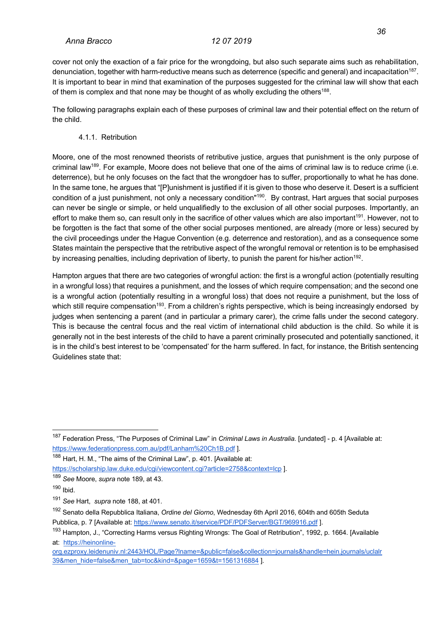cover not only the exaction of a fair price for the wrongdoing, but also such separate aims such as rehabilitation, denunciation, together with harm-reductive means such as deterrence (specific and general) and incapacitation<sup>187</sup>. It is important to bear in mind that examination of the purposes suggested for the criminal law will show that each of them is complex and that none may be thought of as wholly excluding the others<sup>188</sup>.

The following paragraphs explain each of these purposes of criminal law and their potential effect on the return of the child.

### 4.1.1. Retribution

Moore, one of the most renowned theorists of retributive justice, argues that punishment is the only purpose of criminal law<sup>189</sup>. For example, Moore does not believe that one of the aims of criminal law is to reduce crime (i.e. deterrence), but he only focuses on the fact that the wrongdoer has to suffer, proportionally to what he has done. In the same tone, he argues that "[P]unishment is justified if it is given to those who deserve it. Desert is a sufficient condition of a just punishment, not only a necessary condition"<sup>190</sup>. By contrast, Hart argues that social purposes can never be single or simple, or held unqualifiedly to the exclusion of all other social purposes. Importantly, an effort to make them so, can result only in the sacrifice of other values which are also important<sup>191</sup>. However, not to be forgotten is the fact that some of the other social purposes mentioned, are already (more or less) secured by the civil proceedings under the Hague Convention (e.g. deterrence and restoration), and as a consequence some States maintain the perspective that the retributive aspect of the wrongful removal or retention is to be emphasised by increasing penalties, including deprivation of liberty, to punish the parent for his/her action<sup>192</sup>.

Hampton argues that there are two categories of wrongful action: the first is a wrongful action (potentially resulting in a wrongful loss) that requires a punishment, and the losses of which require compensation; and the second one is a wrongful action (potentially resulting in a wrongful loss) that does not require a punishment, but the loss of which still require compensation<sup>193</sup>. From a children's rights perspective, which is being increasingly endorsed by judges when sentencing a parent (and in particular a primary carer), the crime falls under the second category. This is because the central focus and the real victim of international child abduction is the child. So while it is generally not in the best interests of the child to have a parent criminally prosecuted and potentially sanctioned, it is in the child's best interest to be 'compensated' for the harm suffered. In fact, for instance, the British sentencing Guidelines state that:

<sup>188</sup> Hart, H. M., "The aims of the Criminal Law", p. 401. [Available at: https://scholarship.law.duke.edu/cgi/viewcontent.cgi?article=2758&context=lcp ].

<sup>187</sup> Federation Press, "The Purposes of Criminal Law" in *Criminal Laws in Australia.* [undated] - p. 4 [Available at: https://www.federationpress.com.au/pdf/Lanham%20Ch1B.pdf ].

<sup>189</sup> *See* Moore, *supra* note 189, at 43.

 $190$  Ibid.

<sup>191</sup> *See* Hart, *supra* note 188, at 401.

<sup>192</sup> Senato della Repubblica Italiana, *Ordine del Giorno*, Wednesday 6th April 2016, 604th and 605th Seduta Pubblica, p. 7 [Available at: https://www.senato.it/service/PDF/PDFServer/BGT/969916.pdf ].

<sup>&</sup>lt;sup>193</sup> Hampton, J., "Correcting Harms versus Righting Wrongs: The Goal of Retribution", 1992, p. 1664. [Available at: https://heinonline-

org.ezproxy.leidenuniv.nl:2443/HOL/Page?lname=&public=false&collection=journals&handle=hein.journals/uclalr 39&men\_hide=false&men\_tab=toc&kind=&page=1659&t=1561316884 ].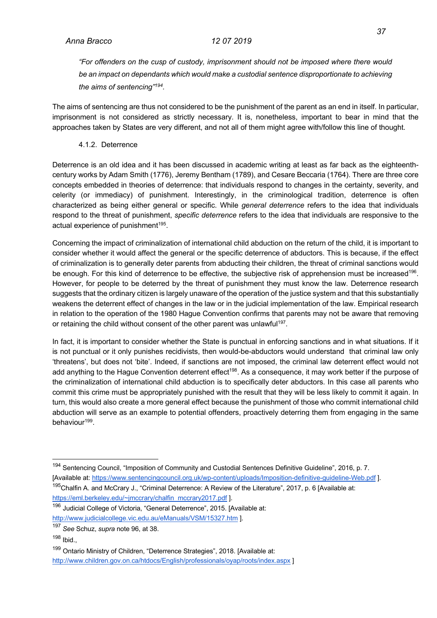*"For offenders on the cusp of custody, imprisonment should not be imposed where there would be an impact on dependants which would make a custodial sentence disproportionate to achieving the aims of sentencing"194.* 

The aims of sentencing are thus not considered to be the punishment of the parent as an end in itself. In particular, imprisonment is not considered as strictly necessary. It is, nonetheless, important to bear in mind that the approaches taken by States are very different, and not all of them might agree with/follow this line of thought.

4.1.2. Deterrence

Deterrence is an old idea and it has been discussed in academic writing at least as far back as the eighteenthcentury works by Adam Smith (1776), Jeremy Bentham (1789), and Cesare Beccaria (1764). There are three core concepts embedded in theories of deterrence: that individuals respond to changes in the certainty, severity, and celerity (or immediacy) of punishment. Interestingly, in the criminological tradition, deterrence is often characterized as being either general or specific. While *general deterrence* refers to the idea that individuals respond to the threat of punishment, *specific deterrence* refers to the idea that individuals are responsive to the actual experience of punishment<sup>195</sup>.

Concerning the impact of criminalization of international child abduction on the return of the child, it is important to consider whether it would affect the general or the specific deterrence of abductors. This is because, if the effect of criminalization is to generally deter parents from abducting their children, the threat of criminal sanctions would be enough. For this kind of deterrence to be effective, the subjective risk of apprehension must be increased<sup>196</sup>. However, for people to be deterred by the threat of punishment they must know the law. Deterrence research suggests that the ordinary citizen is largely unaware of the operation of the justice system and that this substantially weakens the deterrent effect of changes in the law or in the judicial implementation of the law. Empirical research in relation to the operation of the 1980 Hague Convention confirms that parents may not be aware that removing or retaining the child without consent of the other parent was unlawful<sup>197</sup>.

In fact, it is important to consider whether the State is punctual in enforcing sanctions and in what situations. If it is not punctual or it only punishes recidivists, then would-be-abductors would understand that criminal law only 'threatens', but does not 'bite'. Indeed, if sanctions are not imposed, the criminal law deterrent effect would not add anything to the Hague Convention deterrent effect<sup>198</sup>. As a consequence, it may work better if the purpose of the criminalization of international child abduction is to specifically deter abductors. In this case all parents who commit this crime must be appropriately punished with the result that they will be less likely to commit it again. In turn, this would also create a more general effect because the punishment of those who commit international child abduction will serve as an example to potential offenders, proactively deterring them from engaging in the same behaviour<sup>199</sup>.

https://eml.berkeley.edu/~imccrary/chalfin\_mccrary2017.pdf 1.

<sup>&</sup>lt;sup>194</sup> Sentencing Council, "Imposition of Community and Custodial Sentences Definitive Guideline", 2016, p. 7. [Available at: https://www.sentencingcouncil.org.uk/wp-content/uploads/Imposition-definitive-guideline-Web.pdf ]. <sup>195</sup>Chalfin A. and McCrary J., "Criminal Deterrence: A Review of the Literature", 2017, p. 6 [Available at:

<sup>196</sup> Judicial College of Victoria, "General Deterrence", 2015. [Available at: http://www.judicialcollege.vic.edu.au/eManuals/VSM/15327.htm ].

<sup>197</sup> *See* Schuz, *supra* note 96, at 38.

<sup>198</sup> Ibid.,

<sup>&</sup>lt;sup>199</sup> Ontario Ministry of Children, "Deterrence Strategies", 2018. [Available at: http://www.children.gov.on.ca/htdocs/English/professionals/oyap/roots/index.aspx ]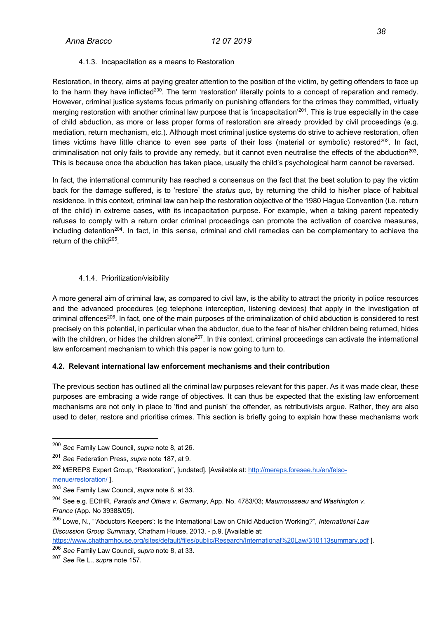### 4.1.3. Incapacitation as a means to Restoration

Restoration, in theory, aims at paying greater attention to the position of the victim, by getting offenders to face up to the harm they have inflicted<sup>200</sup>. The term 'restoration' literally points to a concept of reparation and remedy. However, criminal justice systems focus primarily on punishing offenders for the crimes they committed, virtually merging restoration with another criminal law purpose that is 'incapacitation'<sup>201</sup>. This is true especially in the case of child abduction, as more or less proper forms of restoration are already provided by civil proceedings (e.g. mediation, return mechanism, etc.). Although most criminal justice systems do strive to achieve restoration, often times victims have little chance to even see parts of their loss (material or symbolic) restored<sup>202</sup>. In fact, criminalisation not only fails to provide any remedy, but it cannot even neutralise the effects of the abduction<sup>203</sup>. This is because once the abduction has taken place, usually the child's psychological harm cannot be reversed.

In fact, the international community has reached a consensus on the fact that the best solution to pay the victim back for the damage suffered, is to 'restore' the *status quo*, by returning the child to his/her place of habitual residence. In this context, criminal law can help the restoration objective of the 1980 Hague Convention (i.e. return of the child) in extreme cases, with its incapacitation purpose. For example, when a taking parent repeatedly refuses to comply with a return order criminal proceedings can promote the activation of coercive measures, including detention<sup>204</sup>. In fact, in this sense, criminal and civil remedies can be complementary to achieve the return of the child $205$ .

### 4.1.4. Prioritization/visibility

A more general aim of criminal law, as compared to civil law, is the ability to attract the priority in police resources and the advanced procedures (eg telephone interception, listening devices) that apply in the investigation of criminal offences<sup>206</sup>. In fact, one of the main purposes of the criminalization of child abduction is considered to rest precisely on this potential, in particular when the abductor, due to the fear of his/her children being returned, hides with the children, or hides the children alone<sup>207</sup>. In this context, criminal proceedings can activate the international law enforcement mechanism to which this paper is now going to turn to.

### **4.2. Relevant international law enforcement mechanisms and their contribution**

The previous section has outlined all the criminal law purposes relevant for this paper. As it was made clear, these purposes are embracing a wide range of objectives. It can thus be expected that the existing law enforcement mechanisms are not only in place to 'find and punish' the offender, as retributivists argue. Rather, they are also used to deter, restore and prioritise crimes. This section is briefly going to explain how these mechanisms work

<sup>200</sup> *See* Family Law Council, *supra* note 8, at 26.

<sup>201</sup> *See* Federation Press, *supra* note 187, at 9.

<sup>202</sup> MEREPS Expert Group, "Restoration", [undated]. [Available at: http://mereps.foresee.hu/en/felsomenue/restoration/ ].

<sup>203</sup> *See* Family Law Council, *supra* note 8, at 33.

<sup>204</sup> See e.g. ECtHR, *Paradis and Others v. Germany*, App. No. 4783/03; *Maumousseau and Washington v. France* (App. No 39388/05).

<sup>205</sup> Lowe, N., "'Abductors Keepers': Is the International Law on Child Abduction Working?", *International Law Discussion Group Summary*, Chatham House, 2013. - p.9. [Available at:

https://www.chathamhouse.org/sites/default/files/public/Research/International%20Law/310113summary.pdf ].

<sup>206</sup> *See* Family Law Council, *supra* note 8, at 33.

<sup>207</sup> *See* Re L., *supra* note 157.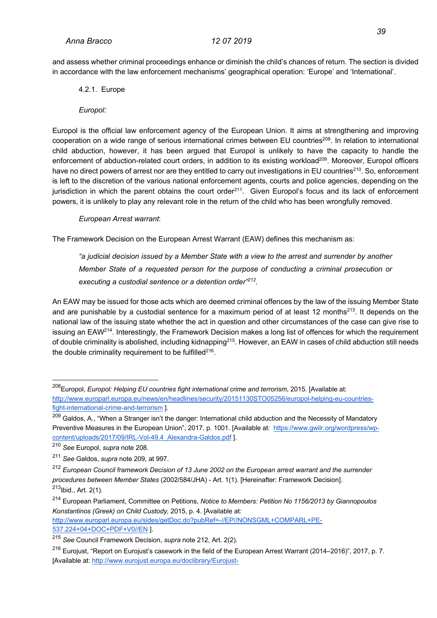and assess whether criminal proceedings enhance or diminish the child's chances of return. The section is divided in accordance with the law enforcement mechanisms' geographical operation: 'Europe' and 'International'.

### 4.2.1. Europe

### *Europol:*

Europol is the official law enforcement agency of the European Union. It aims at strengthening and improving cooperation on a wide range of serious international crimes between EU countries<sup>208</sup>. In relation to international child abduction, however, it has been argued that Europol is unlikely to have the capacity to handle the enforcement of abduction-related court orders, in addition to its existing workload<sup>209</sup>. Moreover, Europol officers have no direct powers of arrest nor are they entitled to carry out investigations in EU countries<sup>210</sup>. So, enforcement is left to the discretion of the various national enforcement agents, courts and police agencies, depending on the jurisdiction in which the parent obtains the court order<sup>211</sup>. Given Europol's focus and its lack of enforcement powers, it is unlikely to play any relevant role in the return of the child who has been wrongfully removed.

*European Arrest warrant*:

The Framework Decision on the European Arrest Warrant (EAW) defines this mechanism as:

*"a judicial decision issued by a Member State with a view to the arrest and surrender by another Member State of a requested person for the purpose of conducting a criminal prosecution or executing a custodial sentence or a detention order"212.* 

An EAW may be issued for those acts which are deemed criminal offences by the law of the issuing Member State and are punishable by a custodial sentence for a maximum period of at least 12 months<sup>213</sup>. It depends on the national law of the issuing state whether the act in question and other circumstances of the case can give rise to issuing an EAW<sup>214</sup>. Interestingly, the Framework Decision makes a long list of offences for which the requirement of double criminality is abolished, including kidnapping<sup>215</sup>. However, an EAW in cases of child abduction still needs the double criminality requirement to be fulfilled<sup>216</sup>.

http://www.europarl.europa.eu/sides/getDoc.do?pubRef=-//EP//NONSGML+COMPARL+PE-537.224+04+DOC+PDF+V0//EN ].

<sup>208</sup>Europol, *Europol: Helping EU countries fight international crime and terrorism*, 2015. [Available at: http://www.europarl.europa.eu/news/en/headlines/security/20151130STO05256/europol-helping-eu-countriesfight-international-crime-and-terrorism ].

<sup>&</sup>lt;sup>209</sup> Galdos, A., "When a Stranger isn't the danger: International child abduction and the Necessity of Mandatory Preventive Measures in the European Union", 2017, p. 1001. [Available at: https://www.gwilr.org/wordpress/wpcontent/uploads/2017/09/IRL-Vol-49.4 Alexandra-Galdos.pdf ].

<sup>210</sup> *See* Europol, *supra* note 208.

<sup>211</sup> *See* Galdos, *supra* note 209, at 997.

<sup>212</sup> *European Council framework Decision of 13 June 2002 on the European arrest warrant and the surrender procedures between Member States* (2002/584/JHA) - Art. 1(1). [Hereinafter: Framework Decision].  $213$ Ibid., Art. 2(1).

<sup>214</sup> European Parliament, Committee on Petitions, *Notice to Members: Petition No 1156/2013 by Giannopoulos Konstantinos (Greek) on Child Custody,* 2015, p. 4. [Available at:

<sup>215</sup> *See* Council Framework Decision, *supra* note 212, Art. 2(2).

<sup>&</sup>lt;sup>216</sup> Eurojust, "Report on Eurojust's casework in the field of the European Arrest Warrant (2014–2016)", 2017, p. 7. [Available at: http://www.eurojust.europa.eu/doclibrary/Eurojust-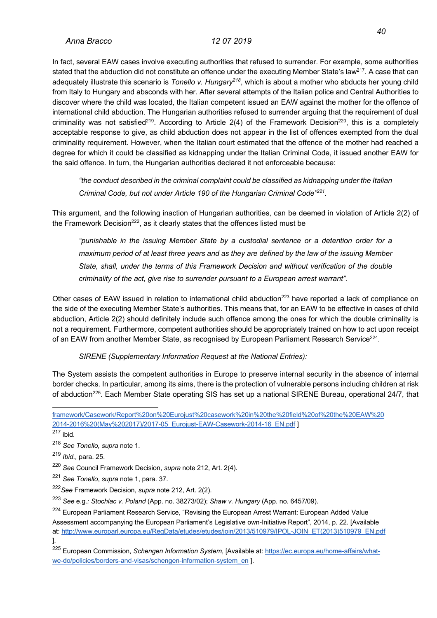In fact, several EAW cases involve executing authorities that refused to surrender. For example, some authorities stated that the abduction did not constitute an offence under the executing Member State's law<sup>217</sup>. A case that can adequately illustrate this scenario is *Tonello v. Hungary218*, which is about a mother who abducts her young child from Italy to Hungary and absconds with her. After several attempts of the Italian police and Central Authorities to discover where the child was located, the Italian competent issued an EAW against the mother for the offence of international child abduction. The Hungarian authorities refused to surrender arguing that the requirement of dual criminality was not satisfied<sup>219</sup>. According to Article 2(4) of the Framework Decision<sup>220</sup>, this is a completely acceptable response to give, as child abduction does not appear in the list of offences exempted from the dual criminality requirement. However, when the Italian court estimated that the offence of the mother had reached a degree for which it could be classified as kidnapping under the Italian Criminal Code, it issued another EAW for the said offence. In turn, the Hungarian authorities declared it not enforceable because:

*"the conduct described in the criminal complaint could be classified as kidnapping under the Italian Criminal Code, but not under Article 190 of the Hungarian Criminal Code"221.*

This argument, and the following inaction of Hungarian authorities, can be deemed in violation of Article 2(2) of the Framework Decision<sup>222</sup>, as it clearly states that the offences listed must be

*"punishable in the issuing Member State by a custodial sentence or a detention order for a maximum period of at least three years and as they are defined by the law of the issuing Member State, shall, under the terms of this Framework Decision and without verification of the double criminality of the act, give rise to surrender pursuant to a European arrest warrant".*

Other cases of EAW issued in relation to international child abduction<sup>223</sup> have reported a lack of compliance on the side of the executing Member State's authorities. This means that, for an EAW to be effective in cases of child abduction, Article 2(2) should definitely include such offence among the ones for which the double criminality is not a requirement. Furthermore, competent authorities should be appropriately trained on how to act upon receipt of an EAW from another Member State, as recognised by European Parliament Research Service<sup>224</sup>.

*SIRENE (Supplementary Information Request at the National Entries):*

The System assists the competent authorities in Europe to preserve internal security in the absence of internal border checks. In particular, among its aims, there is the protection of vulnerable persons including children at risk of abduction<sup>225</sup>. Each Member State operating SIS has set up a national SIRENE Bureau, operational 24/7, that

framework/Casework/Report%20on%20Eurojust%20casework%20in%20the%20field%20of%20the%20EAW%20 2014-2016%20(May%202017)/2017-05\_Eurojust-EAW-Casework-2014-16\_EN.pdf ]

<sup>217</sup> ibid.

<sup>218</sup> *See Tonello, supra* note 1*.*

<sup>219</sup> *Ibid.,* para. 25.

<sup>220</sup> *See* Council Framework Decision, *supra* note 212, Art. 2(4).

<sup>221</sup> *See Tonello*, *supra* note 1, para. 37.

<sup>222</sup>*See* Framework Decision, *supra* note 212, Art. 2(2).

<sup>223</sup> *See* e.g*.: Stochlac v. Poland* (App. no. 38273/02); *Shaw v. Hungary* (App. no. 6457/09).

<sup>&</sup>lt;sup>224</sup> European Parliament Research Service, "Revising the European Arrest Warrant: European Added Value

Assessment accompanying the European Parliament's Legislative own-Initiative Report", 2014, p. 22. [Available at: http://www.europarl.europa.eu/RegData/etudes/etudes/join/2013/510979/IPOL-JOIN\_ET(2013)510979\_EN.pdf ].

<sup>225</sup> European Commission, *Schengen Information System*, [Available at: https://ec.europa.eu/home-affairs/whatwe-do/policies/borders-and-visas/schengen-information-system\_en ].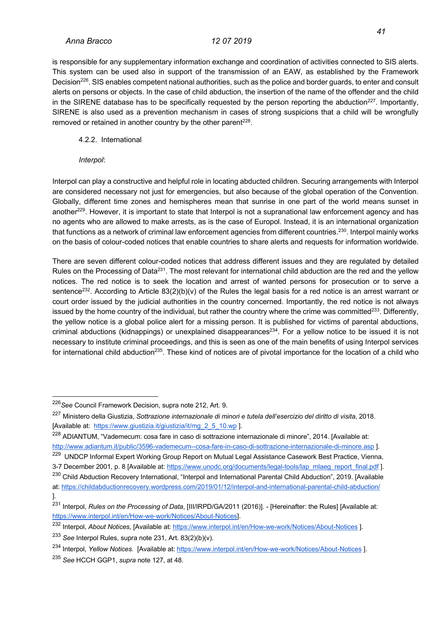is responsible for any supplementary information exchange and coordination of activities connected to SIS alerts. This system can be used also in support of the transmission of an EAW, as established by the Framework Decision<sup>226</sup>. SIS enables competent national authorities, such as the police and border guards, to enter and consult alerts on persons or objects. In the case of child abduction, the insertion of the name of the offender and the child in the SIRENE database has to be specifically requested by the person reporting the abduction<sup>227</sup>. Importantly, SIRENE is also used as a prevention mechanism in cases of strong suspicions that a child will be wrongfully removed or retained in another country by the other parent<sup>228</sup>.

4.2.2. International

### *Interpol*:

Interpol can play a constructive and helpful role in locating abducted children. Securing arrangements with Interpol are considered necessary not just for emergencies, but also because of the global operation of the Convention. Globally, different time zones and hemispheres mean that sunrise in one part of the world means sunset in another<sup>229</sup>. However, it is important to state that Interpol is not a supranational law enforcement agency and has no agents who are allowed to make arrests, as is the case of Europol. Instead, it is an international organization that functions as a network of criminal law enforcement agencies from different countries.<sup>230</sup>. Interpol mainly works on the basis of colour-coded notices that enable countries to share alerts and requests for information worldwide.

There are seven different colour-coded notices that address different issues and they are regulated by detailed Rules on the Processing of Data<sup>231</sup>. The most relevant for international child abduction are the red and the yellow notices. The red notice is to seek the location and arrest of wanted persons for prosecution or to serve a sentence<sup>232</sup>. According to Article  $83(2)(b)(v)$  of the Rules the legal basis for a red notice is an arrest warrant or court order issued by the judicial authorities in the country concerned. Importantly, the red notice is not always issued by the home country of the individual, but rather the country where the crime was committed<sup>233</sup>. Differently, the yellow notice is a global police alert for a missing person. It is published for victims of parental abductions, criminal abductions (kidnappings) or unexplained disappearances<sup>234</sup>. For a yellow notice to be issued it is not necessary to institute criminal proceedings, and this is seen as one of the main benefits of using Interpol services for international child abduction<sup>235</sup>. These kind of notices are of pivotal importance for the location of a child who

<sup>226</sup>*See* Council Framework Decision, supra note 212, Art. 9.

<sup>227</sup> Ministero della Giustizia, *Sottrazione internazionale di minori e tutela dell'esercizio del diritto di visita*, 2018. [Available at: https://www.giustizia.it/giustizia/it/mg\_2\_5\_10.wp ].

<sup>&</sup>lt;sup>228</sup> ADIANTUM, "Vademecum: cosa fare in caso di sottrazione internazionale di minore", 2014. [Available at: http://www.adiantum.it/public/3596-vademecum--cosa-fare-in-caso-di-sottrazione-internazionale-di-minore.asp ].

<sup>229</sup> UNDCP Informal Expert Working Group Report on Mutual Legal Assistance Casework Best Practice, Vienna, 3-7 December 2001, p. 8 [Available at: https://www.unodc.org/documents/legal-tools/lap\_mlaeg\_report\_final.pdf ].

<sup>&</sup>lt;sup>230</sup> Child Abduction Recovery International, "Interpol and International Parental Child Abduction", 2019. [Available at: https://childabductionrecovery.wordpress.com/2019/01/12/interpol-and-international-parental-child-abduction/

<sup>].</sup>

<sup>231</sup> Interpol, *Rules on the Processing of Data*, [III/IRPD/GA/2011 (2016)]. - [Hereinafter: the Rules] [Available at: https://www.interpol.int/en/How-we-work/Notices/About-Notices].

<sup>232</sup> Interpol, *About Notices*, [Available at: https://www.interpol.int/en/How-we-work/Notices/About-Notices ].

<sup>233</sup> *See* Interpol Rules, supra note 231, Art. 83(2)(b)(v).

<sup>234</sup> Interpol, *Yellow Notices.* [Available at: https://www.interpol.int/en/How-we-work/Notices/About-Notices ].

<sup>235</sup> *See* HCCH GGP1, *supra* note 127, at 48.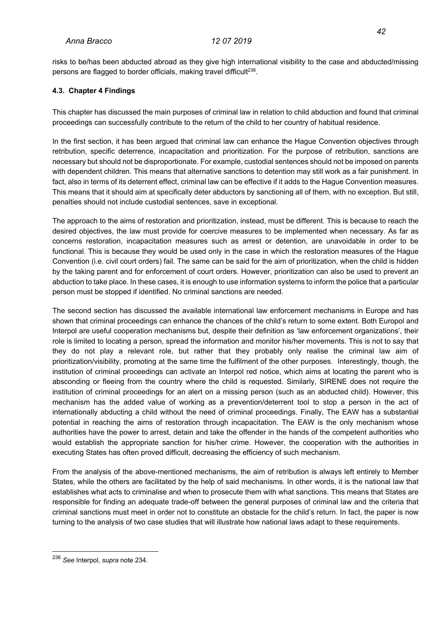risks to be/has been abducted abroad as they give high international visibility to the case and abducted/missing persons are flagged to border officials, making travel difficult<sup>236</sup>.

### **4.3. Chapter 4 Findings**

This chapter has discussed the main purposes of criminal law in relation to child abduction and found that criminal proceedings can successfully contribute to the return of the child to her country of habitual residence.

In the first section, it has been argued that criminal law can enhance the Hague Convention objectives through retribution, specific deterrence, incapacitation and prioritization. For the purpose of retribution, sanctions are necessary but should not be disproportionate. For example, custodial sentences should not be imposed on parents with dependent children. This means that alternative sanctions to detention may still work as a fair punishment. In fact, also in terms of its deterrent effect, criminal law can be effective if it adds to the Hague Convention measures. This means that it should aim at specifically deter abductors by sanctioning all of them, with no exception. But still, penalties should not include custodial sentences, save in exceptional.

The approach to the aims of restoration and prioritization, instead, must be different. This is because to reach the desired objectives, the law must provide for coercive measures to be implemented when necessary. As far as concerns restoration, incapacitation measures such as arrest or detention, are unavoidable in order to be functional. This is because they would be used only in the case in which the restoration measures of the Hague Convention (i.e. civil court orders) fail. The same can be said for the aim of prioritization, when the child is hidden by the taking parent and for enforcement of court orders. However, prioritization can also be used to prevent an abduction to take place. In these cases, it is enough to use information systems to inform the police that a particular person must be stopped if identified. No criminal sanctions are needed.

The second section has discussed the available international law enforcement mechanisms in Europe and has shown that criminal proceedings can enhance the chances of the child's return to some extent. Both Europol and Interpol are useful cooperation mechanisms but, despite their definition as 'law enforcement organizations', their role is limited to locating a person, spread the information and monitor his/her movements. This is not to say that they do not play a relevant role, but rather that they probably only realise the criminal law aim of prioritization/visibility, promoting at the same time the fulfilment of the other purposes. Interestingly, though, the institution of criminal proceedings can activate an Interpol red notice, which aims at locating the parent who is absconding or fleeing from the country where the child is requested. Similarly, SIRENE does not require the institution of criminal proceedings for an alert on a missing person (such as an abducted child). However, this mechanism has the added value of working as a prevention/deterrent tool to stop a person in the act of internationally abducting a child without the need of criminal proceedings. Finally, The EAW has a substantial potential in reaching the aims of restoration through incapacitation. The EAW is the only mechanism whose authorities have the power to arrest, detain and take the offender in the hands of the competent authorities who would establish the appropriate sanction for his/her crime. However, the cooperation with the authorities in executing States has often proved difficult, decreasing the efficiency of such mechanism.

From the analysis of the above-mentioned mechanisms, the aim of retribution is always left entirely to Member States, while the others are facilitated by the help of said mechanisms. In other words, it is the national law that establishes what acts to criminalise and when to prosecute them with what sanctions. This means that States are responsible for finding an adequate trade-off between the general purposes of criminal law and the criteria that criminal sanctions must meet in order not to constitute an obstacle for the child's return. In fact, the paper is now turning to the analysis of two case studies that will illustrate how national laws adapt to these requirements.

<sup>236</sup> *See* Interpol, *supra* note 234.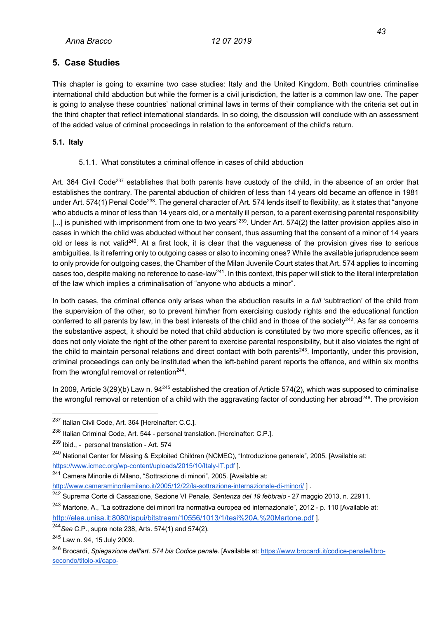### **5. Case Studies**

This chapter is going to examine two case studies: Italy and the United Kingdom. Both countries criminalise international child abduction but while the former is a civil jurisdiction, the latter is a common law one. The paper is going to analyse these countries' national criminal laws in terms of their compliance with the criteria set out in the third chapter that reflect international standards. In so doing, the discussion will conclude with an assessment of the added value of criminal proceedings in relation to the enforcement of the child's return.

### **5.1. Italy**

5.1.1. What constitutes a criminal offence in cases of child abduction

Art. 364 Civil Code<sup>237</sup> establishes that both parents have custody of the child, in the absence of an order that establishes the contrary. The parental abduction of children of less than 14 years old became an offence in 1981 under Art. 574(1) Penal Code<sup>238</sup>. The general character of Art. 574 lends itself to flexibility, as it states that "anyone who abducts a minor of less than 14 years old, or a mentally ill person, to a parent exercising parental responsibility [...] is punished with imprisonment from one to two years<sup>"239</sup>. Under Art. 574(2) the latter provision applies also in cases in which the child was abducted without her consent, thus assuming that the consent of a minor of 14 years old or less is not valid<sup>240</sup>. At a first look, it is clear that the vagueness of the provision gives rise to serious ambiguities. Is it referring only to outgoing cases or also to incoming ones? While the available jurisprudence seem to only provide for outgoing cases, the Chamber of the Milan Juvenile Court states that Art. 574 applies to incoming cases too, despite making no reference to case-law<sup>241</sup>. In this context, this paper will stick to the literal interpretation of the law which implies a criminalisation of "anyone who abducts a minor".

In both cases, the criminal offence only arises when the abduction results in a *full* 'subtraction' of the child from the supervision of the other, so to prevent him/her from exercising custody rights and the educational function conferred to all parents by law, in the best interests of the child and in those of the society<sup>242</sup>. As far as concerns the substantive aspect, it should be noted that child abduction is constituted by two more specific offences, as it does not only violate the right of the other parent to exercise parental responsibility, but it also violates the right of the child to maintain personal relations and direct contact with both parents<sup>243</sup>. Importantly, under this provision, criminal proceedings can only be instituted when the left-behind parent reports the offence, and within six months from the wrongful removal or retention<sup>244</sup>.

In 2009, Article 3(29)(b) Law n. 94<sup>245</sup> established the creation of Article 574(2), which was supposed to criminalise the wrongful removal or retention of a child with the aggravating factor of conducting her abroad<sup>246</sup>. The provision

<sup>237</sup> Italian Civil Code, Art. 364 [Hereinafter: C.C.].

<sup>&</sup>lt;sup>238</sup> Italian Criminal Code, Art. 544 - personal translation. [Hereinafter: C.P.].

<sup>239</sup> Ibid., - personal translation - Art. 574

<sup>&</sup>lt;sup>240</sup> National Center for Missing & Exploited Children (NCMEC), "Introduzione generale", 2005. [Available at: https://www.icmec.org/wp-content/uploads/2015/10/Italy-IT.pdf ].

<sup>241</sup> Camera Minorile di Milano, "Sottrazione di minori", 2005. [Available at:

http://www.cameraminorilemilano.it/2005/12/22/la-sottrazione-internazionale-di-minori/ ] .

<sup>242</sup> Suprema Corte di Cassazione, Sezione VI Penale, *Sentenza del 19 febbraio* - 27 maggio 2013, n. 22911.

<sup>243</sup> Martone, A., "La sottrazione dei minori tra normativa europea ed internazionale", 2012 - p. 110 [Available at: http://elea.unisa.it:8080/jspui/bitstream/10556/1013/1/tesi%20A.%20Martone.pdf ].

<sup>244</sup>*See* C.P., supra note 238, Arts. 574(1) and 574(2).

<sup>245</sup> Law n. 94, 15 July 2009.

<sup>246</sup> Brocardi, *Spiegazione dell'art. 574 bis Codice penale*. [Available at: https://www.brocardi.it/codice-penale/librosecondo/titolo-xi/capo-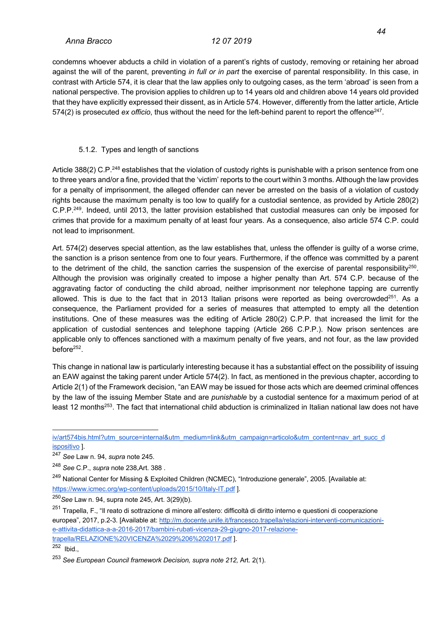condemns whoever abducts a child in violation of a parent's rights of custody, removing or retaining her abroad against the will of the parent, preventing *in full or in part* the exercise of parental responsibility. In this case, in contrast with Article 574, it is clear that the law applies only to outgoing cases, as the term 'abroad' is seen from a national perspective. The provision applies to children up to 14 years old and children above 14 years old provided that they have explicitly expressed their dissent, as in Article 574. However, differently from the latter article, Article 574(2) is prosecuted *ex officio*, thus without the need for the left-behind parent to report the offence<sup>247</sup>.

### 5.1.2. Types and length of sanctions

Article 388(2) C.P.<sup>248</sup> establishes that the violation of custody rights is punishable with a prison sentence from one to three years and/or a fine, provided that the 'victim' reports to the court within 3 months. Although the law provides for a penalty of imprisonment, the alleged offender can never be arrested on the basis of a violation of custody rights because the maximum penalty is too low to qualify for a custodial sentence, as provided by Article 280(2) C.P.P.249. Indeed, until 2013, the latter provision established that custodial measures can only be imposed for crimes that provide for a maximum penalty of at least four years. As a consequence, also article 574 C.P. could not lead to imprisonment.

Art. 574(2) deserves special attention, as the law establishes that, unless the offender is guilty of a worse crime, the sanction is a prison sentence from one to four years. Furthermore, if the offence was committed by a parent to the detriment of the child, the sanction carries the suspension of the exercise of parental responsibility<sup>250</sup>. Although the provision was originally created to impose a higher penalty than Art. 574 C.P. because of the aggravating factor of conducting the child abroad, neither imprisonment nor telephone tapping are currently allowed. This is due to the fact that in 2013 Italian prisons were reported as being overcrowded $^{251}$ . As a consequence, the Parliament provided for a series of measures that attempted to empty all the detention institutions. One of these measures was the editing of Article 280(2) C.P.P. that increased the limit for the application of custodial sentences and telephone tapping (Article 266 C.P.P.). Now prison sentences are applicable only to offences sanctioned with a maximum penalty of five years, and not four, as the law provided before<sup>252</sup>.

This change in national law is particularly interesting because it has a substantial effect on the possibility of issuing an EAW against the taking parent under Article 574(2). In fact, as mentioned in the previous chapter, according to Article 2(1) of the Framework decision, "an EAW may be issued for those acts which are deemed criminal offences by the law of the issuing Member State and are *punishable* by a custodial sentence for a maximum period of at least 12 months<sup>253</sup>. The fact that international child abduction is criminalized in Italian national law does not have

iv/art574bis.html?utm\_source=internal&utm\_medium=link&utm\_campaign=articolo&utm\_content=nav\_art\_succ\_d ispositivo ].

<sup>247</sup> *See* Law n. 94, *supra* note 245.

<sup>248</sup> *See* C.P., *supra* note 238,Art. 388 .

<sup>&</sup>lt;sup>249</sup> National Center for Missing & Exploited Children (NCMEC), "Introduzione generale", 2005. [Available at: https://www.icmec.org/wp-content/uploads/2015/10/Italy-IT.pdf 1.

<sup>250</sup>*See* Law n. 94, supra note 245, Art. 3(29)(b).

<sup>&</sup>lt;sup>251</sup> Trapella, F., "Il reato di sottrazione di minore all'estero: difficoltà di diritto interno e questioni di cooperazione europea", 2017, p.2-3. [Available at: http://m.docente.unife.it/francesco.trapella/relazioni-interventi-comunicazionie-attivita-didattica-a-a-2016-2017/bambini-rubati-vicenza-29-giugno-2017-relazionetrapella/RELAZIONE%20VICENZA%2029%206%202017.pdf ].

 $\overline{^{252}}$  Ibid.,

<sup>253</sup> *See European Council framework Decision, supra note 212,* Art. 2(1).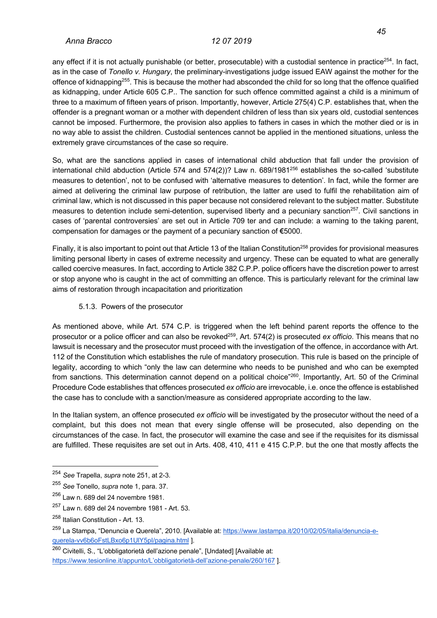any effect if it is not actually punishable (or better, prosecutable) with a custodial sentence in practice $254$ . In fact, as in the case of *Tonello v. Hungary*, the preliminary-investigations judge issued EAW against the mother for the offence of kidnapping<sup>255</sup>. This is because the mother had absconded the child for so long that the offence qualified as kidnapping, under Article 605 C.P.. The sanction for such offence committed against a child is a minimum of three to a maximum of fifteen years of prison. Importantly, however, Article 275(4) C.P. establishes that, when the offender is a pregnant woman or a mother with dependent children of less than six years old, custodial sentences cannot be imposed. Furthermore, the provision also applies to fathers in cases in which the mother died or is in no way able to assist the children. Custodial sentences cannot be applied in the mentioned situations, unless the extremely grave circumstances of the case so require.

So, what are the sanctions applied in cases of international child abduction that fall under the provision of international child abduction (Article 574 and 574(2))? Law n. 689/1981 $^{256}$  establishes the so-called 'substitute measures to detention', not to be confused with 'alternative measures to detention'. In fact, while the former are aimed at delivering the criminal law purpose of retribution, the latter are used to fulfil the rehabilitation aim of criminal law, which is not discussed in this paper because not considered relevant to the subject matter. Substitute measures to detention include semi-detention, supervised liberty and a pecuniary sanction<sup>257</sup>. Civil sanctions in cases of 'parental controversies' are set out in Article 709 ter and can include: a warning to the taking parent, compensation for damages or the payment of a pecuniary sanction of **€**5000.

Finally, it is also important to point out that Article 13 of the Italian Constitution<sup>258</sup> provides for provisional measures limiting personal liberty in cases of extreme necessity and urgency. These can be equated to what are generally called coercive measures. In fact, according to Article 382 C.P.P. police officers have the discretion power to arrest or stop anyone who is caught in the act of committing an offence. This is particularly relevant for the criminal law aims of restoration through incapacitation and prioritization

5.1.3. Powers of the prosecutor

As mentioned above, while Art. 574 C.P. is triggered when the left behind parent reports the offence to the prosecutor or a police officer and can also be revoked<sup>259</sup>, Art. 574(2) is prosecuted *ex officio*. This means that no lawsuit is necessary and the prosecutor must proceed with the investigation of the offence, in accordance with Art. 112 of the Constitution which establishes the rule of mandatory prosecution. This rule is based on the principle of legality, according to which "only the law can determine who needs to be punished and who can be exempted from sanctions. This determination cannot depend on a political choice"<sup>260</sup>. Importantly, Art. 50 of the Criminal Procedure Code establishes that offences prosecuted *ex officio* are irrevocable, i.e. once the offence is established the case has to conclude with a sanction/measure as considered appropriate according to the law.

In the Italian system, an offence prosecuted *ex officio* will be investigated by the prosecutor without the need of a complaint, but this does not mean that every single offense will be prosecuted, also depending on the circumstances of the case. In fact, the prosecutor will examine the case and see if the requisites for its dismissal are fulfilled. These requisites are set out in Arts. 408, 410, 411 e 415 C.P.P. but the one that mostly affects the

<sup>254</sup> *See* Trapella, *supra* note 251, at 2-3.

<sup>255</sup> *See* Tonello, *supra* note 1, para. 37.

<sup>256</sup> Law n. 689 del 24 novembre 1981.

<sup>257</sup> Law n. 689 del 24 novembre 1981 - Art. 53.

<sup>258</sup> Italian Constitution - Art. 13.

<sup>&</sup>lt;sup>259</sup> La Stampa, "Denuncia e Querela", 2010. [Available at: https://www.lastampa.it/2010/02/05/italia/denuncia-equerela-vv6b6oFstLBxo6p1UlY5pI/pagina.html ].

<sup>260</sup> Civitelli, S., "L'obbligatorietà dell'azione penale", [Undated] [Available at: https://www.tesionline.it/appunto/L'obbligatorietà-dell'azione-penale/260/167 ].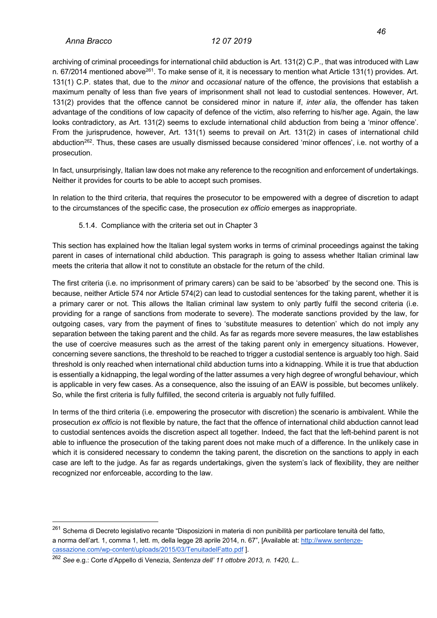archiving of criminal proceedings for international child abduction is Art. 131(2) C.P., that was introduced with Law n. 67/2014 mentioned above<sup>261</sup>. To make sense of it, it is necessary to mention what Article 131(1) provides. Art. 131(1) C.P. states that, due to the *minor* and *occasional* nature of the offence, the provisions that establish a maximum penalty of less than five years of imprisonment shall not lead to custodial sentences. However, Art. 131(2) provides that the offence cannot be considered minor in nature if, *inter alia*, the offender has taken advantage of the conditions of low capacity of defence of the victim, also referring to his/her age. Again, the law looks contradictory, as Art. 131(2) seems to exclude international child abduction from being a 'minor offence'. From the jurisprudence, however, Art. 131(1) seems to prevail on Art. 131(2) in cases of international child abduction<sup>262</sup>. Thus, these cases are usually dismissed because considered 'minor offences', i.e. not worthy of a prosecution.

In fact, unsurprisingly, Italian law does not make any reference to the recognition and enforcement of undertakings. Neither it provides for courts to be able to accept such promises.

In relation to the third criteria, that requires the prosecutor to be empowered with a degree of discretion to adapt to the circumstances of the specific case, the prosecution *ex officio* emerges as inappropriate.

### 5.1.4. Compliance with the criteria set out in Chapter 3

This section has explained how the Italian legal system works in terms of criminal proceedings against the taking parent in cases of international child abduction. This paragraph is going to assess whether Italian criminal law meets the criteria that allow it not to constitute an obstacle for the return of the child.

The first criteria (i.e. no imprisonment of primary carers) can be said to be 'absorbed' by the second one. This is because, neither Article 574 nor Article 574(2) can lead to custodial sentences for the taking parent, whether it is a primary carer or not. This allows the Italian criminal law system to only partly fulfil the second criteria (i.e. providing for a range of sanctions from moderate to severe). The moderate sanctions provided by the law, for outgoing cases, vary from the payment of fines to 'substitute measures to detention' which do not imply any separation between the taking parent and the child. As far as regards more severe measures, the law establishes the use of coercive measures such as the arrest of the taking parent only in emergency situations. However, concerning severe sanctions, the threshold to be reached to trigger a custodial sentence is arguably too high. Said threshold is only reached when international child abduction turns into a kidnapping. While it is true that abduction is essentially a kidnapping, the legal wording of the latter assumes a very high degree of wrongful behaviour, which is applicable in very few cases. As a consequence, also the issuing of an EAW is possible, but becomes unlikely. So, while the first criteria is fully fulfilled, the second criteria is arguably not fully fulfilled.

In terms of the third criteria (i.e. empowering the prosecutor with discretion) the scenario is ambivalent. While the prosecution *ex officio* is not flexible by nature, the fact that the offence of international child abduction cannot lead to custodial sentences avoids the discretion aspect all together. Indeed, the fact that the left-behind parent is not able to influence the prosecution of the taking parent does not make much of a difference. In the unlikely case in which it is considered necessary to condemn the taking parent, the discretion on the sanctions to apply in each case are left to the judge. As far as regards undertakings, given the system's lack of flexibility, they are neither recognized nor enforceable, according to the law.

<sup>&</sup>lt;sup>261</sup> Schema di Decreto legislativo recante "Disposizioni in materia di non punibilità per particolare tenuità del fatto, a norma dell'art. 1, comma 1, lett. m, della legge 28 aprile 2014, n. 67", [Available at: http://www.sentenzecassazione.com/wp-content/uploads/2015/03/TenuitadelFatto.pdf ].

<sup>262</sup> *See* e.g.: Corte d'Appello di Venezia, *Sentenza dell' 11 ottobre 2013, n. 1420, L..*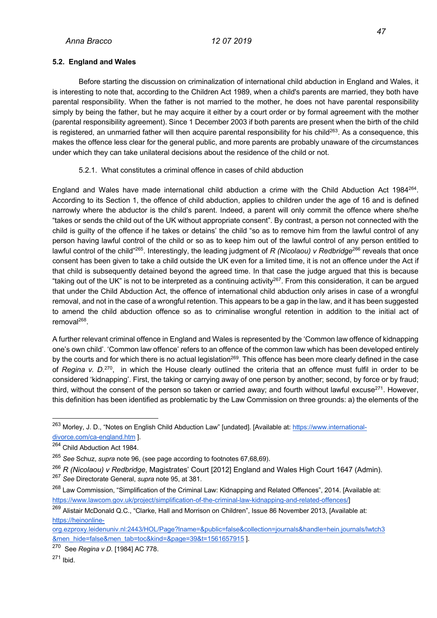### **5.2. England and Wales**

Before starting the discussion on criminalization of international child abduction in England and Wales, it is interesting to note that, according to the Children Act 1989, when a child's parents are married, they both have parental responsibility. When the father is not married to the mother, he does not have parental responsibility simply by being the father, but he may acquire it either by a court order or by formal agreement with the mother (parental responsibility agreement). Since 1 December 2003 if both parents are present when the birth of the child is registered, an unmarried father will then acquire parental responsibility for his child<sup>263</sup>. As a consequence, this makes the offence less clear for the general public, and more parents are probably unaware of the circumstances under which they can take unilateral decisions about the residence of the child or not.

### 5.2.1. What constitutes a criminal offence in cases of child abduction

England and Wales have made international child abduction a crime with the Child Abduction Act 1984<sup>264</sup>. According to its Section 1, the offence of child abduction, applies to children under the age of 16 and is defined narrowly where the abductor is the child's parent. Indeed, a parent will only commit the offence where she/he "takes or sends the child out of the UK without appropriate consent". By contrast, a person not connected with the child is guilty of the offence if he takes or detains' the child "so as to remove him from the lawful control of any person having lawful control of the child or so as to keep him out of the lawful control of any person entitled to lawful control of the child"265. Interestingly, the leading judgment of *R (Nicolaou) v Redbridge*<sup>266</sup> reveals that once consent has been given to take a child outside the UK even for a limited time, it is not an offence under the Act if that child is subsequently detained beyond the agreed time. In that case the judge argued that this is because "taking out of the UK" is not to be interpreted as a continuing activity<sup>267</sup>. From this consideration, it can be argued that under the Child Abduction Act, the offence of international child abduction only arises in case of a wrongful removal, and not in the case of a wrongful retention. This appears to be a gap in the law, and it has been suggested to amend the child abduction offence so as to criminalise wrongful retention in addition to the initial act of removal268.

A further relevant criminal offence in England and Wales is represented by the 'Common law offence of kidnapping one's own child'. 'Common law offence' refers to an offence of the common law which has been developed entirely by the courts and for which there is no actual legislation<sup>269</sup>. This offence has been more clearly defined in the case of *Regina v. D.*270, in which the House clearly outlined the criteria that an offence must fulfil in order to be considered 'kidnapping'. First, the taking or carrying away of one person by another; second, by force or by fraud; third, without the consent of the person so taken or carried away; and fourth without lawful excuse $^{271}$ . However, this definition has been identified as problematic by the Law Commission on three grounds: a) the elements of the

<sup>&</sup>lt;sup>263</sup> Morley, J. D., "Notes on English Child Abduction Law" [undated]. [Available at: https://www.internationaldivorce.com/ca-england.htm ].

<sup>&</sup>lt;sup>264</sup> Child Abduction Act 1984.

<sup>265</sup> *See* Schuz, *supra* note 96, (see page according to footnotes 67,68,69).

<sup>266</sup> *R (Nicolaou) v Redbridge*, Magistrates' Court [2012] England and Wales High Court 1647 (Admin).

<sup>267</sup> *See* Directorate General, *supra* note 95, at 381.

<sup>&</sup>lt;sup>268</sup> Law Commission, "Simplification of the Criminal Law: Kidnapping and Related Offences", 2014. [Available at: https://www.lawcom.gov.uk/project/simplification-of-the-criminal-law-kidnapping-and-related-offences/]

<sup>&</sup>lt;sup>269</sup> Alistair McDonald Q.C., "Clarke, Hall and Morrison on Children", Issue 86 November 2013, [Available at: https://heinonline-

org.ezproxy.leidenuniv.nl:2443/HOL/Page?lname=&public=false&collection=journals&handle=hein.journals/lwtch3 &men\_hide=false&men\_tab=toc&kind=&page=39&t=1561657915 ].

<sup>270</sup> See *Regina v D.* [1984] AC 778.

<sup>271</sup> Ibid.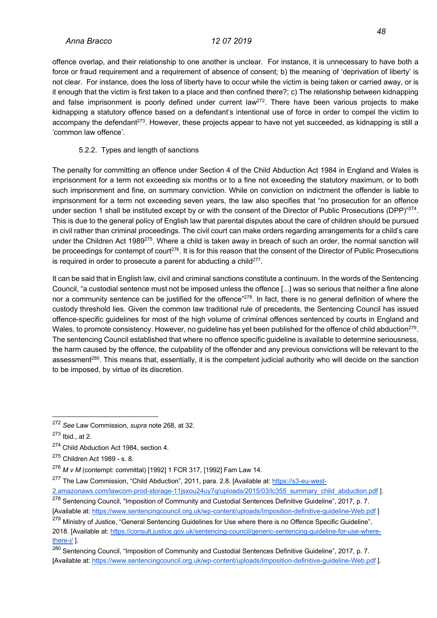offence overlap, and their relationship to one another is unclear. For instance, it is unnecessary to have both a force or fraud requirement and a requirement of absence of consent; b) the meaning of 'deprivation of liberty' is not clear. For instance, does the loss of liberty have to occur while the victim is being taken or carried away, or is it enough that the victim is first taken to a place and then confined there?; c) The relationship between kidnapping and false imprisonment is poorly defined under current law<sup>272</sup>. There have been various projects to make kidnapping a statutory offence based on a defendant's intentional use of force in order to compel the victim to accompany the defendant<sup>273</sup>. However, these projects appear to have not yet succeeded, as kidnapping is still a 'common law offence'.

### 5.2.2. Types and length of sanctions

The penalty for committing an offence under Section 4 of the Child Abduction Act 1984 in England and Wales is imprisonment for a term not exceeding six months or to a fine not exceeding the statutory maximum, or to both such imprisonment and fine, on summary conviction. While on conviction on indictment the offender is liable to imprisonment for a term not exceeding seven years, the law also specifies that "no prosecution for an offence under section 1 shall be instituted except by or with the consent of the Director of Public Prosecutions (DPP)"274. This is due to the general policy of English law that parental disputes about the care of children should be pursued in civil rather than criminal proceedings. The civil court can make orders regarding arrangements for a child's care under the Children Act 1989<sup>275</sup>. Where a child is taken away in breach of such an order, the normal sanction will be proceedings for contempt of court<sup>276</sup>. It is for this reason that the consent of the Director of Public Prosecutions is required in order to prosecute a parent for abducting a child $277$ .

It can be said that in English law, civil and criminal sanctions constitute a continuum. In the words of the Sentencing Council, "a custodial sentence must not be imposed unless the offence [...] was so serious that neither a fine alone nor a community sentence can be justified for the offence"<sup>278</sup>. In fact, there is no general definition of where the custody threshold lies. Given the common law traditional rule of precedents, the Sentencing Council has issued offence-specific guidelines for most of the high volume of criminal offences sentenced by courts in England and Wales, to promote consistency. However, no guideline has yet been published for the offence of child abduction<sup>279</sup>. The sentencing Council established that where no offence specific guideline is available to determine seriousness, the harm caused by the offence, the culpability of the offender and any previous convictions will be relevant to the assessment<sup>280</sup>. This means that, essentially, it is the competent judicial authority who will decide on the sanction to be imposed, by virtue of its discretion.

<sup>272</sup> *See* Law Commission, *supra* note 268, at 32.

<sup>273</sup> Ibid., at 2.

<sup>274</sup> Child Abduction Act 1984, section 4.

<sup>275</sup> Children Act 1989 - s. 8.

<sup>276</sup> *M v M* (contempt: committal) [1992] 1 FCR 317, [1992] Fam Law 14.

<sup>&</sup>lt;sup>277</sup> The Law Commission, "Child Abduction", 2011, para. 2.8. [Available at: https://s3-eu-west-

<sup>2.</sup>amazonaws.com/lawcom-prod-storage-11jsxou24uy7q/uploads/2015/03/lc355\_summary\_child\_abduction.pdf ]. <sup>278</sup> Sentencina Council, "Imposition of Community and Custodial Sentences Definitive Guideline", 2017, p. 7.

<sup>[</sup>Available at: https://www.sentencingcouncil.org.uk/wp-content/uploads/Imposition-definitive-guideline-Web.pdf ]

<sup>&</sup>lt;sup>279</sup> Ministrv of Justice. "General Sentencing Guidelines for Use where there is no Offence Specific Guideline", 2018. [Available at: https://consult.justice.gov.uk/sentencing-council/generic-sentencing-guideline-for-use-wherethere-i/ ].

<sup>&</sup>lt;sup>280</sup> Sentencing Council, "Imposition of Community and Custodial Sentences Definitive Guideline", 2017, p. 7. [Available at: https://www.sentencingcouncil.org.uk/wp-content/uploads/Imposition-definitive-guideline-Web.pdf ].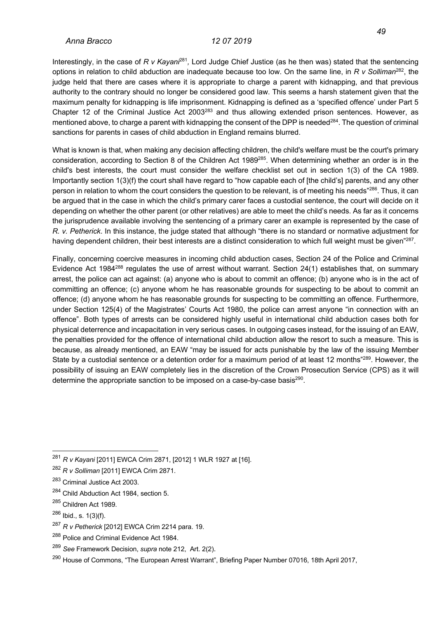Interestingly, in the case of *R v Kayani*<sup>281</sup>*,* Lord Judge Chief Justice (as he then was) stated that the sentencing options in relation to child abduction are inadequate because too low. On the same line, in *R v Solliman*282, the judge held that there are cases where it is appropriate to charge a parent with kidnapping, and that previous authority to the contrary should no longer be considered good law. This seems a harsh statement given that the maximum penalty for kidnapping is life imprisonment. Kidnapping is defined as a 'specified offence' under Part 5 Chapter 12 of the Criminal Justice Act 2003<sup>283</sup> and thus allowing extended prison sentences. However, as mentioned above, to charge a parent with kidnapping the consent of the DPP is needed<sup>284</sup>. The question of criminal sanctions for parents in cases of child abduction in England remains blurred.

What is known is that, when making any decision affecting children, the child's welfare must be the court's primary consideration, according to Section 8 of the Children Act 1989<sup>285</sup>. When determining whether an order is in the child's best interests, the court must consider the welfare checklist set out in section 1(3) of the CA 1989. Importantly section 1(3)(f) the court shall have regard to "how capable each of [the child's] parents, and any other person in relation to whom the court considers the question to be relevant, is of meeting his needs"<sup>286</sup>. Thus, it can be argued that in the case in which the child's primary carer faces a custodial sentence, the court will decide on it depending on whether the other parent (or other relatives) are able to meet the child's needs. As far as it concerns the jurisprudence available involving the sentencing of a primary carer an example is represented by the case of *R. v. Petherick*. In this instance, the judge stated that although "there is no standard or normative adjustment for having dependent children, their best interests are a distinct consideration to which full weight must be given"<sup>287</sup>.

Finally, concerning coercive measures in incoming child abduction cases, Section 24 of the Police and Criminal Evidence Act 1984<sup>288</sup> regulates the use of arrest without warrant. Section 24(1) establishes that, on summary arrest, the police can act against: (a) anyone who is about to commit an offence; (b) anyone who is in the act of committing an offence; (c) anyone whom he has reasonable grounds for suspecting to be about to commit an offence; (d) anyone whom he has reasonable grounds for suspecting to be committing an offence. Furthermore, under Section 125(4) of the Magistrates' Courts Act 1980, the police can arrest anyone "in connection with an offence". Both types of arrests can be considered highly useful in international child abduction cases both for physical deterrence and incapacitation in very serious cases. In outgoing cases instead, for the issuing of an EAW, the penalties provided for the offence of international child abduction allow the resort to such a measure. This is because, as already mentioned, an EAW "may be issued for acts punishable by the law of the issuing Member State by a custodial sentence or a detention order for a maximum period of at least 12 months<sup>"289</sup>. However, the possibility of issuing an EAW completely lies in the discretion of the Crown Prosecution Service (CPS) as it will determine the appropriate sanction to be imposed on a case-by-case basis<sup>290</sup>.

- <sup>285</sup> Children Act 1989.
- $286$  Ibid., s. 1(3)(f).
- <sup>287</sup> *R v Petherick* [2012] EWCA Crim 2214 para. 19.
- <sup>288</sup> Police and Criminal Evidence Act 1984.
- <sup>289</sup> *See* Framework Decision, *supra* note 212, Art. 2(2).
- <sup>290</sup> House of Commons, "The European Arrest Warrant", Briefing Paper Number 07016, 18th April 2017,

<sup>281</sup> *R v Kayani* [2011] EWCA Crim 2871, [2012] 1 WLR 1927 at [16].

<sup>282</sup> *R v Solliman* [2011] EWCA Crim 2871.

<sup>283</sup> Criminal Justice Act 2003.

<sup>&</sup>lt;sup>284</sup> Child Abduction Act 1984, section 5.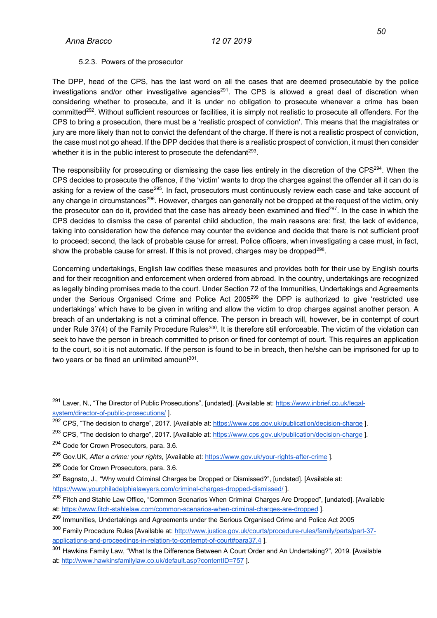### 5.2.3. Powers of the prosecutor

The DPP, head of the CPS, has the last word on all the cases that are deemed prosecutable by the police investigations and/or other investigative agencies<sup>291</sup>. The CPS is allowed a great deal of discretion when considering whether to prosecute, and it is under no obligation to prosecute whenever a crime has been committed<sup>292</sup>. Without sufficient resources or facilities, it is simply not realistic to prosecute all offenders. For the CPS to bring a prosecution, there must be a 'realistic prospect of conviction'. This means that the magistrates or jury are more likely than not to convict the defendant of the charge. If there is not a realistic prospect of conviction, the case must not go ahead. If the DPP decides that there is a realistic prospect of conviction, it must then consider whether it is in the public interest to prosecute the defendant $^{293}$ .

The responsibility for prosecuting or dismissing the case lies entirely in the discretion of the CPS<sup>294</sup>. When the CPS decides to prosecute the offence, if the 'victim' wants to drop the charges against the offender all it can do is asking for a review of the case<sup>295</sup>. In fact, prosecutors must continuously review each case and take account of any change in circumstances<sup>296</sup>. However, charges can generally not be dropped at the request of the victim, only the prosecutor can do it, provided that the case has already been examined and filed<sup>297</sup>. In the case in which the CPS decides to dismiss the case of parental child abduction, the main reasons are: first, the lack of evidence, taking into consideration how the defence may counter the evidence and decide that there is not sufficient proof to proceed; second, the lack of probable cause for arrest. Police officers, when investigating a case must, in fact, show the probable cause for arrest. If this is not proved, charges may be dropped<sup>298</sup>.

Concerning undertakings, English law codifies these measures and provides both for their use by English courts and for their recognition and enforcement when ordered from abroad. In the country, undertakings are recognized as legally binding promises made to the court. Under Section 72 of the Immunities, Undertakings and Agreements under the Serious Organised Crime and Police Act 2005<sup>299</sup> the DPP is authorized to give 'restricted use undertakings' which have to be given in writing and allow the victim to drop charges against another person. A breach of an undertaking is not a criminal offence. The person in breach will, however, be in contempt of court under Rule 37(4) of the Family Procedure Rules<sup>300</sup>. It is therefore still enforceable. The victim of the violation can seek to have the person in breach committed to prison or fined for contempt of court. This requires an application to the court, so it is not automatic. If the person is found to be in breach, then he/she can be imprisoned for up to two years or be fined an unlimited amount $301$ .

<sup>&</sup>lt;sup>291</sup> Laver, N., "The Director of Public Prosecutions", [undated]. [Available at: https://www.inbrief.co.uk/legalsystem/director-of-public-prosecutions/ ].

<sup>&</sup>lt;sup>292</sup> CPS, "The decision to charge", 2017. [Available at: https://www.cps.gov.uk/publication/decision-charge ].

<sup>&</sup>lt;sup>293</sup> CPS, "The decision to charge", 2017. [Available at: https://www.cps.gov.uk/publication/decision-charge ].

<sup>&</sup>lt;sup>294</sup> Code for Crown Prosecutors, para. 3.6.

<sup>295</sup> Gov.UK, *After a crime: your rights*, [Available at: https://www.gov.uk/your-rights-after-crime ].

<sup>&</sup>lt;sup>296</sup> Code for Crown Prosecutors, para. 3.6.

<sup>&</sup>lt;sup>297</sup> Bagnato, J., "Why would Criminal Charges be Dropped or Dismissed?", [undated]. [Available at: https://www.yourphiladelphialawyers.com/criminal-charges-dropped-dismissed/ ].

<sup>&</sup>lt;sup>298</sup> Fitch and Stahle Law Office, "Common Scenarios When Criminal Charges Are Dropped", [undated]. [Available at: https://www.fitch-stahlelaw.com/common-scenarios-when-criminal-charges-are-dropped ].

<sup>299</sup> Immunities, Undertakings and Agreements under the Serious Organised Crime and Police Act 2005

<sup>300</sup> Family Procedure Rules [Available at: http://www.justice.gov.uk/courts/procedure-rules/family/parts/part-37applications-and-proceedings-in-relation-to-contempt-of-court#para37.4 ].

<sup>&</sup>lt;sup>301</sup> Hawkins Family Law, "What Is the Difference Between A Court Order and An Undertaking?", 2019. [Available] at: http://www.hawkinsfamilylaw.co.uk/default.asp?contentID=757 ].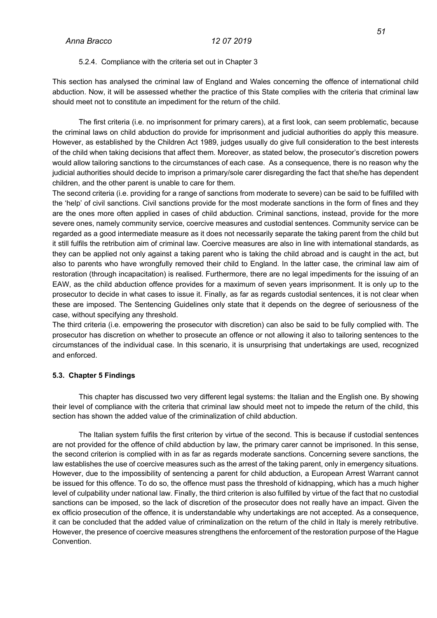### 5.2.4. Compliance with the criteria set out in Chapter 3

This section has analysed the criminal law of England and Wales concerning the offence of international child abduction. Now, it will be assessed whether the practice of this State complies with the criteria that criminal law should meet not to constitute an impediment for the return of the child.

The first criteria (i.e. no imprisonment for primary carers), at a first look, can seem problematic, because the criminal laws on child abduction do provide for imprisonment and judicial authorities do apply this measure. However, as established by the Children Act 1989, judges usually do give full consideration to the best interests of the child when taking decisions that affect them. Moreover, as stated below, the prosecutor's discretion powers would allow tailoring sanctions to the circumstances of each case. As a consequence, there is no reason why the judicial authorities should decide to imprison a primary/sole carer disregarding the fact that she/he has dependent children, and the other parent is unable to care for them.

The second criteria (i.e. providing for a range of sanctions from moderate to severe) can be said to be fulfilled with the 'help' of civil sanctions. Civil sanctions provide for the most moderate sanctions in the form of fines and they are the ones more often applied in cases of child abduction. Criminal sanctions, instead, provide for the more severe ones, namely community service, coercive measures and custodial sentences. Community service can be regarded as a good intermediate measure as it does not necessarily separate the taking parent from the child but it still fulfils the retribution aim of criminal law. Coercive measures are also in line with international standards, as they can be applied not only against a taking parent who is taking the child abroad and is caught in the act, but also to parents who have wrongfully removed their child to England. In the latter case, the criminal law aim of restoration (through incapacitation) is realised. Furthermore, there are no legal impediments for the issuing of an EAW, as the child abduction offence provides for a maximum of seven years imprisonment. It is only up to the prosecutor to decide in what cases to issue it. Finally, as far as regards custodial sentences, it is not clear when these are imposed. The Sentencing Guidelines only state that it depends on the degree of seriousness of the case, without specifying any threshold.

The third criteria (i.e. empowering the prosecutor with discretion) can also be said to be fully complied with. The prosecutor has discretion on whether to prosecute an offence or not allowing it also to tailoring sentences to the circumstances of the individual case. In this scenario, it is unsurprising that undertakings are used, recognized and enforced.

### **5.3. Chapter 5 Findings**

This chapter has discussed two very different legal systems: the Italian and the English one. By showing their level of compliance with the criteria that criminal law should meet not to impede the return of the child, this section has shown the added value of the criminalization of child abduction.

The Italian system fulfils the first criterion by virtue of the second. This is because if custodial sentences are not provided for the offence of child abduction by law, the primary carer cannot be imprisoned. In this sense, the second criterion is complied with in as far as regards moderate sanctions. Concerning severe sanctions, the law establishes the use of coercive measures such as the arrest of the taking parent, only in emergency situations. However, due to the impossibility of sentencing a parent for child abduction, a European Arrest Warrant cannot be issued for this offence. To do so, the offence must pass the threshold of kidnapping, which has a much higher level of culpability under national law. Finally, the third criterion is also fulfilled by virtue of the fact that no custodial sanctions can be imposed, so the lack of discretion of the prosecutor does not really have an impact. Given the ex officio prosecution of the offence, it is understandable why undertakings are not accepted. As a consequence, it can be concluded that the added value of criminalization on the return of the child in Italy is merely retributive. However, the presence of coercive measures strengthens the enforcement of the restoration purpose of the Hague Convention.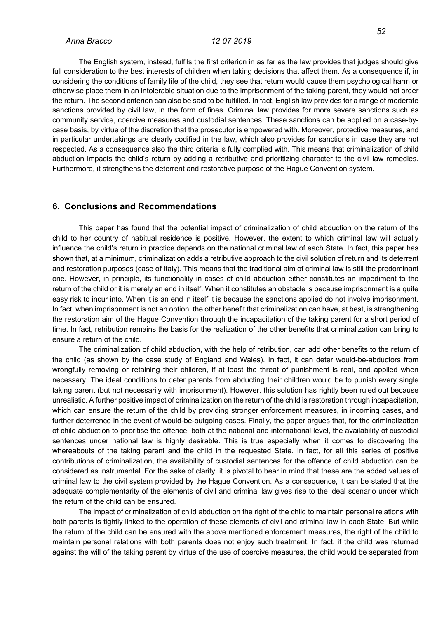The English system, instead, fulfils the first criterion in as far as the law provides that judges should give full consideration to the best interests of children when taking decisions that affect them. As a consequence if, in considering the conditions of family life of the child, they see that return would cause them psychological harm or otherwise place them in an intolerable situation due to the imprisonment of the taking parent, they would not order the return. The second criterion can also be said to be fulfilled. In fact, English law provides for a range of moderate sanctions provided by civil law, in the form of fines. Criminal law provides for more severe sanctions such as community service, coercive measures and custodial sentences. These sanctions can be applied on a case-bycase basis, by virtue of the discretion that the prosecutor is empowered with. Moreover, protective measures, and in particular undertakings are clearly codified in the law, which also provides for sanctions in case they are not respected. As a consequence also the third criteria is fully complied with. This means that criminalization of child abduction impacts the child's return by adding a retributive and prioritizing character to the civil law remedies. Furthermore, it strengthens the deterrent and restorative purpose of the Hague Convention system.

### **6. Conclusions and Recommendations**

This paper has found that the potential impact of criminalization of child abduction on the return of the child to her country of habitual residence is positive. However, the extent to which criminal law will actually influence the child's return in practice depends on the national criminal law of each State. In fact, this paper has shown that, at a minimum, criminalization adds a retributive approach to the civil solution of return and its deterrent and restoration purposes (case of Italy). This means that the traditional aim of criminal law is still the predominant one. However, in principle, its functionality in cases of child abduction either constitutes an impediment to the return of the child or it is merely an end in itself. When it constitutes an obstacle is because imprisonment is a quite easy risk to incur into. When it is an end in itself it is because the sanctions applied do not involve imprisonment. In fact, when imprisonment is not an option, the other benefit that criminalization can have, at best, is strengthening the restoration aim of the Hague Convention through the incapacitation of the taking parent for a short period of time. In fact, retribution remains the basis for the realization of the other benefits that criminalization can bring to ensure a return of the child.

The criminalization of child abduction, with the help of retribution, can add other benefits to the return of the child (as shown by the case study of England and Wales). In fact, it can deter would-be-abductors from wrongfully removing or retaining their children, if at least the threat of punishment is real, and applied when necessary. The ideal conditions to deter parents from abducting their children would be to punish every single taking parent (but not necessarily with imprisonment). However, this solution has rightly been ruled out because unrealistic. A further positive impact of criminalization on the return of the child is restoration through incapacitation, which can ensure the return of the child by providing stronger enforcement measures, in incoming cases, and further deterrence in the event of would-be-outgoing cases. Finally, the paper argues that, for the criminalization of child abduction to prioritise the offence, both at the national and international level, the availability of custodial sentences under national law is highly desirable. This is true especially when it comes to discovering the whereabouts of the taking parent and the child in the requested State. In fact, for all this series of positive contributions of criminalization, the availability of custodial sentences for the offence of child abduction can be considered as instrumental. For the sake of clarity, it is pivotal to bear in mind that these are the added values of criminal law to the civil system provided by the Hague Convention. As a consequence, it can be stated that the adequate complementarity of the elements of civil and criminal law gives rise to the ideal scenario under which the return of the child can be ensured.

The impact of criminalization of child abduction on the right of the child to maintain personal relations with both parents is tightly linked to the operation of these elements of civil and criminal law in each State. But while the return of the child can be ensured with the above mentioned enforcement measures, the right of the child to maintain personal relations with both parents does not enjoy such treatment. In fact, if the child was returned against the will of the taking parent by virtue of the use of coercive measures, the child would be separated from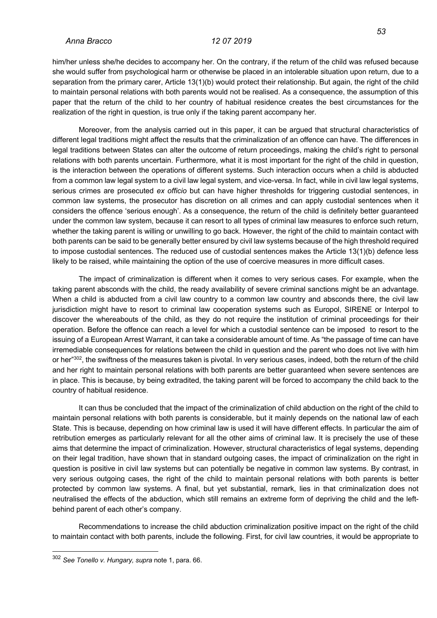him/her unless she/he decides to accompany her. On the contrary, if the return of the child was refused because she would suffer from psychological harm or otherwise be placed in an intolerable situation upon return, due to a separation from the primary carer, Article 13(1)(b) would protect their relationship. But again, the right of the child to maintain personal relations with both parents would not be realised. As a consequence, the assumption of this paper that the return of the child to her country of habitual residence creates the best circumstances for the realization of the right in question, is true only if the taking parent accompany her.

Moreover, from the analysis carried out in this paper, it can be argued that structural characteristics of different legal traditions might affect the results that the criminalization of an offence can have. The differences in legal traditions between States can alter the outcome of return proceedings, making the child's right to personal relations with both parents uncertain. Furthermore, what it is most important for the right of the child in question, is the interaction between the operations of different systems. Such interaction occurs when a child is abducted from a common law legal system to a civil law legal system, and vice-versa. In fact, while in civil law legal systems, serious crimes are prosecuted *ex officio* but can have higher thresholds for triggering custodial sentences, in common law systems, the prosecutor has discretion on all crimes and can apply custodial sentences when it considers the offence 'serious enough'. As a consequence, the return of the child is definitely better guaranteed under the common law system, because it can resort to all types of criminal law measures to enforce such return, whether the taking parent is willing or unwilling to go back. However, the right of the child to maintain contact with both parents can be said to be generally better ensured by civil law systems because of the high threshold required to impose custodial sentences. The reduced use of custodial sentences makes the Article 13(1)(b) defence less likely to be raised, while maintaining the option of the use of coercive measures in more difficult cases.

The impact of criminalization is different when it comes to very serious cases. For example, when the taking parent absconds with the child, the ready availability of severe criminal sanctions might be an advantage. When a child is abducted from a civil law country to a common law country and absconds there, the civil law jurisdiction might have to resort to criminal law cooperation systems such as Europol, SIRENE or Interpol to discover the whereabouts of the child, as they do not require the institution of criminal proceedings for their operation. Before the offence can reach a level for which a custodial sentence can be imposed to resort to the issuing of a European Arrest Warrant, it can take a considerable amount of time. As "the passage of time can have irremediable consequences for relations between the child in question and the parent who does not live with him or her<sup>"302</sup>, the swiftness of the measures taken is pivotal. In very serious cases, indeed, both the return of the child and her right to maintain personal relations with both parents are better guaranteed when severe sentences are in place. This is because, by being extradited, the taking parent will be forced to accompany the child back to the country of habitual residence.

It can thus be concluded that the impact of the criminalization of child abduction on the right of the child to maintain personal relations with both parents is considerable, but it mainly depends on the national law of each State. This is because, depending on how criminal law is used it will have different effects. In particular the aim of retribution emerges as particularly relevant for all the other aims of criminal law. It is precisely the use of these aims that determine the impact of criminalization. However, structural characteristics of legal systems, depending on their legal tradition, have shown that in standard outgoing cases, the impact of criminalization on the right in question is positive in civil law systems but can potentially be negative in common law systems. By contrast, in very serious outgoing cases, the right of the child to maintain personal relations with both parents is better protected by common law systems. A final, but yet substantial, remark, lies in that criminalization does not neutralised the effects of the abduction, which still remains an extreme form of depriving the child and the leftbehind parent of each other's company.

Recommendations to increase the child abduction criminalization positive impact on the right of the child to maintain contact with both parents, include the following. First, for civil law countries, it would be appropriate to

<sup>302</sup> *See Tonello v. Hungary, supra* note 1, para. 66.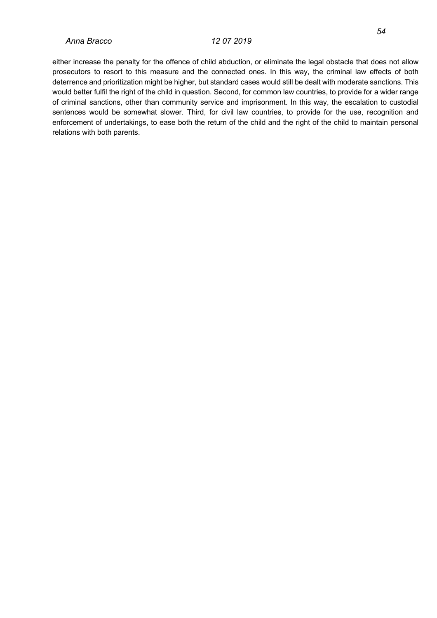either increase the penalty for the offence of child abduction, or eliminate the legal obstacle that does not allow prosecutors to resort to this measure and the connected ones. In this way, the criminal law effects of both deterrence and prioritization might be higher, but standard cases would still be dealt with moderate sanctions. This would better fulfil the right of the child in question. Second, for common law countries, to provide for a wider range of criminal sanctions, other than community service and imprisonment. In this way, the escalation to custodial sentences would be somewhat slower. Third, for civil law countries, to provide for the use, recognition and enforcement of undertakings, to ease both the return of the child and the right of the child to maintain personal relations with both parents.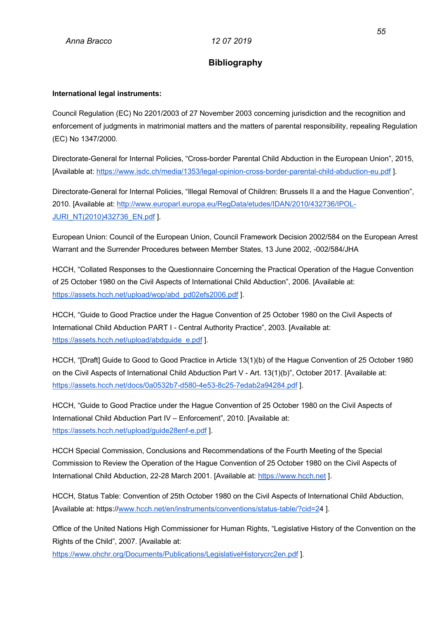### **Bibliography**

### **International legal instruments:**

Council Regulation (EC) No 2201/2003 of 27 November 2003 concerning jurisdiction and the recognition and enforcement of judgments in matrimonial matters and the matters of parental responsibility, repealing Regulation (EC) No 1347/2000.

Directorate-General for Internal Policies, "Cross-border Parental Child Abduction in the European Union", 2015, [Available at: https://www.isdc.ch/media/1353/legal-opinion-cross-border-parental-child-abduction-eu.pdf ].

Directorate-General for Internal Policies, "Illegal Removal of Children: Brussels II a and the Hague Convention", 2010. [Available at: http://www.europarl.europa.eu/RegData/etudes/IDAN/2010/432736/IPOL-JURI\_NT(2010)432736\_EN.pdf ].

European Union: Council of the European Union, Council Framework Decision 2002/584 on the European Arrest Warrant and the Surrender Procedures between Member States, 13 June 2002, -002/584/JHA

HCCH, "Collated Responses to the Questionnaire Concerning the Practical Operation of the Hague Convention of 25 October 1980 on the Civil Aspects of International Child Abduction", 2006. [Available at: https://assets.hcch.net/upload/wop/abd\_pd02efs2006.pdf ].

HCCH, "Guide to Good Practice under the Hague Convention of 25 October 1980 on the Civil Aspects of International Child Abduction PART I - Central Authority Practice", 2003. [Available at: https://assets.hcch.net/upload/abdguide\_e.pdf ].

HCCH, "[Draft] Guide to Good to Good Practice in Article 13(1)(b) of the Hague Convention of 25 October 1980 on the Civil Aspects of International Child Abduction Part V - Art. 13(1)(b)", October 2017. [Available at: https://assets.hcch.net/docs/0a0532b7-d580-4e53-8c25-7edab2a94284.pdf ].

HCCH, "Guide to Good Practice under the Hague Convention of 25 October 1980 on the Civil Aspects of International Child Abduction Part IV – Enforcement", 2010. [Available at: https://assets.hcch.net/upload/guide28enf-e.pdf ].

HCCH Special Commission, Conclusions and Recommendations of the Fourth Meeting of the Special Commission to Review the Operation of the Hague Convention of 25 October 1980 on the Civil Aspects of International Child Abduction, 22-28 March 2001. [Available at: https://www.hcch.net ].

HCCH, Status Table: Convention of 25th October 1980 on the Civil Aspects of International Child Abduction, [Available at: https://www.hcch.net/en/instruments/conventions/status-table/?cid=24 ].

Office of the United Nations High Commissioner for Human Rights, "Legislative History of the Convention on the Rights of the Child", 2007. [Available at:

https://www.ohchr.org/Documents/Publications/LegislativeHistorycrc2en.pdf ].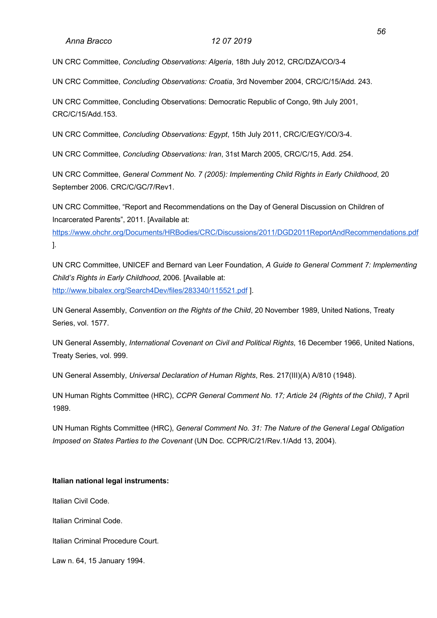UN CRC Committee, *Concluding Observations: Algeria*, 18th July 2012, CRC/DZA/CO/3-4

UN CRC Committee, *Concluding Observations: Croatia*, 3rd November 2004, CRC/C/15/Add. 243.

UN CRC Committee, Concluding Observations: Democratic Republic of Congo, 9th July 2001, CRC/C/15/Add.153.

UN CRC Committee, *Concluding Observations: Egypt*, 15th July 2011, CRC/C/EGY/CO/3-4.

UN CRC Committee, *Concluding Observations: Iran*, 31st March 2005, CRC/C/15, Add. 254.

UN CRC Committee, *General Comment No. 7 (2005): Implementing Child Rights in Early Childhood*, 20 September 2006. CRC/C/GC/7/Rev1.

UN CRC Committee, "Report and Recommendations on the Day of General Discussion on Children of Incarcerated Parents", 2011. [Available at:

https://www.ohchr.org/Documents/HRBodies/CRC/Discussions/2011/DGD2011ReportAndRecommendations.pdf ].

UN CRC Committee, UNICEF and Bernard van Leer Foundation, *A Guide to General Comment 7: Implementing Child's Rights in Early Childhood*, 2006. [Available at: http://www.bibalex.org/Search4Dev/files/283340/115521.pdf ].

UN General Assembly, *Convention on the Rights of the Child*, 20 November 1989, United Nations, Treaty Series, vol. 1577.

UN General Assembly, *International Covenant on Civil and Political Rights*, 16 December 1966, United Nations, Treaty Series, vol. 999.

UN General Assembly, *Universal Declaration of Human Rights*, Res. 217(III)(A) A/810 (1948).

UN Human Rights Committee (HRC), *CCPR General Comment No. 17; Article 24 (Rights of the Child)*, 7 April 1989.

UN Human Rights Committee (HRC), *General Comment No. 31: The Nature of the General Legal Obligation Imposed on States Parties to the Covenant* (UN Doc. CCPR/C/21/Rev.1/Add 13, 2004).

### **Italian national legal instruments:**

Italian Civil Code.

Italian Criminal Code.

Italian Criminal Procedure Court.

Law n. 64, 15 January 1994.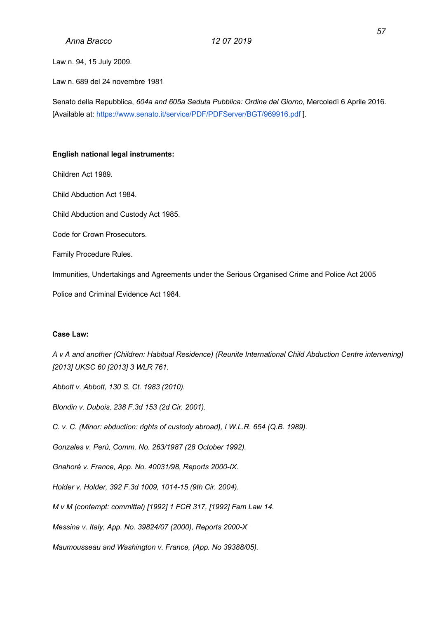Law n. 94, 15 July 2009.

Law n. 689 del 24 novembre 1981

Senato della Repubblica, *604a and 605a Seduta Pubblica: Ordine del Giorno*, Mercoledì 6 Aprile 2016. [Available at: https://www.senato.it/service/PDF/PDFServer/BGT/969916.pdf].

### **English national legal instruments:**

Children Act 1989.

Child Abduction Act 1984.

Child Abduction and Custody Act 1985.

Code for Crown Prosecutors.

Family Procedure Rules.

Immunities, Undertakings and Agreements under the Serious Organised Crime and Police Act 2005

Police and Criminal Evidence Act 1984.

### **Case Law:**

*A v A and another (Children: Habitual Residence) (Reunite International Child Abduction Centre intervening) [2013] UKSC 60 [2013] 3 WLR 761.*

*Abbott v. Abbott, 130 S. Ct. 1983 (2010).*

*Blondin v. Dubois, 238 F.3d 153 (2d Cir. 2001).*

*C. v. C. (Minor: abduction: rights of custody abroad), I W.L.R. 654 (Q.B. 1989).*

*Gonzales v. Perù, Comm. No. 263/1987 (28 October 1992).*

*Gnahoré v. France, App. No. 40031/98, Reports 2000-IX.*

*Holder v. Holder, 392 F.3d 1009, 1014-15 (9th Cir. 2004).*

*M v M (contempt: committal) [1992] 1 FCR 317, [1992] Fam Law 14.*

*Messina v. Italy, App. No. 39824/07 (2000), Reports 2000-X*

*Maumousseau and Washington v. France, (App. No 39388/05).*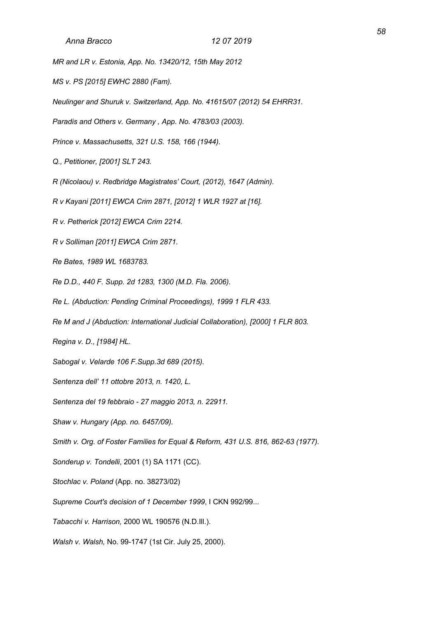*MR and LR v. Estonia, App. No. 13420/12, 15th May 2012*

*MS v. PS [2015] EWHC 2880 (Fam).*

*Neulinger and Shuruk v. Switzerland, App. No. 41615/07 (2012) 54 EHRR31.*

*Paradis and Others v. Germany , App. No. 4783/03 (2003).*

*Prince v. Massachusetts, 321 U.S. 158, 166 (1944).*

*Q., Petitioner, [2001] SLT 243.*

*R (Nicolaou) v. Redbridge Magistrates' Court, (2012), 1647 (Admin).*

*R v Kayani [2011] EWCA Crim 2871, [2012] 1 WLR 1927 at [16].*

*R v. Petherick [2012] EWCA Crim 2214.*

*R v Solliman [2011] EWCA Crim 2871.*

*Re Bates, 1989 WL 1683783.*

*Re D.D., 440 F. Supp. 2d 1283, 1300 (M.D. Fla. 2006).*

*Re L. (Abduction: Pending Criminal Proceedings), 1999 1 FLR 433.*

*Re M and J (Abduction: International Judicial Collaboration), [2000] 1 FLR 803.*

*Regina v. D., [1984] HL.*

*Sabogal v. Velarde 106 F.Supp.3d 689 (2015).*

*Sentenza dell' 11 ottobre 2013, n. 1420, L.*

*Sentenza del 19 febbraio - 27 maggio 2013, n. 22911.*

*Shaw v. Hungary (App. no. 6457/09).*

*Smith v. Org. of Foster Families for Equal & Reform, 431 U.S. 816, 862-63 (1977).*

*Sonderup v. Tondelli*, 2001 (1) SA 1171 (CC).

*Stochlac v. Poland* (App. no. 38273/02)

*Supreme Court's decision of 1 December 1999*, I CKN 992/99...

*Tabacchi v. Harrison,* 2000 WL 190576 (N.D.Ill.).

*Walsh v. Walsh,* No. 99-1747 (1st Cir. July 25, 2000).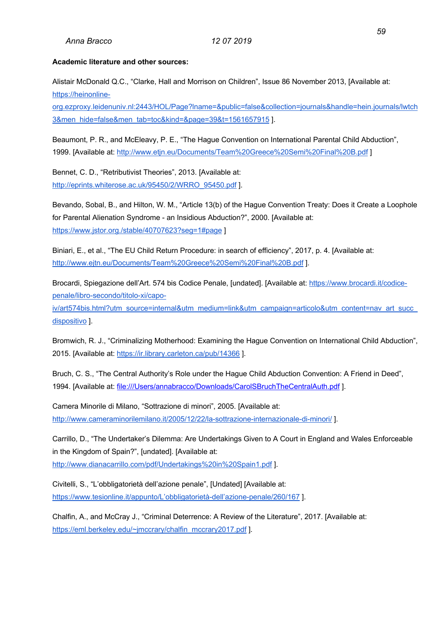### **Academic literature and other sources:**

Alistair McDonald Q.C., "Clarke, Hall and Morrison on Children", Issue 86 November 2013, [Available at: https://heinonline-

org.ezproxy.leidenuniv.nl:2443/HOL/Page?lname=&public=false&collection=journals&handle=hein.journals/lwtch 3&men\_hide=false&men\_tab=toc&kind=&page=39&t=1561657915 ].

Beaumont, P. R., and McEleavy, P. E., "The Hague Convention on International Parental Child Abduction", 1999. [Available at: http://www.etjn.eu/Documents/Team%20Greece%20Semi%20Final%20B.pdf ]

Bennet, C. D., "Retributivist Theories", 2013. [Available at: http://eprints.whiterose.ac.uk/95450/2/WRRO\_95450.pdf ].

Bevando, Sobal, B., and Hilton, W. M., "Article 13(b) of the Hague Convention Treaty: Does it Create a Loophole for Parental Alienation Syndrome - an Insidious Abduction?", 2000. [Available at: https://www.jstor.org./stable/40707623?seg=1#page ]

Biniari, E., et al., "The EU Child Return Procedure: in search of efficiency", 2017, p. 4. [Available at: http://www.ejtn.eu/Documents/Team%20Greece%20Semi%20Final%20B.pdf ].

Brocardi, Spiegazione dell'Art. 574 bis Codice Penale, [undated]. [Available at: https://www.brocardi.it/codicepenale/libro-secondo/titolo-xi/capo-

iv/art574bis.html?utm\_source=internal&utm\_medium=link&utm\_campaign=articolo&utm\_content=nav\_art\_succ dispositivo ].

Bromwich, R. J., "Criminalizing Motherhood: Examining the Hague Convention on International Child Abduction", 2015. [Available at: https://ir.library.carleton.ca/pub/14366 ].

Bruch, C. S., "The Central Authority's Role under the Hague Child Abduction Convention: A Friend in Deed", 1994. [Available at: file:///Users/annabracco/Downloads/CarolSBruchTheCentralAuth.pdf].

Camera Minorile di Milano, "Sottrazione di minori", 2005. [Available at: http://www.cameraminorilemilano.it/2005/12/22/la-sottrazione-internazionale-di-minori/ ].

Carrillo, D., "The Undertaker's Dilemma: Are Undertakings Given to A Court in England and Wales Enforceable in the Kingdom of Spain?", [undated]. [Available at: http://www.dianacarrillo.com/pdf/Undertakings%20in%20Spain1.pdf ].

Civitelli, S., "L'obbligatorietà dell'azione penale", [Undated] [Available at: https://www.tesionline.it/appunto/L'obbligatorietà-dell'azione-penale/260/167 ].

Chalfin, A., and McCray J., "Criminal Deterrence: A Review of the Literature", 2017. [Available at: https://eml.berkeley.edu/~jmccrary/chalfin\_mccrary2017.pdf ].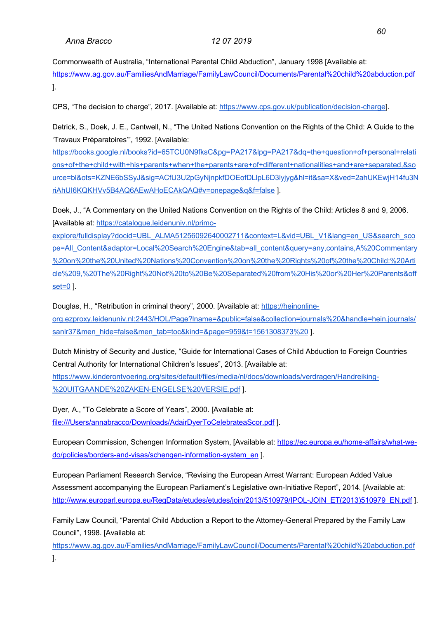Commonwealth of Australia, "International Parental Child Abduction", January 1998 [Available at: https://www.ag.gov.au/FamiliesAndMarriage/FamilyLawCouncil/Documents/Parental%20child%20abduction.pdf ].

CPS, "The decision to charge", 2017. [Available at: https://www.cps.gov.uk/publication/decision-charge].

Detrick, S., Doek, J. E., Cantwell, N., "The United Nations Convention on the Rights of the Child: A Guide to the 'Travaux Préparatoires'", 1992. [Available:

https://books.google.nl/books?id=65TCU0N9fksC&pg=PA217&lpg=PA217&dq=the+question+of+personal+relati ons+of+the+child+with+his+parents+when+the+parents+are+of+different+nationalities+and+are+separated,&so urce=bl&ots=KZNE6bSSyJ&sig=ACfU3U2pGyNjnpkfDOEofDLlpL6D3lyjyg&hl=it&sa=X&ved=2ahUKEwjH14fu3N riAhUI6KQKHVv5B4AQ6AEwAHoECAkQAQ#v=onepage&q&f=false ].

Doek, J., "A Commentary on the United Nations Convention on the Rights of the Child: Articles 8 and 9, 2006. [Available at: https://catalogue.leidenuniv.nl/primo-

explore/fulldisplay?docid=UBL\_ALMA51256092640002711&context=L&vid=UBL\_V1&lang=en\_US&search\_sco pe=All\_Content&adaptor=Local%20Search%20Engine&tab=all\_content&query=any,contains,A%20Commentary %20on%20the%20United%20Nations%20Convention%20on%20the%20Rights%20of%20the%20Child:%20Arti cle%209,%20The%20Right%20Not%20to%20Be%20Separated%20from%20His%20or%20Her%20Parents&off set=0 ].

Douglas, H., "Retribution in criminal theory", 2000. [Available at: https://heinonlineorg.ezproxy.leidenuniv.nl:2443/HOL/Page?lname=&public=false&collection=journals%20&handle=hein.journals/ sanlr37&men\_hide=false&men\_tab=toc&kind=&page=959&t=1561308373%20 ].

Dutch Ministry of Security and Justice, "Guide for International Cases of Child Abduction to Foreign Countries Central Authority for International Children's Issues", 2013. [Available at: https://www.kinderontvoering.org/sites/default/files/media/nl/docs/downloads/verdragen/Handreiking- %20UITGAANDE%20ZAKEN-ENGELSE%20VERSIE.pdf ].

Dyer, A., "To Celebrate a Score of Years", 2000. [Available at: file:///Users/annabracco/Downloads/AdairDyerToCelebrateaScor.pdf ].

European Commission, Schengen Information System, [Available at: https://ec.europa.eu/home-affairs/what-wedo/policies/borders-and-visas/schengen-information-system\_en ].

European Parliament Research Service, "Revising the European Arrest Warrant: European Added Value Assessment accompanying the European Parliament's Legislative own-Initiative Report", 2014. [Available at: http://www.europarl.europa.eu/RegData/etudes/etudes/join/2013/510979/IPOL-JOIN\_ET(2013)510979\_EN.pdf ].

Family Law Council, "Parental Child Abduction a Report to the Attorney-General Prepared by the Family Law Council", 1998. [Available at:

https://www.ag.gov.au/FamiliesAndMarriage/FamilyLawCouncil/Documents/Parental%20child%20abduction.pdf ].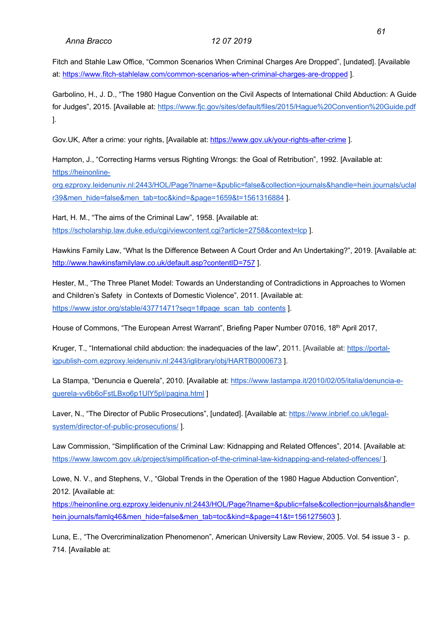Fitch and Stahle Law Office, "Common Scenarios When Criminal Charges Are Dropped", [undated]. [Available at: https://www.fitch-stahlelaw.com/common-scenarios-when-criminal-charges-are-dropped ].

Garbolino, H., J. D., "The 1980 Hague Convention on the Civil Aspects of International Child Abduction: A Guide for Judges", 2015. [Available at: https://www.fjc.gov/sites/default/files/2015/Hague%20Convention%20Guide.pdf ].

Gov.UK, After a crime: your rights, [Available at: https://www.gov.uk/your-rights-after-crime ].

Hampton, J., "Correcting Harms versus Righting Wrongs: the Goal of Retribution", 1992. [Available at: https://heinonline-

org.ezproxy.leidenuniv.nl:2443/HOL/Page?lname=&public=false&collection=journals&handle=hein.journals/uclal r39&men\_hide=false&men\_tab=toc&kind=&page=1659&t=1561316884 ].

Hart, H. M., "The aims of the Criminal Law", 1958. [Available at: https://scholarship.law.duke.edu/cgi/viewcontent.cgi?article=2758&context=lcp ].

Hawkins Family Law, "What Is the Difference Between A Court Order and An Undertaking?", 2019. [Available at: http://www.hawkinsfamilylaw.co.uk/default.asp?contentID=757 ].

Hester, M., "The Three Planet Model: Towards an Understanding of Contradictions in Approaches to Women and Children's Safety in Contexts of Domestic Violence", 2011. [Available at: https://www.jstor.org/stable/43771471?seq=1#page\_scan\_tab\_contents ].

House of Commons, "The European Arrest Warrant", Briefing Paper Number 07016, 18<sup>th</sup> April 2017,

Kruger, T., "International child abduction: the inadequacies of the law", 2011. [Available at: https://portaligpublish-com.ezproxy.leidenuniv.nl:2443/iglibrary/obj/HARTB0000673 ].

La Stampa, "Denuncia e Querela", 2010. [Available at: https://www.lastampa.it/2010/02/05/italia/denuncia-equerela-vv6b6oFstLBxo6p1UlY5pI/pagina.html ]

Laver, N., "The Director of Public Prosecutions", [undated]. [Available at: https://www.inbrief.co.uk/legalsystem/director-of-public-prosecutions/ ].

Law Commission, "Simplification of the Criminal Law: Kidnapping and Related Offences", 2014. [Available at: https://www.lawcom.gov.uk/project/simplification-of-the-criminal-law-kidnapping-and-related-offences/ ].

Lowe, N. V., and Stephens, V., "Global Trends in the Operation of the 1980 Hague Abduction Convention", 2012. [Available at:

https://heinonline.org.ezproxy.leidenuniv.nl:2443/HOL/Page?lname=&public=false&collection=journals&handle= hein.journals/famlq46&men\_hide=false&men\_tab=toc&kind=&page=41&t=1561275603 ].

Luna, E., "The Overcriminalization Phenomenon", American University Law Review, 2005. Vol. 54 issue 3 - p. 714. [Available at: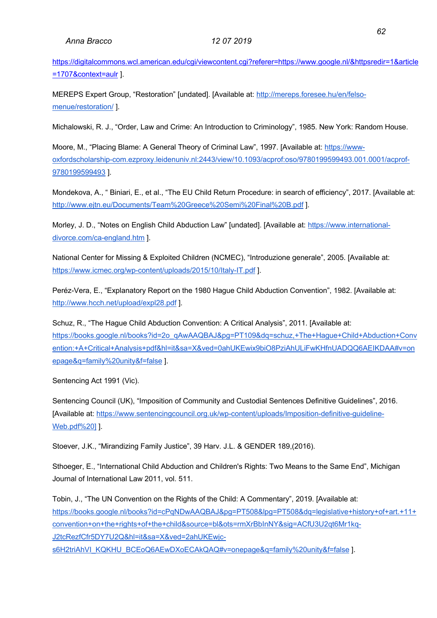https://digitalcommons.wcl.american.edu/cgi/viewcontent.cgi?referer=https://www.google.nl/&httpsredir=1&article =1707&context=aulr ].

MEREPS Expert Group, "Restoration" [undated]. [Available at: http://mereps.foresee.hu/en/felsomenue/restoration/ ].

Michalowski, R. J., "Order, Law and Crime: An Introduction to Criminology", 1985. New York: Random House.

Moore, M., "Placing Blame: A General Theory of Criminal Law", 1997. [Available at: https://wwwoxfordscholarship-com.ezproxy.leidenuniv.nl:2443/view/10.1093/acprof:oso/9780199599493.001.0001/acprof-9780199599493 ].

Mondekova, A., " Biniari, E., et al., "The EU Child Return Procedure: in search of efficiency", 2017. [Available at: http://www.ejtn.eu/Documents/Team%20Greece%20Semi%20Final%20B.pdf ].

Morley, J. D., "Notes on English Child Abduction Law" [undated]. [Available at: https://www.internationaldivorce.com/ca-england.htm ].

National Center for Missing & Exploited Children (NCMEC), "Introduzione generale", 2005. [Available at: https://www.icmec.org/wp-content/uploads/2015/10/Italy-IT.pdf ].

Peréz-Vera, E., "Explanatory Report on the 1980 Hague Child Abduction Convention", 1982. [Available at: http://www.hcch.net/upload/expl28.pdf ].

Schuz, R., "The Hague Child Abduction Convention: A Critical Analysis", 2011. [Available at: https://books.google.nl/books?id=2o\_qAwAAQBAJ&pg=PT109&dq=schuz,+The+Hague+Child+Abduction+Conv ention:+A+Critical+Analysis+pdf&hl=it&sa=X&ved=0ahUKEwix9biO8PziAhULiFwKHfnUADQQ6AEIKDAA#v=on epage&q=family%20unity&f=false ].

Sentencing Act 1991 (Vic).

Sentencing Council (UK), "Imposition of Community and Custodial Sentences Definitive Guidelines", 2016. [Available at: https://www.sentencingcouncil.org.uk/wp-content/uploads/Imposition-definitive-guideline-Web.pdf%20] ].

Stoever, J.K., "Mirandizing Family Justice", 39 Harv. J.L. & GENDER 189,(2016).

Sthoeger, E., "International Child Abduction and Children's Rights: Two Means to the Same End", Michigan Journal of International Law 2011, vol. 511.

Tobin, J., "The UN Convention on the Rights of the Child: A Commentary", 2019. [Available at: https://books.google.nl/books?id=cPqNDwAAQBAJ&pg=PT508&lpg=PT508&dq=legislative+history+of+art.+11+ convention+on+the+rights+of+the+child&source=bl&ots=rmXrBbInNY&sig=ACfU3U2qt6Mr1kq-J2tcRezfCfr5DY7U2Q&hl=it&sa=X&ved=2ahUKEwjc-

s6H2triAhVI\_KQKHU\_BCEoQ6AEwDXoECAkQAQ#v=onepage&q=family%20unity&f=false ].